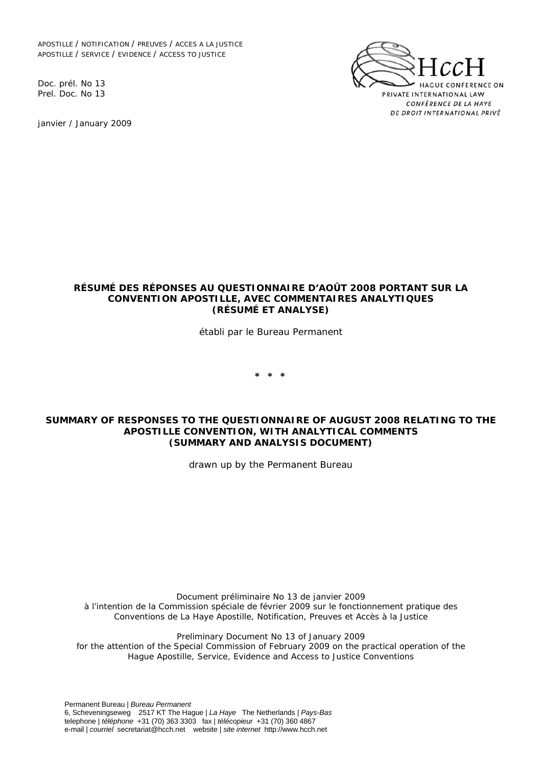APOSTILLE / NOTIFICATION / PREUVES / ACCES A LA JUSTICE APOSTILLE / SERVICE / EVIDENCE / ACCESS TO JUSTICE

Doc. prél. No 13 Prel. Doc. No 13

janvier / January 2009



### **RÉSUMÉ DES RÉPONSES AU QUESTIONNAIRE D'AOÛT 2008 PORTANT SUR LA CONVENTION APOSTILLE, AVEC COMMENTAIRES ANALYTIQUES (RÉSUMÉ ET ANALYSE)**

*établi par le Bureau Permanent* 

**\* \* \*** 

### **SUMMARY OF RESPONSES TO THE QUESTIONNAIRE OF AUGUST 2008 RELATING TO THE APOSTILLE CONVENTION, WITH ANALYTICAL COMMENTS (SUMMARY AND ANALYSIS DOCUMENT)**

*drawn up by the Permanent Bureau*

*Document préliminaire No 13 de janvier 2009 à l'intention de la Commission spéciale de février 2009 sur le fonctionnement pratique des Conventions de La Haye Apostille, Notification, Preuves et Accès à la Justice* 

*Preliminary Document No 13 of January 2009 for the attention of the Special Commission of February 2009 on the practical operation of the Hague Apostille, Service, Evidence and Access to Justice Conventions*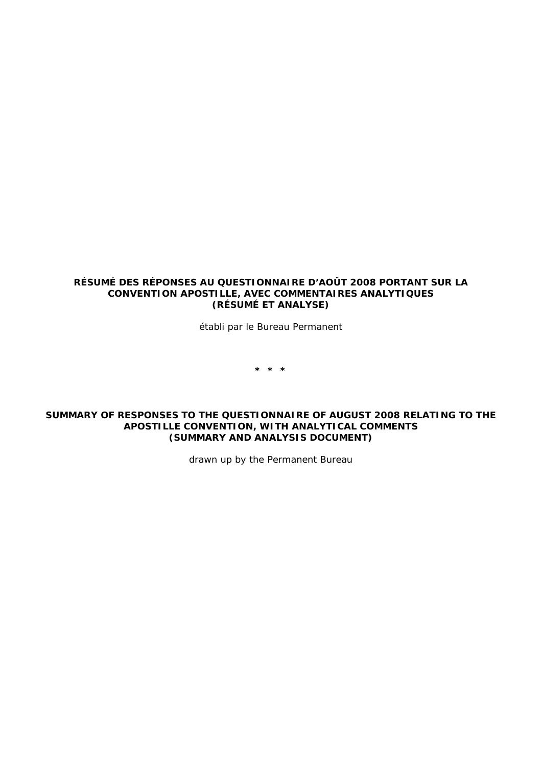### **RÉSUMÉ DES RÉPONSES AU QUESTIONNAIRE D'AOÛT 2008 PORTANT SUR LA CONVENTION APOSTILLE, AVEC COMMENTAIRES ANALYTIQUES (RÉSUMÉ ET ANALYSE)**

*établi par le Bureau Permanent* 

**\* \* \*** 

### **SUMMARY OF RESPONSES TO THE QUESTIONNAIRE OF AUGUST 2008 RELATING TO THE APOSTILLE CONVENTION, WITH ANALYTICAL COMMENTS (SUMMARY AND ANALYSIS DOCUMENT)**

*drawn up by the Permanent Bureau*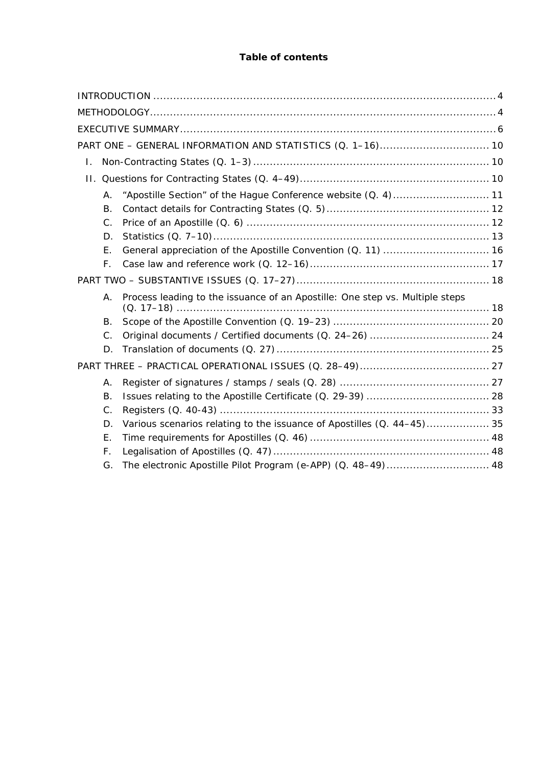# **Table of contents**

| L. |                                                                                    |                                                               |  |  |  |  |  |
|----|------------------------------------------------------------------------------------|---------------------------------------------------------------|--|--|--|--|--|
|    |                                                                                    |                                                               |  |  |  |  |  |
|    | Α.                                                                                 | "Apostille Section" of the Hague Conference website (Q. 4) 11 |  |  |  |  |  |
|    | <b>B.</b>                                                                          |                                                               |  |  |  |  |  |
|    | C.                                                                                 |                                                               |  |  |  |  |  |
|    | D.                                                                                 |                                                               |  |  |  |  |  |
|    | Ε.                                                                                 |                                                               |  |  |  |  |  |
|    | F.                                                                                 |                                                               |  |  |  |  |  |
|    |                                                                                    |                                                               |  |  |  |  |  |
|    | Process leading to the issuance of an Apostille: One step vs. Multiple steps<br>Α. |                                                               |  |  |  |  |  |
|    | Β.                                                                                 |                                                               |  |  |  |  |  |
|    | $C_{\cdot}$                                                                        |                                                               |  |  |  |  |  |
|    | D.                                                                                 |                                                               |  |  |  |  |  |
|    |                                                                                    |                                                               |  |  |  |  |  |
|    | Α.                                                                                 |                                                               |  |  |  |  |  |
|    | Β.                                                                                 |                                                               |  |  |  |  |  |
|    | C.                                                                                 |                                                               |  |  |  |  |  |
|    | D.                                                                                 |                                                               |  |  |  |  |  |
|    | Ε.                                                                                 |                                                               |  |  |  |  |  |
|    | F.                                                                                 |                                                               |  |  |  |  |  |
|    | G.                                                                                 | The electronic Apostille Pilot Program (e-APP) (Q. 48-49) 48  |  |  |  |  |  |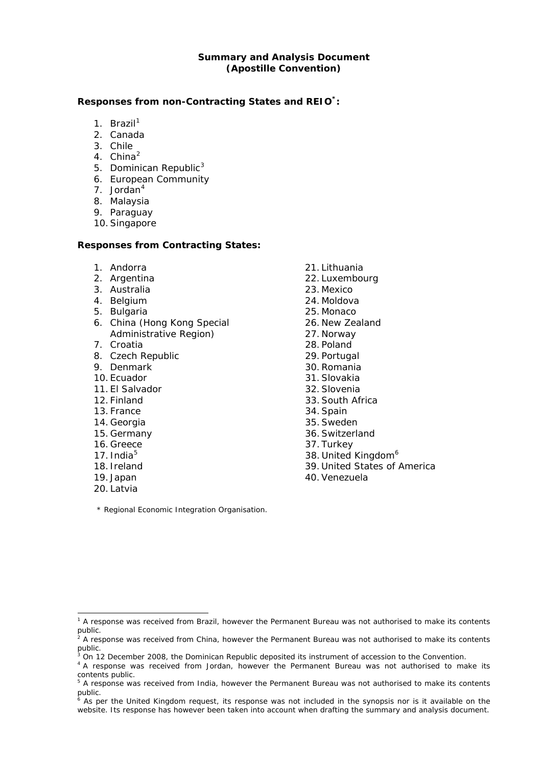## **Summary and Analysis Document (Apostille Convention)**

#### **Responses from non-Contracting States and REIO\*:**

- [1](#page-3-0). Brazil $1$
- 2. Canada
- 3. Chile
- 4. China<sup>[2](#page-3-1)</sup>
- 5. Dominican Republic<sup>[3](#page-3-2)</sup>
- 6. European Community
- 7. Jordan<sup>[4](#page-3-3)</sup>
- 8. Malaysia
- 9. Paraguay
- 10.Singapore

## **Responses from Contracting States:**

- 1. Andorra
- 2. Argentina
- 3. Australia
- 4. Belgium
- 5. Bulgaria
- 6. China (Hong Kong Special Administrative Region)
- 7. Croatia
- 8. Czech Republic
- 9. Denmark
- 10. Ecuador
- 11. El Salvador
- 12. Finland
- 13. France
- 14. Georgia
- 15. Germany
- 16. Greece
- 17. India $5$
- 18. Ireland
- 19. Japan
- 20. Latvia

1

- 21. Lithuania
- 22. Luxembourg
- 23. Mexico
- 24. Moldova
- 25. Monaco
- 26. New Zealand
- 27. Norway
- 28. Poland
- 29. Portugal
- 30.Romania
- 31.Slovakia
- 32.Slovenia
- 33.South Africa
- 34.Spain
- 35.Sweden
- 36.Switzerland
- 37. Turkey
- 38. United Kingdom<sup>[6](#page-3-5)</sup>
- 39. United States of America
- 40.Venezuela

\* Regional Economic Integration Organisation.

<span id="page-3-0"></span><sup>&</sup>lt;sup>1</sup> A response was received from Brazil, however the Permanent Bureau was not authorised to make its contents public.<br><sup>2</sup> A response was received from China, however the Permanent Bureau was not authorised to make its contents

<span id="page-3-1"></span>public.

<span id="page-3-3"></span><span id="page-3-2"></span><sup>&</sup>lt;sup>3</sup> On 12 December 2008, the Dominican Republic deposited its instrument of accession to the Convention.

<sup>&</sup>lt;sup>4</sup> A response was received from Jordan, however the Permanent Bureau was not authorised to make its contents public.

<span id="page-3-4"></span><sup>&</sup>lt;sup>5</sup> A response was received from India, however the Permanent Bureau was not authorised to make its contents public.<br><sup>6</sup> As po

<span id="page-3-5"></span>As per the United Kingdom request, its response was not included in the synopsis nor is it available on the website. Its response has however been taken into account when drafting the summary and analysis document.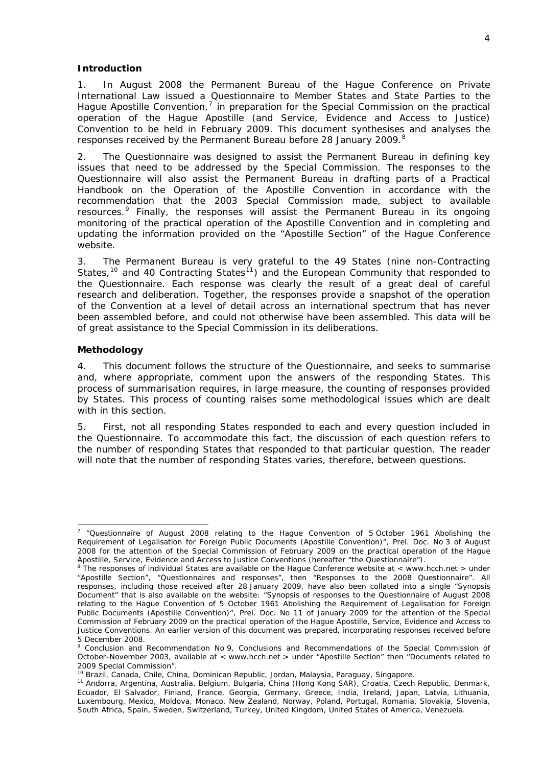#### <span id="page-4-0"></span>**Introduction**

1. In August 2008 the Permanent Bureau of the Hague Conference on Private International Law issued a Questionnaire to Member States and State Parties to the Hague Apostille Convention, $<sup>7</sup>$  $<sup>7</sup>$  $<sup>7</sup>$  in preparation for the Special Commission on the practical</sup> operation of the Hague Apostille (and Service, Evidence and Access to Justice) Convention to be held in February 2009. This document synthesises and analyses the responses received by the Permanent Bureau before 2[8](#page-4-3) January 2009.<sup>8</sup>

2. The Questionnaire was designed to assist the Permanent Bureau in defining key issues that need to be addressed by the Special Commission. The responses to the Questionnaire will also assist the Permanent Bureau in drafting parts of a Practical Handbook on the Operation of the Apostille Convention in accordance with the recommendation that the 2003 Special Commission made, subject to available resources.[9](#page-4-4) Finally, the responses will assist the Permanent Bureau in its ongoing monitoring of the practical operation of the Apostille Convention and in completing and updating the information provided on the "Apostille Section" of the Hague Conference website.

3. The Permanent Bureau is very grateful to the 49 States (nine non-Contracting States,<sup>[10](#page-4-5)</sup> and 40 Contracting States<sup>[11](#page-4-6)</sup>) and the European Community that responded to the Questionnaire. Each response was clearly the result of a great deal of careful research and deliberation. Together, the responses provide a snapshot of the operation of the Convention at a level of detail across an international spectrum that has never been assembled before, and could not otherwise have been assembled. This data will be of great assistance to the Special Commission in its deliberations.

#### <span id="page-4-1"></span>**Methodology**

4. This document follows the structure of the Questionnaire, and seeks to summarise and, where appropriate, comment upon the answers of the responding States. This process of summarisation requires, in large measure, the counting of responses provided by States. This process of counting raises some methodological issues which are dealt with in this section.

5. First, not all responding States responded to each and every question included in the Questionnaire. To accommodate this fact, the discussion of each question refers to the number of responding States that responded to that particular question. The reader will note that the number of responding States varies, therefore, between questions.

<span id="page-4-2"></span> 7 "Questionnaire of August 2008 relating to the *Hague Convention of 5 October 1961 Abolishing the Requirement of Legalisation for Foreign Public Documents* (Apostille Convention)", Prel. Doc. No 3 of August 2008 for the attention of the Special Commission of February 2009 on the practical operation of the Hague Apostille, Service, Evidence and Access to Justice Conventions (hereafter "the Questionnaire").<br><sup>8</sup> The responses of individual States are available on the Hague Conference website at < www.hcch.net > under

<span id="page-4-3"></span><sup>&</sup>quot;Apostille Section", "Questionnaires and responses", then "Responses to the 2008 Questionnaire". All responses, including those received after 28 January 2009, have also been collated into a single "Synopsis Document" that is also available on the website: "Synopsis of responses to the Questionnaire of August 2008 relating to the *Hague Convention of 5 October 1961 Abolishing the Requirement of Legalisation for Foreign Public Documents* (Apostille Convention)", Prel. Doc. No 11 of January 2009 for the attention of the Special Commission of February 2009 on the practical operation of the Hague Apostille, Service, Evidence and Access to Justice Conventions. An earlier version of this document was prepared, incorporating responses received before 5 December 2008.

<span id="page-4-4"></span><sup>9</sup> Conclusion and Recommendation No 9, Conclusions and Recommendations of the Special Commission of October-November 2003, available at < www.hcch.net > under "Apostille Section" then "Documents related to 2009 Special Commission".<br><sup>10</sup> Brazil, Canada, Chile, China, Dominican Republic, Jordan, Malaysia, Paraguay, Singapore.

<span id="page-4-6"></span><span id="page-4-5"></span><sup>11</sup> Andorra, Argentina, Australia, Belgium, Bulgaria, China (Hong Kong SAR), Croatia, Czech Republic, Denmark, Ecuador, El Salvador, Finland, France, Georgia, Germany, Greece, India, Ireland, Japan, Latvia, Lithuania, Luxembourg, Mexico, Moldova, Monaco, New Zealand, Norway, Poland, Portugal, Romania, Slovakia, Slovenia, South Africa, Spain, Sweden, Switzerland, Turkey, United Kingdom, United States of America, Venezuela.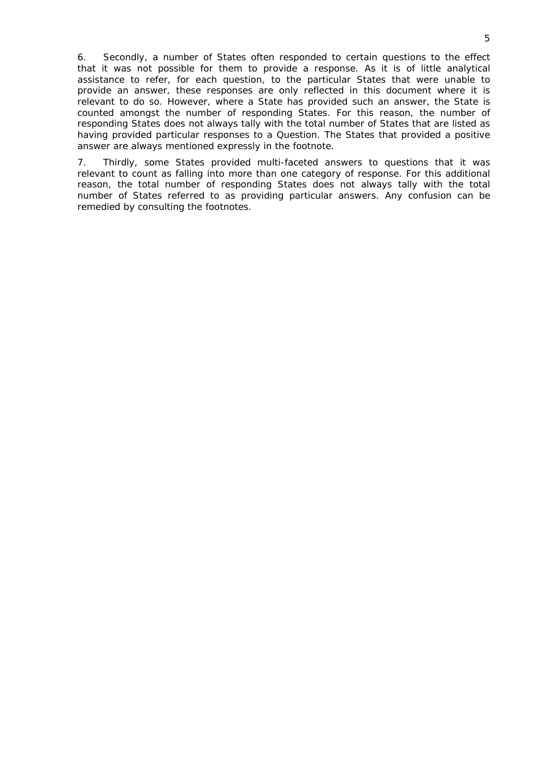6. Secondly, a number of States often responded to certain questions to the effect that it was not possible for them to provide a response. As it is of little analytical assistance to refer, for each question, to the particular States that were unable to provide an answer, these responses are only reflected in this document where it is relevant to do so. However, where a State has provided such an answer, the State is counted amongst the number of responding States. For this reason, the number of responding States does not always tally with the total number of States that are listed as having provided particular responses to a Question. The States that provided a positive answer are always mentioned expressly in the footnote.

7. Thirdly, some States provided multi-faceted answers to questions that it was relevant to count as falling into more than one category of response. For this additional reason, the total number of responding States does not always tally with the total number of States referred to as providing particular answers. Any confusion can be remedied by consulting the footnotes.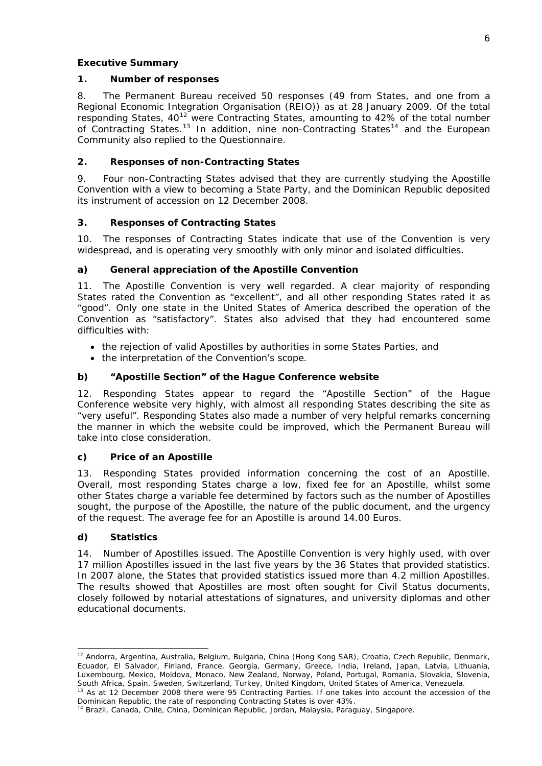## <span id="page-6-0"></span>**Executive Summary**

## **1. Number of responses**

8. The Permanent Bureau received 50 responses (49 from States, and one from a Regional Economic Integration Organisation (REIO)) as at 28 January 2009. Of the total responding States,  $40^{12}$  $40^{12}$  $40^{12}$  were Contracting States, amounting to 42% of the total number of Contracting States.<sup>[13](#page-6-2)</sup> In addition, nine non-Contracting States<sup>14</sup> and the European Community also replied to the Questionnaire.

# **2. Responses of non-Contracting States**

9. Four non-Contracting States advised that they are currently studying the Apostille Convention with a view to becoming a State Party, and the Dominican Republic deposited its instrument of accession on 12 December 2008.

# **3. Responses of Contracting States**

10. The responses of Contracting States indicate that use of the Convention is very widespread, and is operating very smoothly with only minor and isolated difficulties.

# *a) General appreciation of the Apostille Convention*

11. The Apostille Convention is very well regarded. A clear majority of responding States rated the Convention as "excellent", and all other responding States rated it as "good". Only one state in the United States of America described the operation of the Convention as "satisfactory". States also advised that they had encountered some difficulties with:

- the rejection of valid Apostilles by authorities in some States Parties, and
- the interpretation of the Convention's scope.

# *b) "Apostille Section" of the Hague Conference website*

12. Responding States appear to regard the "Apostille Section" of the Hague Conference website very highly, with almost all responding States describing the site as "very useful". Responding States also made a number of very helpful remarks concerning the manner in which the website could be improved, which the Permanent Bureau will take into close consideration.

# *c) Price of an Apostille*

13. Responding States provided information concerning the cost of an Apostille. Overall, most responding States charge a low, fixed fee for an Apostille, whilst some other States charge a variable fee determined by factors such as the number of Apostilles sought, the purpose of the Apostille, the nature of the public document, and the urgency of the request. The average fee for an Apostille is around 14.00 Euros.

# *d) Statistics*

1

14. *Number of Apostilles issued.* The Apostille Convention is very highly used, with over 17 million Apostilles issued in the last five years by the 36 States that provided statistics. In 2007 alone, the States that provided statistics issued more than 4.2 million Apostilles. The results showed that Apostilles are most often sought for Civil Status documents, closely followed by notarial attestations of signatures, and university diplomas and other educational documents.

<span id="page-6-1"></span><sup>&</sup>lt;sup>12</sup> Andorra, Argentina, Australia, Belgium, Bulgaria, China (Hong Kong SAR), Croatia, Czech Republic, Denmark, Ecuador, El Salvador, Finland, France, Georgia, Germany, Greece, India, Ireland, Japan, Latvia, Lithuania, Luxembourg, Mexico, Moldova, Monaco, New Zealand, Norway, Poland, Portugal, Romania, Slovakia, Slovenia, South Africa, Spain, Sweden, Switzerland, Turkey, United Kingdom, United States of America, Venezuela. 13 As at 12 December 2008 there were 95 Contracting Parties. If one takes into account the accession of the

<span id="page-6-2"></span>Dominican Republic, the rate of responding Contracting States is over 43%.<br><sup>14</sup> Brazil, Canada, Chile, China, Dominican Republic, Jordan, Malaysia, Paraguay, Singapore.

<span id="page-6-3"></span>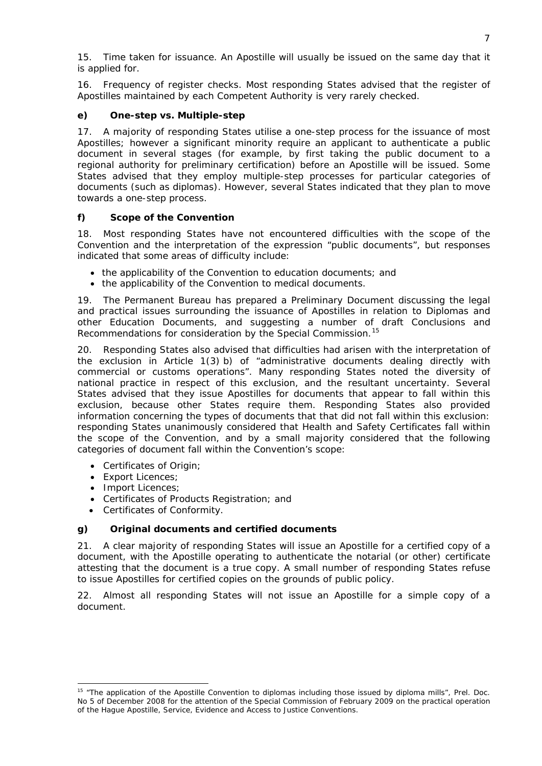15. *Time taken for issuance.* An Apostille will usually be issued on the same day that it is applied for.

16. *Frequency of register checks.* Most responding States advised that the register of Apostilles maintained by each Competent Authority is very rarely checked.

# *e) One-step vs. Multiple-step*

17. A majority of responding States utilise a one-step process for the issuance of most Apostilles; however a significant minority require an applicant to authenticate a public document in several stages (for example, by first taking the public document to a regional authority for preliminary certification) before an Apostille will be issued. Some States advised that they employ multiple-step processes for particular categories of documents (such as diplomas). However, several States indicated that they plan to move towards a one-step process.

# *f) Scope of the Convention*

18. Most responding States have not encountered difficulties with the scope of the Convention and the interpretation of the expression "public documents", but responses indicated that some areas of difficulty include:

- the applicability of the Convention to education documents; and
- the applicability of the Convention to medical documents.

19. The Permanent Bureau has prepared a Preliminary Document discussing the legal and practical issues surrounding the issuance of Apostilles in relation to Diplomas and other Education Documents, and suggesting a number of draft Conclusions and Recommendations for consideration by the Special Commission.<sup>[15](#page-7-0)</sup>

20. Responding States also advised that difficulties had arisen with the interpretation of the exclusion in Article 1(3) *b)* of "administrative documents dealing directly with commercial or customs operations". Many responding States noted the diversity of national practice in respect of this exclusion, and the resultant uncertainty. Several States advised that they issue Apostilles for documents that appear to fall within this exclusion, because other States require them. Responding States also provided information concerning the types of documents that that did not fall within this exclusion: responding States unanimously considered that Health and Safety Certificates fall within the scope of the Convention, and by a small majority considered that the following categories of document fall within the Convention's scope:

- Certificates of Origin;
- Export Licences;
- Import Licences:

-

- Certificates of Products Registration; and
- Certificates of Conformity.

# *g) Original documents and certified documents*

21. A clear majority of responding States will issue an Apostille for a certified copy of a document, with the Apostille operating to authenticate the notarial (or other) certificate attesting that the document is a true copy. A small number of responding States refuse to issue Apostilles for certified copies on the grounds of public policy.

22. Almost all responding States will not issue an Apostille for a simple copy of a document.

<span id="page-7-0"></span><sup>&</sup>lt;sup>15</sup> "The application of the Apostille Convention to diplomas including those issued by diploma mills", Prel. Doc. No 5 of December 2008 for the attention of the Special Commission of February 2009 on the practical operation of the Hague Apostille, Service, Evidence and Access to Justice Conventions.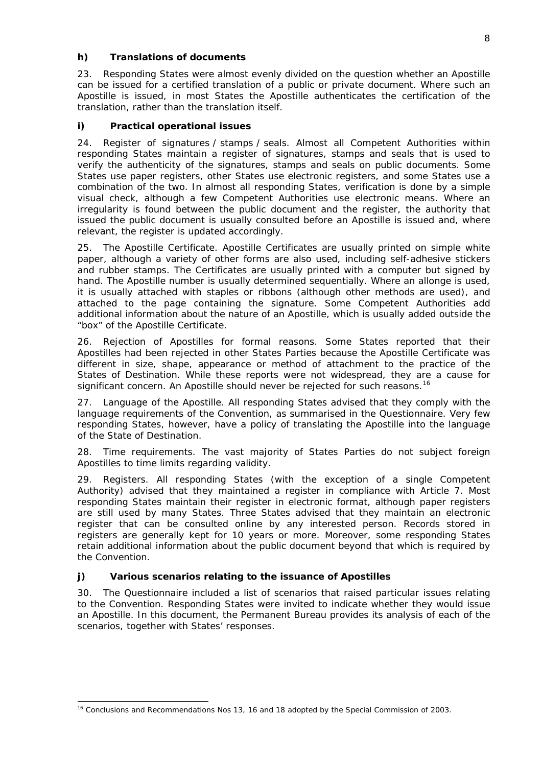# *h) Translations of documents*

23. Responding States were almost evenly divided on the question whether an Apostille can be issued for a certified translation of a public or private document. Where such an Apostille is issued, in most States the Apostille authenticates the certification of the translation, rather than the translation itself.

# *i) Practical operational issues*

24. *Register of signatures / stamps / seals*. Almost all Competent Authorities within responding States maintain a register of signatures, stamps and seals that is used to verify the authenticity of the signatures, stamps and seals on public documents. Some States use paper registers, other States use electronic registers, and some States use a combination of the two. In almost all responding States, verification is done by a simple visual check, although a few Competent Authorities use electronic means. Where an irregularity is found between the public document and the register, the authority that issued the public document is usually consulted before an Apostille is issued and, where relevant, the register is updated accordingly.

25. *The Apostille Certificate*. Apostille Certificates are usually printed on simple white paper, although a variety of other forms are also used, including self-adhesive stickers and rubber stamps. The Certificates are usually printed with a computer but signed by hand. The Apostille number is usually determined sequentially. Where an *allonge* is used, it is usually attached with staples or ribbons (although other methods are used), and attached to the page containing the signature. Some Competent Authorities add additional information about the nature of an Apostille, which is usually added outside the "box" of the Apostille Certificate.

26. *Rejection of Apostilles for formal reasons*. Some States reported that their Apostilles had been rejected in other States Parties because the Apostille Certificate was different in size, shape, appearance or method of attachment to the practice of the States of Destination. While these reports were not widespread, they are a cause for significant concern. An Apostille should never be rejected for such reasons.<sup>[16](#page-8-0)</sup>

27. *Language of the Apostille*. All responding States advised that they comply with the language requirements of the Convention, as summarised in the Questionnaire. Very few responding States, however, have a policy of translating the Apostille into the language of the State of Destination.

28. *Time requirements.* The vast majority of States Parties do not subject foreign Apostilles to time limits regarding validity.

29. *Registers*. All responding States (with the exception of a single Competent Authority) advised that they maintained a register in compliance with Article 7. Most responding States maintain their register in electronic format, although paper registers are still used by many States. Three States advised that they maintain an electronic register that can be consulted online by any interested person. Records stored in registers are generally kept for 10 years or more. Moreover, some responding States retain additional information about the public document beyond that which is required by the Convention.

# *j) Various scenarios relating to the issuance of Apostilles*

30. The Questionnaire included a list of scenarios that raised particular issues relating to the Convention. Responding States were invited to indicate whether they would issue an Apostille. In this document, the Permanent Bureau provides its analysis of each of the scenarios, together with States' responses.

<span id="page-8-0"></span><sup>1</sup> <sup>16</sup> Conclusions and Recommendations Nos 13, 16 and 18 adopted by the Special Commission of 2003.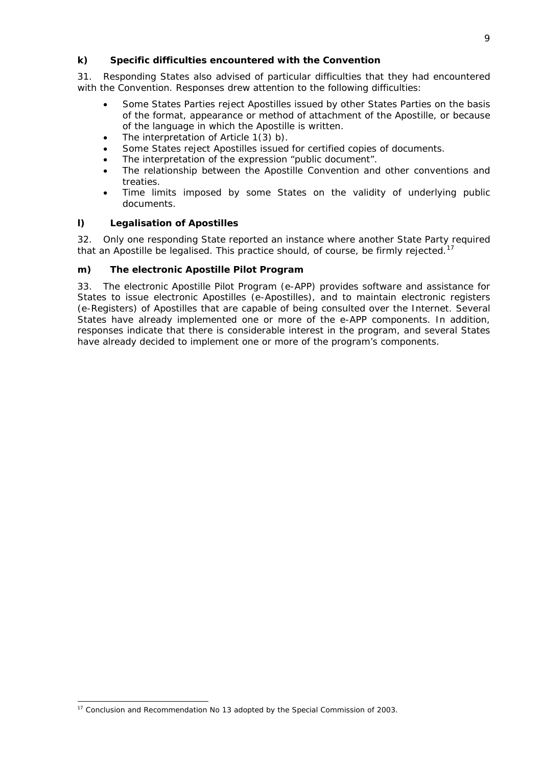## *k) Specific difficulties encountered with the Convention*

31. Responding States also advised of particular difficulties that they had encountered with the Convention. Responses drew attention to the following difficulties:

- Some States Parties reject Apostilles issued by other States Parties on the basis of the format, appearance or method of attachment of the Apostille, or because of the language in which the Apostille is written.
- The interpretation of Article 1(3) *b)*.
- Some States reject Apostilles issued for certified copies of documents.
- The interpretation of the expression "public document".
- The relationship between the Apostille Convention and other conventions and treaties.
- Time limits imposed by some States on the validity of underlying public documents.

## *l) Legalisation of Apostilles*

32. Only one responding State reported an instance where another State Party required that an Apostille be legalised. This practice should, of course, be firmly rejected.<sup>[17](#page-9-0)</sup>

## *m) The electronic Apostille Pilot Program*

33. The electronic Apostille Pilot Program (e-APP) provides software and assistance for States to issue electronic Apostilles (e-Apostilles), and to maintain electronic registers (e-Registers) of Apostilles that are capable of being consulted over the Internet. Several States have already implemented one or more of the e-APP components. In addition, responses indicate that there is considerable interest in the program, and several States have already decided to implement one or more of the program's components.

<span id="page-9-0"></span><sup>&</sup>lt;sup>17</sup> Conclusion and Recommendation No 13 adopted by the Special Commission of 2003.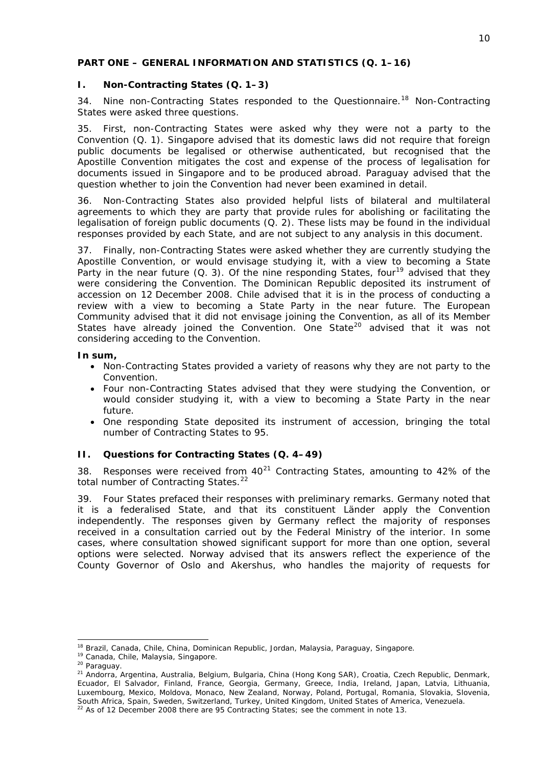## <span id="page-10-0"></span>**PART ONE – GENERAL INFORMATION AND STATISTICS (Q. 1–16)**

## <span id="page-10-1"></span>*I. Non-Contracting States (Q. 1–3)*

34. Nine non-Contracting States responded to the Questionnaire.<sup>[18](#page-10-3)</sup> Non-Contracting States were asked three questions.

35. First, non-Contracting States were asked why they were not a party to the Convention (Q. 1). Singapore advised that its domestic laws did not require that foreign public documents be legalised or otherwise authenticated, but recognised that the Apostille Convention mitigates the cost and expense of the process of legalisation for documents issued in Singapore and to be produced abroad. Paraguay advised that the question whether to join the Convention had never been examined in detail.

36. Non-Contracting States also provided helpful lists of bilateral and multilateral agreements to which they are party that provide rules for abolishing or facilitating the legalisation of foreign public documents (Q. 2). These lists may be found in the individual responses provided by each State, and are not subject to any analysis in this document.

37. Finally, non-Contracting States were asked whether they are currently studying the Apostille Convention, or would envisage studying it, with a view to becoming a State Party in the near future (Q. 3). Of the nine responding States, four<sup>[19](#page-10-4)</sup> advised that they were considering the Convention. The Dominican Republic deposited its instrument of accession on 12 December 2008. Chile advised that it is in the process of conducting a review with a view to becoming a State Party in the near future. The European Community advised that it did not envisage joining the Convention, as all of its Member States have already joined the Convention. One State<sup>[20](#page-10-5)</sup> advised that it was not considering acceding to the Convention.

## **In sum,**

- Non-Contracting States provided a variety of reasons why they are not party to the Convention.
- Four non-Contracting States advised that they were studying the Convention, or would consider studying it, with a view to becoming a State Party in the near future.
- One responding State deposited its instrument of accession, bringing the total number of Contracting States to 95.

# <span id="page-10-2"></span>*II. Questions for Contracting States (Q. 4–49)*

38. Responses were received from  $40^{21}$  $40^{21}$  $40^{21}$  Contracting States, amounting to 42% of the total number of Contracting States.<sup>[22](#page-10-7)</sup>

39. Four States prefaced their responses with preliminary remarks. Germany noted that it is a federalised State, and that its constituent *Länder* apply the Convention independently. The responses given by Germany reflect the majority of responses received in a consultation carried out by the Federal Ministry of the interior. In some cases, where consultation showed significant support for more than one option, several options were selected. Norway advised that its answers reflect the experience of the County Governor of Oslo and Akershus, who handles the majority of requests for

<span id="page-10-6"></span><span id="page-10-5"></span>

<span id="page-10-4"></span><span id="page-10-3"></span><sup>&</sup>lt;sup>18</sup> Brazil, Canada, Chile, China, Dominican Republic, Jordan, Malaysia, Paraguay, Singapore.<br><sup>19</sup> Canada, Chile, Malaysia, Singapore.<br><sup>20</sup> Paraguay.<br><sup>21</sup> Andorra, Argentina, Australia, Belgium, Bulgaria, China (Hong Kong Ecuador, El Salvador, Finland, France, Georgia, Germany, Greece, India, Ireland, Japan, Latvia, Lithuania, Luxembourg, Mexico, Moldova, Monaco, New Zealand, Norway, Poland, Portugal, Romania, Slovakia, Slovenia, South Africa, Spain, Sweden, Switzerland, Turkey, United Kingdom, United States of America, Venezuela.<br><sup>22</sup> As of 12 December 2008 there are 95 Contracting States; see the comment in note 13.

<span id="page-10-7"></span>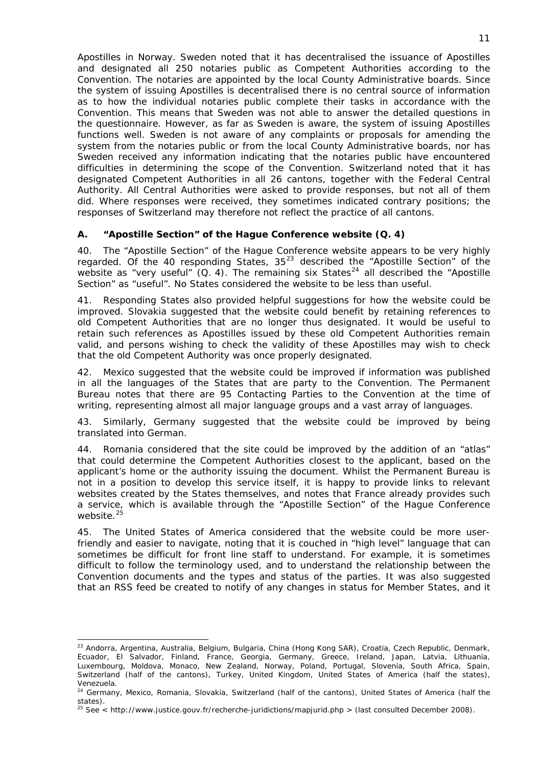Apostilles in Norway. Sweden noted that it has decentralised the issuance of Apostilles and designated all 250 notaries public as Competent Authorities according to the Convention. The notaries are appointed by the local County Administrative boards. Since the system of issuing Apostilles is decentralised there is no central source of information as to how the individual notaries public complete their tasks in accordance with the Convention. This means that Sweden was not able to answer the detailed questions in the questionnaire. However, as far as Sweden is aware, the system of issuing Apostilles functions well. Sweden is not aware of any complaints or proposals for amending the system from the notaries public or from the local County Administrative boards, nor has Sweden received any information indicating that the notaries public have encountered difficulties in determining the scope of the Convention. Switzerland noted that it has designated Competent Authorities in all 26 cantons, together with the Federal Central Authority. All Central Authorities were asked to provide responses, but not all of them did. Where responses were received, they sometimes indicated contrary positions; the responses of Switzerland may therefore not reflect the practice of all cantons.

# <span id="page-11-0"></span>**A. "Apostille Section" of the Hague Conference website (Q. 4)**

40. The "Apostille Section" of the Hague Conference website appears to be very highly regarded. Of the 40 responding States,  $35^{23}$  $35^{23}$  $35^{23}$  described the "Apostille Section" of the website as "very useful"  $(Q, 4)$ . The remaining six States<sup>[24](#page-11-2)</sup> all described the "Apostille Section" as "useful". No States considered the website to be less than useful.

41. Responding States also provided helpful suggestions for how the website could be improved. Slovakia suggested that the website could benefit by retaining references to old Competent Authorities that are no longer thus designated. It would be useful to retain such references as Apostilles issued by these old Competent Authorities remain valid, and persons wishing to check the validity of these Apostilles may wish to check that the old Competent Authority was once properly designated.

42. Mexico suggested that the website could be improved if information was published in all the languages of the States that are party to the Convention. The Permanent Bureau notes that there are 95 Contacting Parties to the Convention at the time of writing, representing almost all major language groups and a vast array of languages.

43. Similarly, Germany suggested that the website could be improved by being translated into German.

44. Romania considered that the site could be improved by the addition of an "atlas" that could determine the Competent Authorities closest to the applicant, based on the applicant's home or the authority issuing the document. Whilst the Permanent Bureau is not in a position to develop this service itself, it is happy to provide links to relevant websites created by the States themselves, and notes that France already provides such a service, which is available through the "Apostille Section" of the Hague Conference website.<sup>[25](#page-11-3)</sup>

45. The United States of America considered that the website could be more userfriendly and easier to navigate, noting that it is couched in "high level" language that can sometimes be difficult for front line staff to understand. For example, it is sometimes difficult to follow the terminology used, and to understand the relationship between the Convention documents and the types and status of the parties. It was also suggested that an RSS feed be created to notify of any changes in status for Member States, and it

<span id="page-11-1"></span><sup>23</sup> Andorra, Argentina, Australia, Belgium, Bulgaria, China (Hong Kong SAR), Croatia, Czech Republic, Denmark, Ecuador, El Salvador, Finland, France, Georgia, Germany, Greece, Ireland, Japan, Latvia, Lithuania, Luxembourg, Moldova, Monaco, New Zealand, Norway, Poland, Portugal, Slovenia, South Africa, Spain, Switzerland (half of the cantons), Turkey, United Kingdom, United States of America (half the states), Venezuela.

<span id="page-11-2"></span><sup>&</sup>lt;sup>24</sup> Germany, Mexico, Romania, Slovakia, Switzerland (half of the cantons), United States of America (half the states).

<span id="page-11-3"></span><sup>&</sup>lt;sup>25</sup> See < http://www.justice.gouv.fr/recherche-juridictions/mapjurid.php > (last consulted December 2008).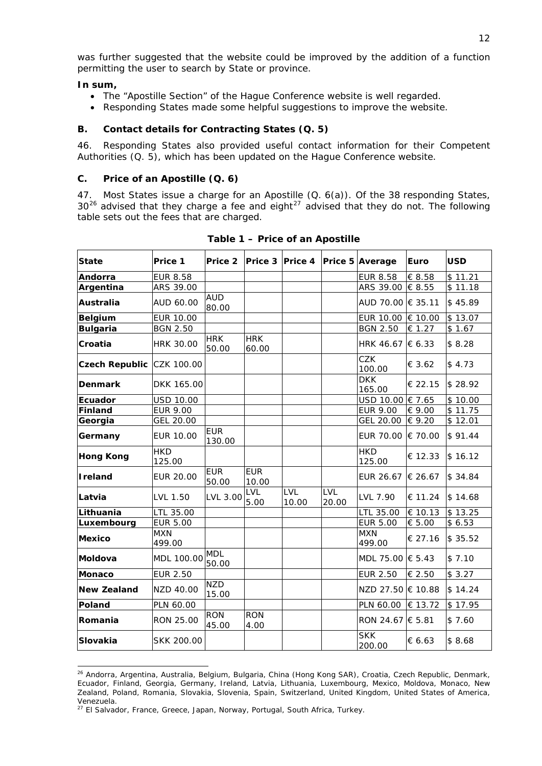was further suggested that the website could be improved by the addition of a function permitting the user to search by State or province.

### **In sum,**

- The "Apostille Section" of the Hague Conference website is well regarded.
- Responding States made some helpful suggestions to improve the website.

## <span id="page-12-0"></span>**B. Contact details for Contracting States (Q. 5)**

46. Responding States also provided useful contact information for their Competent Authorities (Q. 5), which has been updated on the Hague Conference website.

## <span id="page-12-1"></span>**C. Price of an Apostille (Q. 6)**

47. Most States issue a charge for an Apostille (Q. 6(a)). Of the 38 responding States,  $30^{26}$  $30^{26}$  $30^{26}$  advised that they charge a fee and eight<sup>27</sup> advised that they do not. The following table sets out the fees that are charged.

| <b>State</b>              | Price 1              | Price 2              |                     |              |              | Price 3 Price 4 Price 5 Average | Euro    | <b>USD</b>      |
|---------------------------|----------------------|----------------------|---------------------|--------------|--------------|---------------------------------|---------|-----------------|
| Andorra                   | <b>EUR 8.58</b>      |                      |                     |              |              | <b>EUR 8.58</b>                 | € 8.58  | \$11.21         |
| Argentina                 | ARS 39.00            |                      |                     |              |              | ARS 39.00 € 8.55                |         | \$11.18         |
| <b>Australia</b>          | AUD 60.00            | <b>AUD</b><br>80.00  |                     |              |              | AUD 70.00 € 35.11               |         | \$45.89         |
| <b>Belgium</b>            | <b>EUR 10.00</b>     |                      |                     |              |              | EUR 10.00 € 10.00               |         | \$13.07         |
| <b>Bulgaria</b>           | <b>BGN 2.50</b>      |                      |                     |              |              | <b>BGN 2.50</b>                 | € 1.27  | \$1.67          |
| Croatia                   | HRK 30.00            | <b>HRK</b><br>50.00  | <b>HRK</b><br>60.00 |              |              | HRK 46.67 € 6.33                |         | \$8.28          |
| Czech Republic CZK 100.00 |                      |                      |                     |              |              | <b>CZK</b><br>100.00            | € 3.62  | \$4.73          |
| <b>Denmark</b>            | DKK 165.00           |                      |                     |              |              | <b>DKK</b><br>165.00            | € 22.15 | \$28.92         |
| <b>Ecuador</b>            | <b>USD 10.00</b>     |                      |                     |              |              | USD 10.00 € 7.65                |         | \$10.00         |
| Finland                   | <b>EUR 9.00</b>      |                      |                     |              |              | <b>EUR 9.00</b>                 | € 9.00  | \$11.75         |
| Georgia                   | GEL 20.00            |                      |                     |              |              | GEL 20.00                       | € 9.20  | $\sqrt{$}12.01$ |
| Germany                   | EUR 10.00            | <b>EUR</b><br>130.00 |                     |              |              | EUR 70.00                       | € 70.00 | \$91.44         |
| <b>Hong Kong</b>          | <b>HKD</b><br>125.00 |                      |                     |              |              | <b>HKD</b><br>125.00            | € 12.33 | \$16.12         |
| Ireland                   | EUR 20.00            | <b>EUR</b><br>50.00  | <b>EUR</b><br>10.00 |              |              | EUR 26.67 $\in$ 26.67           |         | \$34.84         |
| Latvia                    | LVL 1.50             | LVL 3.00             | LVL<br>5.00         | LVL<br>10.00 | LVL<br>20.00 | LVL 7.90                        | € 11.24 | \$14.68         |
| Lithuania                 | LTL 35.00            |                      |                     |              |              | LTL 35.00                       | € 10.13 | \$13.25         |
| Luxembourg                | <b>EUR 5.00</b>      |                      |                     |              |              | <b>EUR 5.00</b>                 | € 5.00  | \$6.53          |
| Mexico                    | <b>MXN</b><br>499.00 |                      |                     |              |              | <b>MXN</b><br>499.00            | € 27.16 | \$35.52         |
| Moldova                   | MDL 100.00           | <b>MDL</b><br>50.00  |                     |              |              | MDL 75.00 € 5.43                |         | \$7.10          |
| <b>Monaco</b>             | <b>EUR 2.50</b>      |                      |                     |              |              | <b>EUR 2.50</b>                 | € 2.50  | \$3.27          |
| <b>New Zealand</b>        | NZD 40.00            | <b>NZD</b><br>15.00  |                     |              |              | NZD 27.50 € 10.88               |         | \$14.24         |
| Poland                    | PLN 60.00            |                      |                     |              |              | PLN 60.00                       | € 13.72 | \$17.95         |
| Romania                   | RON 25.00            | <b>RON</b><br>45.00  | <b>RON</b><br>4.00  |              |              | RON 24.67 € 5.81                |         | \$7.60          |
| <b>Slovakia</b>           | SKK 200.00           |                      |                     |              |              | <b>SKK</b><br>200.00            | € 6.63  | \$8.68          |

**Table 1 – Price of an Apostille** 

<span id="page-12-2"></span><sup>-</sup><sup>26</sup> Andorra, Argentina, Australia, Belgium, Bulgaria, China (Hong Kong SAR), Croatia, Czech Republic, Denmark, Ecuador, Finland, Georgia, Germany, Ireland, Latvia, Lithuania, Luxembourg, Mexico, Moldova, Monaco, New Zealand, Poland, Romania, Slovakia, Slovenia, Spain, Switzerland, United Kingdom, United States of America, Venezuela.

<span id="page-12-3"></span><sup>&</sup>lt;sup>27</sup> El Salvador, France, Greece, Japan, Norway, Portugal, South Africa, Turkey.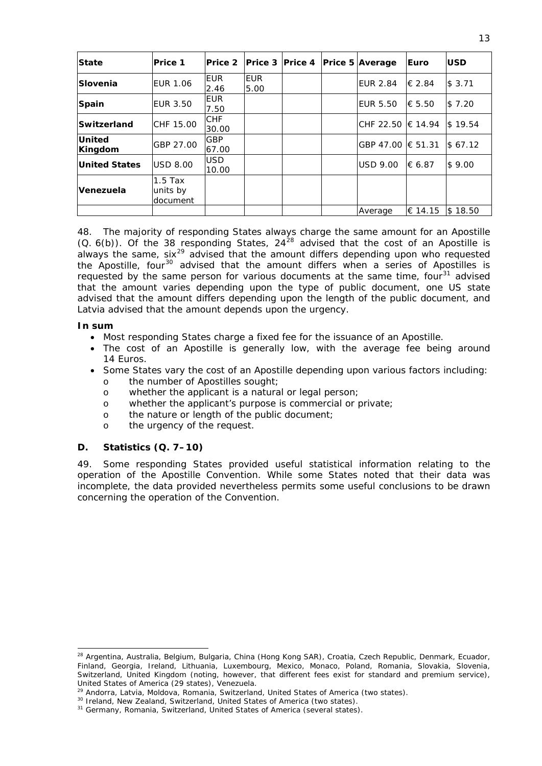| <b>State</b>             | <b>Price 1</b>                    | Price 2             | Prece 3   Price 4  |  | <b>Price 5 Average</b> | Euro    | <b>USD</b> |
|--------------------------|-----------------------------------|---------------------|--------------------|--|------------------------|---------|------------|
| Slovenia                 | <b>EUR 1.06</b>                   | <b>EUR</b><br>2.46  | <b>EUR</b><br>5.00 |  | <b>EUR 2.84</b>        | € 2.84  | \$3.71     |
| <b>Spain</b>             | <b>EUR 3.50</b>                   | <b>EUR</b><br>7.50  |                    |  | <b>EUR 5.50</b>        | € 5.50  | \$7.20     |
| Switzerland              | CHF 15.00                         | <b>CHF</b><br>30.00 |                    |  | CHF 22.50 € 14.94      |         | \$19.54    |
| <b>United</b><br>Kingdom | GBP 27.00                         | <b>GBP</b><br>67.00 |                    |  | GBP 47.00 € 51.31      |         | \$67.12    |
| <b>United States</b>     | <b>USD 8.00</b>                   | <b>USD</b><br>10.00 |                    |  | <b>USD 9.00</b>        | € 6.87  | \$9.00     |
| Venezuela                | $1.5$ Tax<br>units by<br>document |                     |                    |  |                        |         |            |
|                          |                                   |                     |                    |  | Average                | € 14.15 | \$18.50    |

48. The majority of responding States always charge the same amount for an Apostille  $(Q. 6(b))$ . Of the 38 responding States, 24<sup>[28](#page-13-1)</sup> advised that the cost of an Apostille is always the same, six<sup>[29](#page-13-2)</sup> advised that the amount differs depending upon who requested the Apostille, four<sup>[30](#page-13-3)</sup> advised that the amount differs when a series of Apostilles is requested by the same person for various documents at the same time, four $31$  advised that the amount varies depending upon the type of public document, one US state advised that the amount differs depending upon the length of the public document, and Latvia advised that the amount depends upon the urgency.

### **In sum**

1

- Most responding States charge a fixed fee for the issuance of an Apostille.
- The cost of an Apostille is generally low, with the average fee being around 14 Euros.
- Some States vary the cost of an Apostille depending upon various factors including:
	- o the number of Apostilles sought;
	- o whether the applicant is a natural or legal person;
	- o whether the applicant's purpose is commercial or private;
	- o the nature or length of the public document;
	- o the urgency of the request.

## <span id="page-13-0"></span>**D. Statistics (Q. 7–10)**

49. Some responding States provided useful statistical information relating to the operation of the Apostille Convention. While some States noted that their data was incomplete, the data provided nevertheless permits some useful conclusions to be drawn concerning the operation of the Convention.

<span id="page-13-1"></span><sup>&</sup>lt;sup>28</sup> Argentina, Australia, Belgium, Bulgaria, China (Hong Kong SAR), Croatia, Czech Republic, Denmark, Ecuador, Finland, Georgia, Ireland, Lithuania, Luxembourg, Mexico, Monaco, Poland, Romania, Slovakia, Slovenia, Switzerland, United Kingdom (noting, however, that different fees exist for standard and premium service), United States of America (29 states), Venezuela.<br><sup>29</sup> Andorra, Latvia, Moldova, Romania, Switzerland, United States of America (two states).

<span id="page-13-4"></span><span id="page-13-3"></span><span id="page-13-2"></span><sup>&</sup>lt;sup>30</sup> Ireland, New Zealand, Switzerland, United States of America (two states).<br><sup>31</sup> Germany, Romania, Switzerland, United States of America (several states).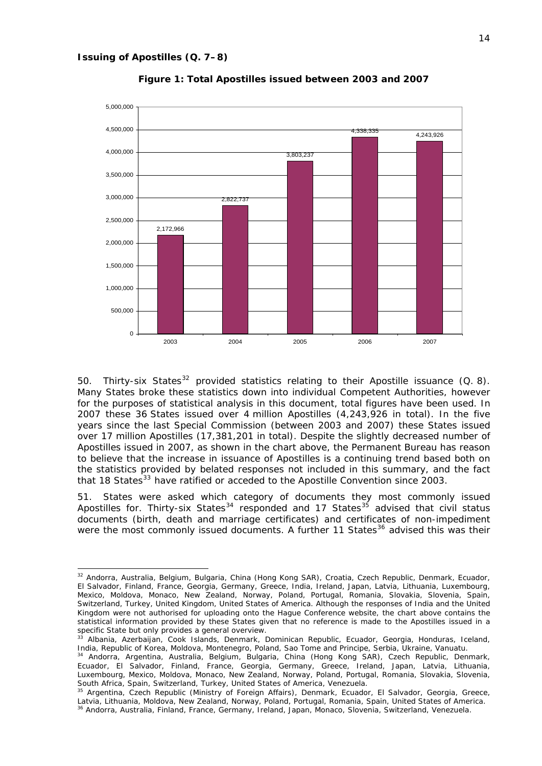1



**Figure 1: Total Apostilles issued between 2003 and 2007** 

50. Thirty-six States<sup>[32](#page-14-0)</sup> provided statistics relating to their Apostille issuance  $(Q. 8)$ . Many States broke these statistics down into individual Competent Authorities, however for the purposes of statistical analysis in this document, total figures have been used. In 2007 these 36 States issued over 4 million Apostilles (4,243,926 in total). In the five years since the last Special Commission (between 2003 and 2007) these States issued over 17 million Apostilles (17,381,201 in total). Despite the slightly decreased number of Apostilles issued in 2007, as shown in the chart above, the Permanent Bureau has reason to believe that the increase in issuance of Apostilles is a continuing trend based both on the statistics provided by belated responses not included in this summary, and the fact that 18 States<sup>[33](#page-14-1)</sup> have ratified or acceded to the Apostille Convention since 2003.

51. States were asked which category of documents they most commonly issued Apostilles for. Thirty-six States<sup>[34](#page-14-2)</sup> responded and 17 States<sup>[35](#page-14-3)</sup> advised that civil status documents (birth, death and marriage certificates) and certificates of non-impediment were the most commonly issued documents. A further 11 States<sup>[36](#page-14-4)</sup> advised this was their

<span id="page-14-0"></span><sup>32</sup> Andorra, Australia, Belgium, Bulgaria, China (Hong Kong SAR), Croatia, Czech Republic, Denmark, Ecuador, El Salvador, Finland, France, Georgia, Germany, Greece, India, Ireland, Japan, Latvia, Lithuania, Luxembourg, Mexico, Moldova, Monaco, New Zealand, Norway, Poland, Portugal, Romania, Slovakia, Slovenia, Spain, Switzerland, Turkey, United Kingdom, United States of America. Although the responses of India and the United Kingdom were not authorised for uploading onto the Hague Conference website, the chart above contains the statistical information provided by these States given that no reference is made to the Apostilles issued in a specific State but only provides a general overview.

<span id="page-14-1"></span><sup>33</sup> Albania, Azerbaijan, Cook Islands, Denmark, Dominican Republic, Ecuador, Georgia, Honduras, Iceland, India, Republic of Korea, Moldova, Montenegro, Poland, Sao Tome and Principe, Serbia, Ukraine, Vanuatu.<br><sup>34</sup> Andorra, Argentina, Australia, Belgium, Bulgaria, China (Hong Kong SAR), Czech Republic, Denmark,

<span id="page-14-2"></span>Ecuador, El Salvador, Finland, France, Georgia, Germany, Greece, Ireland, Japan, Latvia, Lithuania, Luxembourg, Mexico, Moldova, Monaco, New Zealand, Norway, Poland, Portugal, Romania, Slovakia, Slovenia, South Africa, Spain, Switzerland, Turkey, United States of America, Venezuela.<br><sup>35</sup> Argentina, Czech Republic (Ministry of Foreign Affairs), Denmark, Ecuador, El Salvador, Georgia, Greece,

<span id="page-14-4"></span><span id="page-14-3"></span>Latvia, Lithuania, Moldova, New Zealand, Norway, Poland, Portugal, Romania, Spain, United States of America.<br><sup>36</sup> Andorra, Australia, Finland, France, Germany, Ireland, Japan, Monaco, Slovenia, Switzerland, Venezuela.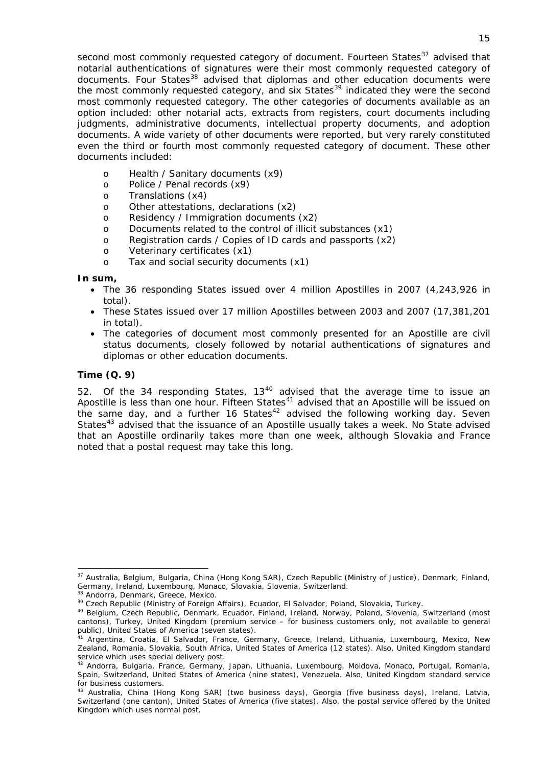second most commonly requested category of document. Fourteen States<sup>37</sup> advised that notarial authentications of signatures were their most commonly requested category of  $\frac{3}{5}$  documents. Four States<sup>38</sup> advised that diplomas and other education documents were the most commonly requested category, and six States<sup>39</sup> indicated they were the second most commonly requested category. The other categories of documents available as an option included: other notarial acts, extracts from registers, court documents including judgments, administrative documents, intellectual property documents, and adoption documents. A wide variety of other documents were reported, but very rarely constituted even the third or fourth most commonly requested category of document. These other documents included:

- o Health / Sanitary documents (x9)
- o Police / Penal records (x9)
- o Translations (x4)
- o Other attestations, declarations (x2)
- o Residency / Immigration documents (x2)
- o Documents related to the control of illicit substances (x1)
- o Registration cards / Copies of ID cards and passports (x2)
- o Veterinary certificates (x1)
- o Tax and social security documents (x1)

## **In sum,**

- The 36 responding States issued over 4 million Apostilles in 2007 (4,243,926 in total).
- These States issued over 17 million Apostilles between 2003 and 2007 (17,381,201 in total).
- The categories of document most commonly presented for an Apostille are civil status documents, closely followed by notarial authentications of signatures and diplomas or other education documents.

## *Time (Q. 9)*

1

52. Of the 34 responding States,  $13^{40}$  $13^{40}$  $13^{40}$  advised that the average time to issue an Apostille is less than one hour. Fifteen States $41$  advised that an Apostille will be issued on the same day, and a further 16 States<sup>[42](#page-15-2)</sup> advised the following working day. Seven States<sup>[43](#page-15-3)</sup> advised that the issuance of an Apostille usually takes a week. No State advised that an Apostille ordinarily takes more than one week, although Slovakia and France noted that a postal request may take this long.

<sup>37</sup> Australia, Belgium, Bulgaria, China (Hong Kong SAR), Czech Republic (Ministry of Justice), Denmark, Finland, Germany, Ireland, Luxembourg, Monaco, Slovakia, Slovenia, Switzerland.<br><sup>38</sup> Andorra, Denmark, Greece, Mexico.

<span id="page-15-0"></span><sup>&</sup>lt;sup>39</sup> Czech Republic (Ministry of Foreign Affairs), Ecuador, El Salvador, Poland, Slovakia, Turkey.<br><sup>40</sup> Belgium, Czech Republic, Denmark, Ecuador, Finland, Ireland, Norway, Poland, Slovenia, Switzerland (most cantons), Turkey, United Kingdom (premium service – for business customers only, not available to general public), United States of America (seven states).

<span id="page-15-1"></span><sup>&</sup>lt;sup>41</sup> Argentina, Croatia, El Salvador, France, Germany, Greece, Ireland, Lithuania, Luxembourg, Mexico, New Zealand, Romania, Slovakia, South Africa, United States of America (12 states). Also, United Kingdom standard service which uses special delivery post.

<span id="page-15-2"></span><sup>42</sup> Andorra, Bulgaria, France, Germany, Japan, Lithuania, Luxembourg, Moldova, Monaco, Portugal, Romania, Spain, Switzerland, United States of America (nine states), Venezuela. Also, United Kingdom standard service for business customers.

<span id="page-15-3"></span><sup>&</sup>lt;sup>43</sup> Australia, China (Hong Kong SAR) (two business days), Georgia (five business days), Ireland, Latvia, Switzerland (one canton), United States of America (five states). Also, the postal service offered by the United Kingdom which uses normal post.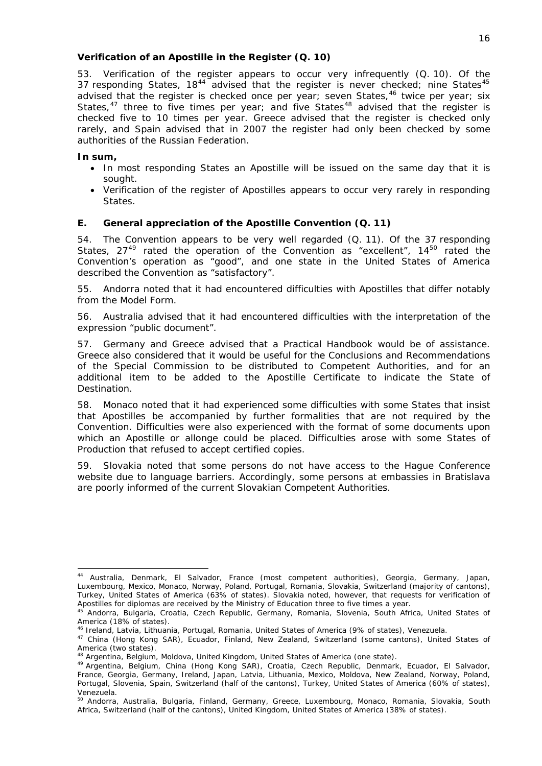## *Verification of an Apostille in the Register (Q. 10)*

53. Verification of the register appears to occur very infrequently (Q. 10). Of the 37 responding States,  $18^{44}$  $18^{44}$  $18^{44}$  advised that the register is never checked; nine States<sup>[45](#page-16-2)</sup> advised that the register is checked once per year; seven States,  $46$  twice per year; six States, $47$  three to five times per year; and five States<sup>[48](#page-16-5)</sup> advised that the register is checked five to 10 times per year. Greece advised that the register is checked only rarely, and Spain advised that in 2007 the register had only been checked by some authorities of the Russian Federation.

## **In sum,**

1

- In most responding States an Apostille will be issued on the same day that it is sought.
- Verification of the register of Apostilles appears to occur very rarely in responding States.

## <span id="page-16-0"></span>**E. General appreciation of the Apostille Convention (Q. 11)**

54. The Convention appears to be very well regarded (Q. 11). Of the 37 responding States,  $27^{49}$  $27^{49}$  $27^{49}$  rated the operation of the Convention as "excellent",  $14^{50}$  $14^{50}$  $14^{50}$  rated the Convention's operation as "good", and one state in the United States of America described the Convention as "satisfactory".

55. Andorra noted that it had encountered difficulties with Apostilles that differ notably from the Model Form.

56. Australia advised that it had encountered difficulties with the interpretation of the expression "public document".

57. Germany and Greece advised that a Practical Handbook would be of assistance. Greece also considered that it would be useful for the Conclusions and Recommendations of the Special Commission to be distributed to Competent Authorities, and for an additional item to be added to the Apostille Certificate to indicate the State of Destination.

58. Monaco noted that it had experienced some difficulties with some States that insist that Apostilles be accompanied by further formalities that are not required by the Convention. Difficulties were also experienced with the format of some documents upon which an Apostille or *allonge* could be placed. Difficulties arose with some States of Production that refused to accept certified copies.

59. Slovakia noted that some persons do not have access to the Hague Conference website due to language barriers. Accordingly, some persons at embassies in Bratislava are poorly informed of the current Slovakian Competent Authorities.

<span id="page-16-1"></span><sup>44</sup> Australia, Denmark, El Salvador, France (most competent authorities), Georgia, Germany, Japan, Luxembourg, Mexico, Monaco, Norway, Poland, Portugal, Romania, Slovakia, Switzerland (majority of cantons), Turkey, United States of America (63% of states). Slovakia noted, however, that requests for verification of Apostilles for diplomas are received by the Ministry of Education three to five times a year.

<span id="page-16-2"></span><sup>.&</sup>lt;br>Andorra, Bulgaria, Croatia, Czech Republic, Germany, Romania, Slovenia, South Africa, United States of America (18% of states).<br><sup>46</sup> Ireland, Latvia, Lithuania, Portugal, Romania, United States of America (9% of states), Venezuela.

<span id="page-16-3"></span>

<span id="page-16-4"></span><sup>&</sup>lt;sup>47</sup> China (Hong Kong SAR), Ecuador, Finland, New Zealand, Switzerland (some cantons), United States of America (two states).<br><sup>48</sup> Argentina, Belgium, Moldova, United Kingdom, United States of America (one state).

<span id="page-16-5"></span>

<span id="page-16-6"></span><sup>49</sup> Argentina, Belgium, China (Hong Kong SAR), Croatia, Czech Republic, Denmark, Ecuador, El Salvador, France, Georgia, Germany, Ireland, Japan, Latvia, Lithuania, Mexico, Moldova, New Zealand, Norway, Poland, Portugal, Slovenia, Spain, Switzerland (half of the cantons), Turkey, United States of America (60% of states), Venezuela.

<span id="page-16-7"></span><sup>50</sup> Andorra, Australia, Bulgaria, Finland, Germany, Greece, Luxembourg, Monaco, Romania, Slovakia, South Africa, Switzerland (half of the cantons), United Kingdom, United States of America (38% of states).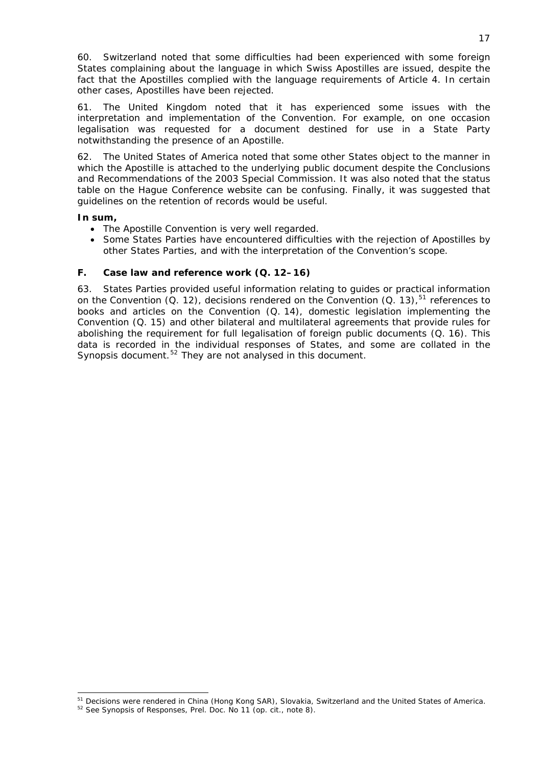60. Switzerland noted that some difficulties had been experienced with some foreign States complaining about the language in which Swiss Apostilles are issued, despite the fact that the Apostilles complied with the language requirements of Article 4. In certain other cases, Apostilles have been rejected.

61. The United Kingdom noted that it has experienced some issues with the interpretation and implementation of the Convention. For example, on one occasion legalisation was requested for a document destined for use in a State Party notwithstanding the presence of an Apostille.

62. The United States of America noted that some other States object to the manner in which the Apostille is attached to the underlying public document despite the Conclusions and Recommendations of the 2003 Special Commission. It was also noted that the status table on the Hague Conference website can be confusing. Finally, it was suggested that guidelines on the retention of records would be useful.

## **In sum,**

1

- The Apostille Convention is very well regarded.
- Some States Parties have encountered difficulties with the rejection of Apostilles by other States Parties, and with the interpretation of the Convention's scope.

## <span id="page-17-0"></span>**F. Case law and reference work (Q. 12–16)**

63. States Parties provided useful information relating to guides or practical information on the Convention (Q. 12), decisions rendered on the Convention (Q. 13),  $51$  references to books and articles on the Convention (Q. 14), domestic legislation implementing the Convention (Q. 15) and other bilateral and multilateral agreements that provide rules for abolishing the requirement for full legalisation of foreign public documents (Q. 16). This data is recorded in the individual responses of States, and some are collated in the Synopsis document.<sup>[52](#page-17-2)</sup> They are not analysed in this document.

<sup>&</sup>lt;sup>51</sup> Decisions were rendered in China (Hong Kong SAR), Slovakia, Switzerland and the United States of America.<br><sup>52</sup> See Synopsis of Responses, Prel. Doc. No 11 (*op. cit.*, note 8).

<span id="page-17-2"></span><span id="page-17-1"></span>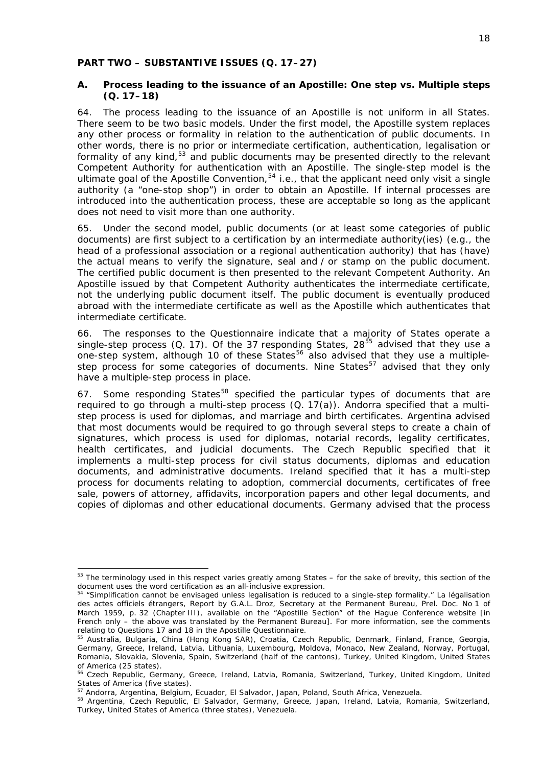#### <span id="page-18-0"></span>**PART TWO – SUBSTANTIVE ISSUES (Q. 17***–***27)**

### <span id="page-18-1"></span>**A. Process leading to the issuance of an Apostille: One step vs. Multiple steps (Q. 17–18)**

64. The process leading to the issuance of an Apostille is not uniform in all States. There seem to be two basic models. Under the first model, the Apostille system replaces any other process or formality in relation to the authentication of public documents. In other words, there is no prior or intermediate certification, authentication, legalisation or formality of any kind,<sup>[53](#page-18-2)</sup> and public documents may be presented directly to the relevant Competent Authority for authentication with an Apostille. The single-step model is the ultimate goal of the Apostille Convention,<sup>[54](#page-18-3)</sup> *i.e.*, that the applicant need only visit a single authority (a "one-stop shop") in order to obtain an Apostille. If internal processes are introduced into the authentication process, these are acceptable so long as the applicant does not need to visit more than one authority.

65. Under the second model, public documents (or at least some categories of public documents) are first subject to a certification by an intermediate authority(ies) (*e.g.*, the head of a professional association or a regional authentication authority) that has (have) the actual means to verify the signature, seal and / or stamp on the public document. The certified public document is then presented to the relevant Competent Authority. An Apostille issued by that Competent Authority authenticates the intermediate certificate, not the underlying public document itself. The public document is eventually produced abroad with the intermediate certificate as well as the Apostille which authenticates that intermediate certificate.

66. The responses to the Questionnaire indicate that a majority of States operate a single-step process (Q. 17). Of the 37 responding States,  $28^{55}$  $28^{55}$  $28^{55}$  advised that they use a one-step system, although 10 of these States<sup>[56](#page-18-5)</sup> also advised that they use a multiple-step process for some categories of documents. Nine States<sup>[57](#page-18-6)</sup> advised that they only have a multiple-step process in place.

67. Some responding States<sup>[58](#page-18-7)</sup> specified the particular types of documents that are required to go through a multi-step process (Q. 17(a)). Andorra specified that a multistep process is used for diplomas, and marriage and birth certificates. Argentina advised that most documents would be required to go through several steps to create a chain of signatures, which process is used for diplomas, notarial records, legality certificates, health certificates, and judicial documents. The Czech Republic specified that it implements a multi-step process for civil status documents, diplomas and education documents, and administrative documents. Ireland specified that it has a multi-step process for documents relating to adoption, commercial documents, certificates of free sale, powers of attorney, affidavits, incorporation papers and other legal documents, and copies of diplomas and other educational documents. Germany advised that the process

<span id="page-18-2"></span> $53$  The terminology used in this respect varies greatly among States – for the sake of brevity, this section of the document uses the word *certification* as an all-inclusive expression. 54 "Simplification cannot be envisaged unless legalisation is reduced to a single-step formality." *La légalisation* 

<span id="page-18-3"></span>*des actes officiels étrangers*, Report by G.A.L. Droz, Secretary at the Permanent Bureau, Prel. Doc. No 1 of March 1959, p. 32 (Chapter III), available on the "Apostille Section" of the Hague Conference website [in French only – the above was translated by the Permanent Bureau]. For more information, see the comments relating to Questions 17 and 18 in the Apostille Questionnaire.

<span id="page-18-4"></span><sup>&</sup>lt;sup>55</sup> Australia, Bulgaria, China (Hong Kong SAR), Croatia, Czech Republic, Denmark, Finland, France, Georgia, Germany, Greece, Ireland, Latvia, Lithuania, Luxembourg, Moldova, Monaco, New Zealand, Norway, Portugal, Romania, Slovakia, Slovenia, Spain, Switzerland (half of the cantons), Turkey, United Kingdom, United States of America (25 states).

<span id="page-18-5"></span><sup>&</sup>lt;sup>56</sup> Czech Republic, Germany, Greece, Ireland, Latvia, Romania, Switzerland, Turkey, United Kingdom, United States of America (five states).<br><sup>57</sup> Andorra, Argentina, Belgium, Ecuador, El Salvador, Japan, Poland, South Africa, Venezuela.

<span id="page-18-7"></span><span id="page-18-6"></span><sup>58</sup> Argentina, Czech Republic, El Salvador, Germany, Greece, Japan, Ireland, Latvia, Romania, Switzerland, Turkey, United States of America (three states), Venezuela.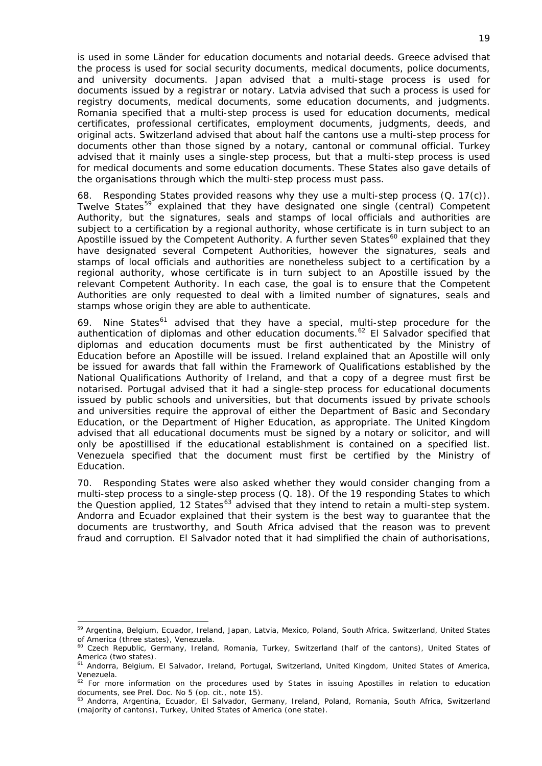is used in some *Länder* for education documents and notarial deeds. Greece advised that the process is used for social security documents, medical documents, police documents, and university documents. Japan advised that a multi-stage process is used for documents issued by a registrar or notary. Latvia advised that such a process is used for registry documents, medical documents, some education documents, and judgments. Romania specified that a multi-step process is used for education documents, medical certificates, professional certificates, employment documents, judgments, deeds, and original acts. Switzerland advised that about half the cantons use a multi-step process for documents other than those signed by a notary, cantonal or communal official. Turkey advised that it mainly uses a single-step process, but that a multi-step process is used for medical documents and some education documents. These States also gave details of the organisations through which the multi-step process must pass.

68. Responding States provided reasons why they use a multi-step process (Q. 17(c)). Twelve States<sup>[59](#page-19-0)</sup> explained that they have designated one single (central) Competent Authority, but the signatures, seals and stamps of local officials and authorities are subject to a certification by a regional authority, whose certificate is in turn subject to an Apostille issued by the Competent Authority. A further seven States<sup>[60](#page-19-1)</sup> explained that they have designated several Competent Authorities, however the signatures, seals and stamps of local officials and authorities are nonetheless subject to a certification by a regional authority, whose certificate is in turn subject to an Apostille issued by the relevant Competent Authority. In each case, the goal is to ensure that the Competent Authorities are only requested to deal with a limited number of signatures, seals and stamps whose origin they are able to authenticate.

69. Nine States<sup>[61](#page-19-2)</sup> advised that they have a special, multi-step procedure for the authentication of diplomas and other education documents.<sup>[62](#page-19-3)</sup> El Salvador specified that diplomas and education documents must be first authenticated by the Ministry of Education before an Apostille will be issued. Ireland explained that an Apostille will only be issued for awards that fall within the Framework of Qualifications established by the National Qualifications Authority of Ireland, and that a copy of a degree must first be notarised. Portugal advised that it had a single-step process for educational documents issued by public schools and universities, but that documents issued by private schools and universities require the approval of either the Department of Basic and Secondary Education, or the Department of Higher Education, as appropriate. The United Kingdom advised that all educational documents must be signed by a notary or solicitor, and will only be apostillised if the educational establishment is contained on a specified list. Venezuela specified that the document must first be certified by the Ministry of Education.

70. Responding States were also asked whether they would consider changing from a multi-step process to a single-step process (Q. 18). Of the 19 responding States to which the Question applied, 12 States<sup>[63](#page-19-4)</sup> advised that they intend to retain a multi-step system. Andorra and Ecuador explained that their system is the best way to guarantee that the documents are trustworthy, and South Africa advised that the reason was to prevent fraud and corruption. El Salvador noted that it had simplified the chain of authorisations,

<span id="page-19-0"></span><sup>&</sup>lt;sup>59</sup> Argentina, Belgium, Ecuador, Ireland, Japan, Latvia, Mexico, Poland, South Africa, Switzerland, United States of America (three states), Venezuela.<br><sup>60</sup> Czech Republic, Germany, Ireland, Romania, Turkey, Switzerland (half of the cantons), United States of

<span id="page-19-1"></span>America (two states).

<span id="page-19-2"></span><sup>61</sup> Andorra, Belgium, El Salvador, Ireland, Portugal, Switzerland, United Kingdom, United States of America, Venezuela.

<span id="page-19-3"></span><sup>&</sup>lt;sup>62</sup> For more information on the procedures used by States in issuing Apostilles in relation to education documents, see Prel. Doc. No 5 (*op. cit.*, note 15).<br><sup>63</sup> Andorra, Argentina, Ecuador, El Salvador, Germany, Ireland, Poland, Romania, South Africa, Switzerland

<span id="page-19-4"></span><sup>(</sup>majority of cantons), Turkey, United States of America (one state).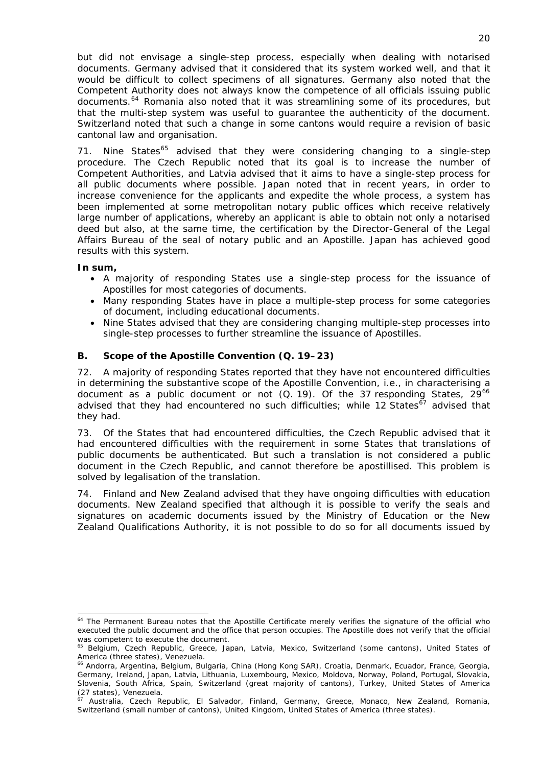but did not envisage a single-step process, especially when dealing with notarised documents. Germany advised that it considered that its system worked well, and that it would be difficult to collect specimens of all signatures. Germany also noted that the Competent Authority does not always know the competence of all officials issuing public documents.<sup>[64](#page-20-1)</sup> Romania also noted that it was streamlining some of its procedures, but that the multi-step system was useful to guarantee the authenticity of the document. Switzerland noted that such a change in some cantons would require a revision of basic cantonal law and organisation.

71. Nine States<sup>[65](#page-20-2)</sup> advised that they were considering changing to a single-step procedure. The Czech Republic noted that its goal is to increase the number of Competent Authorities, and Latvia advised that it aims to have a single-step process for all public documents where possible. Japan noted that in recent years, in order to increase convenience for the applicants and expedite the whole process, a system has been implemented at some metropolitan notary public offices which receive relatively large number of applications, whereby an applicant is able to obtain not only a notarised deed but also, at the same time, the certification by the Director-General of the Legal Affairs Bureau of the seal of notary public and an Apostille. Japan has achieved good results with this system.

### **In sum,**

- A majority of responding States use a single-step process for the issuance of Apostilles for most categories of documents.
- Many responding States have in place a multiple-step process for some categories of document, including educational documents.
- Nine States advised that they are considering changing multiple-step processes into single-step processes to further streamline the issuance of Apostilles.

## <span id="page-20-0"></span>**B. Scope of the Apostille Convention (Q. 19***–***23)**

72. A majority of responding States reported that they have not encountered difficulties in determining the substantive scope of the Apostille Convention, *i.e.*, in characterising a document as a public document or not  $(Q. 19)$ . Of the 37 responding States,  $29^{66}$  $29^{66}$  $29^{66}$ advised that they had encountered no such difficulties; while 12 States<sup>[67](#page-20-4)</sup> advised that they had.

document in the Czech Republic, and cannot therefore be apostillised. This problem is 73. Of the States that had encountered difficulties, the Czech Republic advised that it had encountered difficulties with the requirement in some States that translations of public documents be authenticated. But such a translation is not considered a public solved by legalisation of the translation.

Zealand Qualifications Authority, it is not possible to do so for all documents issued by 74. Finland and New Zealand advised that they have ongoing difficulties with education documents. New Zealand specified that although it is possible to verify the seals and signatures on academic documents issued by the Ministry of Education or the New

<span id="page-20-1"></span><sup>1</sup> <sup>64</sup> The Permanent Bureau notes that the Apostille Certificate merely verifies the signature of the official who executed the public document and the office that person occupies. The Apostille does not verify that the official was competent to execute the document.

<span id="page-20-2"></span><sup>&</sup>lt;sup>65</sup> Belgium, Czech Republic, Greece, Japan, Latvia, Mexico, Switzerland (some cantons), United States of America (three states), Venezuela.

<span id="page-20-3"></span><sup>66</sup> Andorra, Argentina, Belgium, Bulgaria, China (Hong Kong SAR), Croatia, Denmark, Ecuador, France, Georgia, Germany, Ireland, Japan, Latvia, Lithuania, Luxembourg, Mexico, Moldova, Norway, Poland, Portugal, Slovakia, Slovenia, South Africa, Spain, Switzerland (great majority of cantons), Turkey, United States of America  $(27 \text{ states})$ , Journ Arrica,<br> $(27 \text{ states})$ , Venezuela.

<span id="page-20-4"></span><sup>67</sup> Australia, Czech Republic, El Salvador, Finland, Germany, Greece, Monaco, New Zealand, Romania, Switzerland (small number of cantons), United Kingdom, United States of America (three states).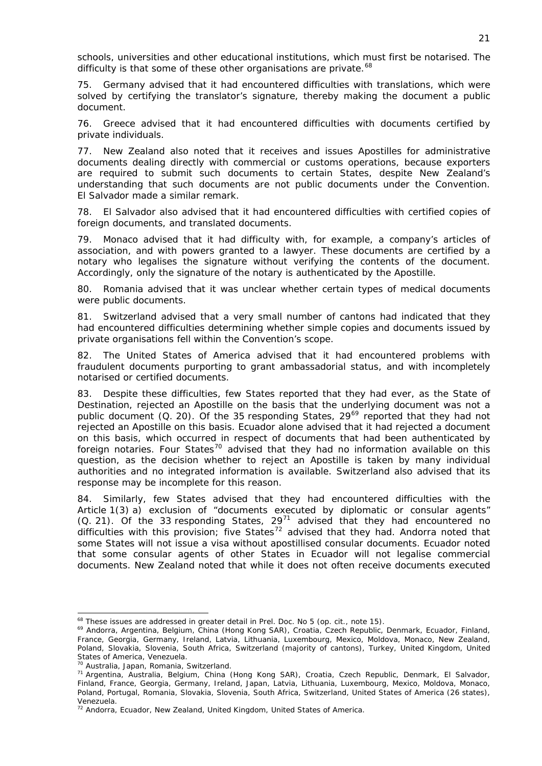schools, universities and other educational institutions, which must first be notarised. The difficulty is that some of these other organisations are private. $68$ 

75. Germany advised that it had encountered difficulties with translations, which were solved by certifying the translator's signature, thereby making the document a public document.

76. Greece advised that it had encountered difficulties with documents certified by private individuals.

77. New Zealand also noted that it receives and issues Apostilles for administrative documents dealing directly with commercial or customs operations, because exporters are required to submit such documents to certain States, despite New Zealand's understanding that such documents are not public documents under the Convention. El Salvador made a similar remark.

78. El Salvador also advised that it had encountered difficulties with certified copies of foreign documents, and translated documents.

79. Monaco advised that it had difficulty with, for example, a company's articles of association, and with powers granted to a lawyer. These documents are certified by a notary who legalises the signature without verifying the contents of the document. Accordingly, only the signature of the notary is authenticated by the Apostille.

80. Romania advised that it was unclear whether certain types of medical documents were public documents.

81. Switzerland advised that a very small number of cantons had indicated that they had encountered difficulties determining whether simple copies and documents issued by private organisations fell within the Convention's scope.

82. The United States of America advised that it had encountered problems with fraudulent documents purporting to grant ambassadorial status, and with incompletely notarised or certified documents.

83. Despite these difficulties, few States reported that they had ever, as the State of Destination, rejected an Apostille on the basis that the underlying document was not a public document (Q. 20). Of the 35 responding States, 29<sup>[69](#page-21-1)</sup> reported that they had not rejected an Apostille on this basis. Ecuador alone advised that it had rejected a document on this basis, which occurred in respect of documents that had been authenticated by foreign notaries. Four States<sup>[70](#page-21-2)</sup> advised that they had no information available on this question, as the decision whether to reject an Apostille is taken by many individual authorities and no integrated information is available. Switzerland also advised that its response may be incomplete for this reason.

84. Similarly, few States advised that they had encountered difficulties with the Article 1(3) *a)* exclusion of "documents executed by diplomatic or consular agents" (Q. 21). Of the 33 responding States,  $29^{71}$  $29^{71}$  $29^{71}$  advised that they had encountered no difficulties with this provision; five States<sup>[72](#page-21-4)</sup> advised that they had. Andorra noted that some States will not issue a visa without apostillised consular documents. Ecuador noted that some consular agents of other States in Ecuador will not legalise commercial documents. New Zealand noted that while it does not often receive documents executed

<span id="page-21-1"></span>

<span id="page-21-0"></span><sup>&</sup>lt;sup>68</sup> These issues are addressed in greater detail in Prel. Doc. No 5 (*op. cit.*, note 15).<br><sup>69</sup> Andorra, Argentina, Belgium, China (Hong Kong SAR), Croatia, Czech Republic, Denmark, Ecuador, Finland, France, Georgia, Germany, Ireland, Latvia, Lithuania, Luxembourg, Mexico, Moldova, Monaco, New Zealand, Poland, Slovakia, Slovenia, South Africa, Switzerland (majority of cantons), Turkey, United Kingdom, United States of America, Venezuela.<br><sup>70</sup> Australia, Japan, Romania, Switzerland.

<span id="page-21-3"></span><span id="page-21-2"></span><sup>&</sup>lt;sup>71</sup> Argentina, Australia, Belgium, China (Hong Kong SAR), Croatia, Czech Republic, Denmark, El Salvador, Finland, France, Georgia, Germany, Ireland, Japan, Latvia, Lithuania, Luxembourg, Mexico, Moldova, Monaco, Poland, Portugal, Romania, Slovakia, Slovenia, South Africa, Switzerland, United States of America (26 states), Venezuela.

<span id="page-21-4"></span> $72$  Andorra, Ecuador, New Zealand, United Kingdom, United States of America.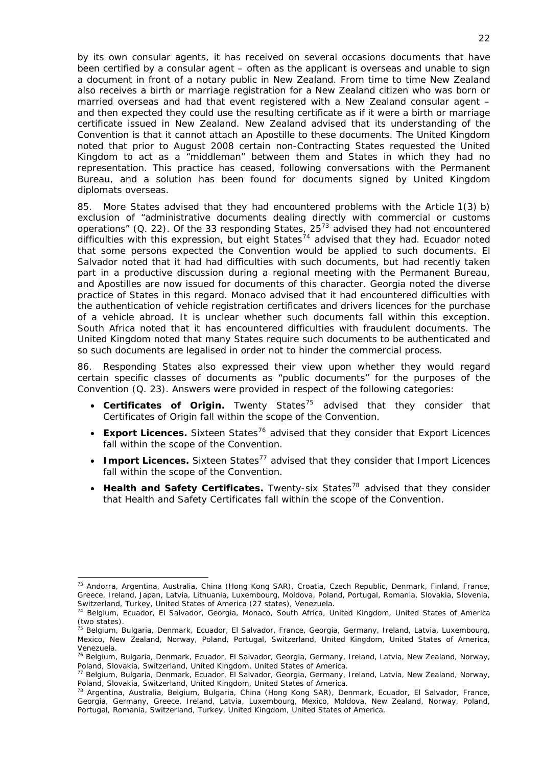by its own consular agents, it has received on several occasions documents that have been certified by a consular agent – often as the applicant is overseas and unable to sign a document in front of a notary public in New Zealand. From time to time New Zealand also receives a birth or marriage registration for a New Zealand citizen who was born or married overseas and had that event registered with a New Zealand consular agent – and then expected they could use the resulting certificate as if it were a birth or marriage certificate issued in New Zealand. New Zealand advised that its understanding of the Convention is that it cannot attach an Apostille to these documents. The United Kingdom noted that prior to August 2008 certain non-Contracting States requested the United Kingdom to act as a "middleman" between them and States in which they had no representation. This practice has ceased, following conversations with the Permanent Bureau, and a solution has been found for documents signed by United Kingdom diplomats overseas.

85. More States advised that they had encountered problems with the Article 1(3) *b)* exclusion of "administrative documents dealing directly with commercial or customs operations" (Q. 22). Of the 33 responding States, 25<sup>[73](#page-22-0)</sup> advised they had not encountered difficulties with this expression, but eight States<sup>[74](#page-22-1)</sup> advised that they had. Ecuador noted that some persons expected the Convention would be applied to such documents. El Salvador noted that it had had difficulties with such documents, but had recently taken part in a productive discussion during a regional meeting with the Permanent Bureau, and Apostilles are now issued for documents of this character. Georgia noted the diverse practice of States in this regard. Monaco advised that it had encountered difficulties with the authentication of vehicle registration certificates and drivers licences for the purchase of a vehicle abroad. It is unclear whether such documents fall within this exception. South Africa noted that it has encountered difficulties with fraudulent documents. The United Kingdom noted that many States require such documents to be authenticated and so such documents are legalised in order not to hinder the commercial process.

86. Responding States also expressed their view upon whether they would regard certain specific classes of documents as "public documents" for the purposes of the Convention (Q. 23). Answers were provided in respect of the following categories:

- Certificates of Origin. Twenty States<sup>[75](#page-22-2)</sup> advised that they consider that Certificates of Origin fall within the scope of the Convention.
- **Export Licences.** Sixteen States<sup>[76](#page-22-3)</sup> advised that they consider that Export Licences fall within the scope of the Convention.
- **Import Licences.** Sixteen States<sup>[77](#page-22-4)</sup> advised that they consider that Import Licences fall within the scope of the Convention.
- Health and Safety Certificates. Twenty-six States<sup>[78](#page-22-5)</sup> advised that they consider that Health and Safety Certificates fall within the scope of the Convention.

<span id="page-22-0"></span><sup>73</sup> Andorra, Argentina, Australia, China (Hong Kong SAR), Croatia, Czech Republic, Denmark, Finland, France, Greece, Ireland, Japan, Latvia, Lithuania, Luxembourg, Moldova, Poland, Portugal, Romania, Slovakia, Slovenia, Switzerland, Turkey, United States of America (27 states), Venezuela.<br><sup>74</sup> Belgium, Ecuador, El Salvador, Georgia, Monaco, South Africa, United Kingdom, United States of America

<span id="page-22-1"></span><sup>(</sup>two states).

<span id="page-22-2"></span><sup>&</sup>lt;sup>75</sup> Belgium, Bulgaria, Denmark, Ecuador, El Salvador, France, Georgia, Germany, Ireland, Latvia, Luxembourg, Mexico, New Zealand, Norway, Poland, Portugal, Switzerland, United Kingdom, United States of America, Venezuela.

<span id="page-22-3"></span><sup>76</sup> Belgium, Bulgaria, Denmark, Ecuador, El Salvador, Georgia, Germany, Ireland, Latvia, New Zealand, Norway, Poland, Slovakia, Switzerland, United Kingdom, United States of America.

<span id="page-22-4"></span><sup>77</sup> Belgium, Bulgaria, Denmark, Ecuador, El Salvador, Georgia, Germany, Ireland, Latvia, New Zealand, Norway, Poland, Slovakia, Switzerland, United Kingdom, United States of America.

<span id="page-22-5"></span><sup>&</sup>lt;sup>78</sup> Argentina, Australia, Belgium, Bulgaria, China (Hong Kong SAR), Denmark, Ecuador, El Salvador, France, Georgia, Germany, Greece, Ireland, Latvia, Luxembourg, Mexico, Moldova, New Zealand, Norway, Poland, Portugal, Romania, Switzerland, Turkey, United Kingdom, United States of America.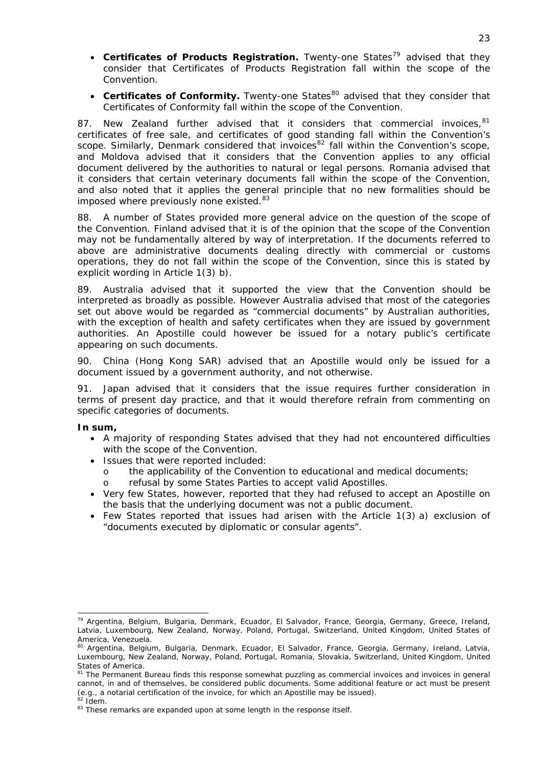- Certificates of Products Registration. Twenty-one States<sup>[79](#page-23-0)</sup> advised that they consider that Certificates of Products Registration fall within the scope of the Convention.
- Certificates of Conformity. Twenty-one States<sup>[80](#page-23-1)</sup> advised that they consider that Certificates of Conformity fall within the scope of the Convention.

87. New Zealand further advised that it considers that commercial invoices,  $81$ certificates of free sale, and certificates of good standing fall within the Convention's scope. Similarly, Denmark considered that invoices<sup>[82](#page-23-3)</sup> fall within the Convention's scope, and Moldova advised that it considers that the Convention applies to any official document delivered by the authorities to natural or legal persons. Romania advised that it considers that certain veterinary documents fall within the scope of the Convention, and also noted that it applies the general principle that no new formalities should be imposed where previously none existed.<sup>[83](#page-23-4)</sup>

88. A number of States provided more general advice on the question of the scope of the Convention. Finland advised that it is of the opinion that the scope of the Convention may not be fundamentally altered by way of interpretation. If the documents referred to above are administrative documents dealing directly with commercial or customs operations, they do not fall within the scope of the Convention, since this is stated by explicit wording in Article 1(3) *b)*.

89. Australia advised that it supported the view that the Convention should be interpreted as broadly as possible. However Australia advised that most of the categories set out above would be regarded as "commercial documents" by Australian authorities, with the exception of health and safety certificates when they are issued by government authorities. An Apostille could however be issued for a notary public's certificate appearing on such documents.

90. China (Hong Kong SAR) advised that an Apostille would only be issued for a document issued by a government authority, and not otherwise.

91. Japan advised that it considers that the issue requires further consideration in terms of present day practice, and that it would therefore refrain from commenting on specific categories of documents.

## **In sum,**

- A majority of responding States advised that they had not encountered difficulties with the scope of the Convention.
- Issues that were reported included:
	- o the applicability of the Convention to educational and medical documents;
	- o refusal by some States Parties to accept valid Apostilles.
- Very few States, however, reported that they had refused to accept an Apostille on the basis that the underlying document was not a public document.
- Few States reported that issues had arisen with the Article 1(3) *a)* exclusion of "documents executed by diplomatic or consular agents".

<span id="page-23-0"></span><sup>1</sup> <sup>79</sup> Argentina, Belgium, Bulgaria, Denmark, Ecuador, El Salvador, France, Georgia, Germany, Greece, Ireland, Latvia, Luxembourg, New Zealand, Norway, Poland, Portugal, Switzerland, United Kingdom, United States of America, Venezuela.

<span id="page-23-1"></span><sup>&</sup>lt;sup>80</sup> Argentina, Belgium, Bulgaria, Denmark, Ecuador, El Salvador, France, Georgia, Germany, Ireland, Latvia, Luxembourg, New Zealand, Norway, Poland, Portugal, Romania, Slovakia, Switzerland, United Kingdom, United States of America.

<span id="page-23-2"></span><sup>&</sup>lt;sup>81</sup> The Permanent Bureau finds this response somewhat puzzling as commercial invoices and invoices in general cannot, in and of themselves, be considered public documents. Some additional feature or act must be present (*e.g.*, a notarial certification of the invoice, for which an Apostille may be issued). <sup>82</sup> *Idem*.<br><sup>83</sup> These remarks are expanded upon at some length in the response itself.

<span id="page-23-4"></span><span id="page-23-3"></span>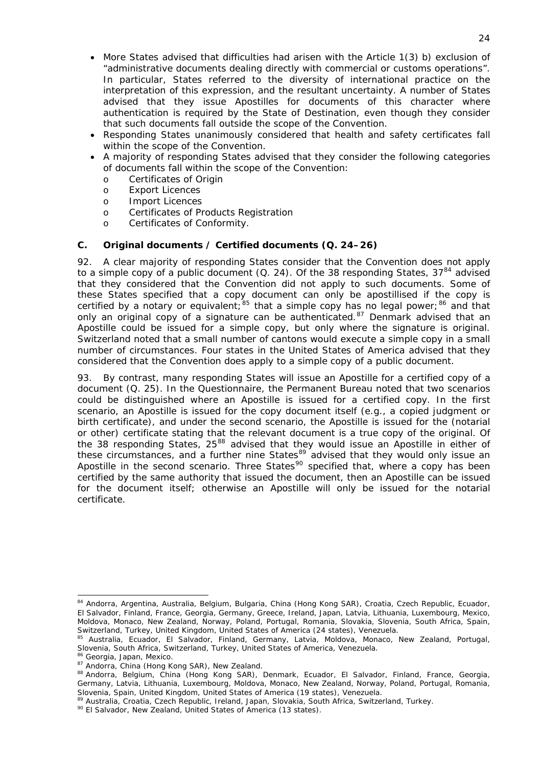- More States advised that difficulties had arisen with the Article 1(3) *b)* exclusion of "administrative documents dealing directly with commercial or customs operations". In particular, States referred to the diversity of international practice on the interpretation of this expression, and the resultant uncertainty. A number of States advised that they issue Apostilles for documents of this character where authentication is required by the State of Destination, even though they consider that such documents fall outside the scope of the Convention.
- Responding States unanimously considered that health and safety certificates fall within the scope of the Convention.
- A majority of responding States advised that they consider the following categories of documents fall within the scope of the Convention:
	- o Certificates of Origin
	- o Export Licences
	- o Import Licences
	- o Certificates of Products Registration
	- o Certificates of Conformity.

## <span id="page-24-0"></span>**C. Original documents / Certified documents (Q. 24–26)**

92. A clear majority of responding States consider that the Convention does not apply to a simple copy of a public document (Q. 24). Of the 38 responding States,  $37^{84}$  $37^{84}$  $37^{84}$  advised that they considered that the Convention did not apply to such documents. Some of these States specified that a copy document can only be apostillised if the copy is certified by a notary or equivalent;  $85$  that a simple copy has no legal power;  $86$  and that only an original copy of a signature can be authenticated.<sup>[87](#page-24-4)</sup> Denmark advised that an Apostille could be issued for a simple copy, but only where the signature is original. Switzerland noted that a small number of cantons would execute a simple copy in a small number of circumstances. Four states in the United States of America advised that they considered that the Convention does apply to a simple copy of a public document.

93. By contrast, many responding States will issue an Apostille for a certified copy of a document (Q. 25). In the Questionnaire, the Permanent Bureau noted that two scenarios could be distinguished where an Apostille is issued for a certified copy. In the first scenario, an Apostille is issued for the copy document itself (*e.g.*, a copied judgment or birth certificate), and under the second scenario, the Apostille is issued for the (notarial or other) certificate stating that the relevant document is a true copy of the original. Of the 38 responding States, 25 $^{88}$  $^{88}$  $^{88}$  advised that they would issue an Apostille in either of these circumstances, and a further nine States<sup>[89](#page-24-6)</sup> advised that they would only issue an Apostille in the second scenario. Three States<sup>[90](#page-24-7)</sup> specified that, where a copy has been certified by the same authority that issued the document, then an Apostille can be issued for the document itself; otherwise an Apostille will only be issued for the notarial certificate.

<span id="page-24-1"></span><sup>84</sup> Andorra, Argentina, Australia, Belgium, Bulgaria, China (Hong Kong SAR), Croatia, Czech Republic, Ecuador, El Salvador, Finland, France, Georgia, Germany, Greece, Ireland, Japan, Latvia, Lithuania, Luxembourg, Mexico, Moldova, Monaco, New Zealand, Norway, Poland, Portugal, Romania, Slovakia, Slovenia, South Africa, Spain,<br>Switzerland, Turkey, United Kingdom, United States of America (24 states), Venezuela.

<span id="page-24-2"></span><sup>85</sup> Australia, Ecuador, El Salvador, Finland, Germany, Latvia, Moldova, Monaco, New Zealand, Portugal,

<span id="page-24-4"></span>

<span id="page-24-5"></span>

<span id="page-24-3"></span>Slovenia, South Africa, Switzerland, Turkey, United States of America, Venezuela.<br><sup>86</sup> Georgia, Japan, Mexico.<br><sup>87</sup> Andorra, China (Hong Kong SAR), New Zealand.<br><sup>87</sup> Andorra, Belgium, China (Hong Kong SAR), Denmark, Ecuado Germany, Latvia, Lithuania, Luxembourg, Moldova, Monaco, New Zealand, Norway, Poland, Portugal, Romania, Slovenia, Spain, United Kingdom, United States of America (19 states), Venezuela.

<span id="page-24-7"></span><span id="page-24-6"></span><sup>89</sup> Australia, Croatia, Czech Republic, Ireland, Japan, Slovakia, South Africa, Switzerland, Turkey.<br><sup>90</sup> El Salvador, New Zealand, United States of America (13 states).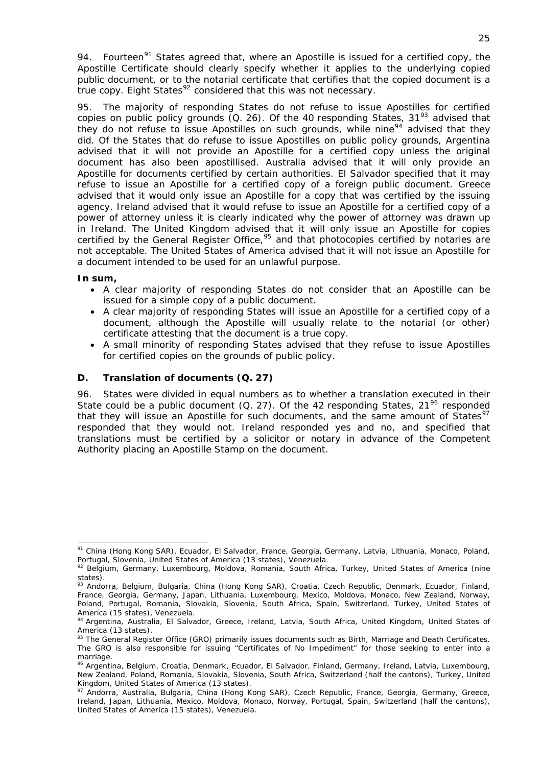94. Fourteen<sup>[91](#page-25-1)</sup> States agreed that, where an Apostille is issued for a certified copy, the Apostille Certificate should clearly specify whether it applies to the underlying copied public document, or to the notarial certificate that certifies that the copied document is a true copy. Eight States $92$  considered that this was not necessary.

95. The majority of responding States do not refuse to issue Apostilles for certified copies on public policy grounds  $(Q. 26)$ . Of the 40 responding States, 31<sup>[93](#page-25-3)</sup> advised that they do not refuse to issue Apostilles on such grounds, while nine<sup>[94](#page-25-4)</sup> advised that they did. Of the States that do refuse to issue Apostilles on public policy grounds, Argentina advised that it will not provide an Apostille for a certified copy unless the original document has also been apostillised. Australia advised that it will only provide an Apostille for documents certified by certain authorities. El Salvador specified that it may refuse to issue an Apostille for a certified copy of a foreign public document. Greece advised that it would only issue an Apostille for a copy that was certified by the issuing agency. Ireland advised that it would refuse to issue an Apostille for a certified copy of a power of attorney unless it is clearly indicated why the power of attorney was drawn up in Ireland. The United Kingdom advised that it will only issue an Apostille for copies certified by the General Register Office,<sup>[95](#page-25-5)</sup> and that photocopies certified by notaries are not acceptable. The United States of America advised that it will not issue an Apostille for a document intended to be used for an unlawful purpose.

## **In sum,**

-

- A clear majority of responding States do not consider that an Apostille can be issued for a simple copy of a public document.
- A clear majority of responding States will issue an Apostille for a certified copy of a document, although the Apostille will usually relate to the notarial (or other) certificate attesting that the document is a true copy.
- A small minority of responding States advised that they refuse to issue Apostilles for certified copies on the grounds of public policy.

## <span id="page-25-0"></span>**D. Translation of documents (Q. 27)**

96. States were divided in equal numbers as to whether a translation executed in their State could be a public document (Q. 27). Of the 42 responding States,  $21^{96}$  $21^{96}$  $21^{96}$  responded that they will issue an Apostille for such documents, and the same amount of States<sup>[97](#page-25-7)</sup> responded that they would not. Ireland responded yes and no, and specified that translations must be certified by a solicitor or notary in advance of the Competent Authority placing an Apostille Stamp on the document.

<span id="page-25-1"></span><sup>91</sup> China (Hong Kong SAR), Ecuador, El Salvador, France, Georgia, Germany, Latvia, Lithuania, Monaco, Poland, Portugal, Slovenia, United States of America (13 states), Venezuela.

<span id="page-25-2"></span><sup>92</sup> Belgium, Germany, Luxembourg, Moldova, Romania, South Africa, Turkey, United States of America (nine states).

<span id="page-25-3"></span><sup>93</sup> Andorra, Belgium, Bulgaria, China (Hong Kong SAR), Croatia, Czech Republic, Denmark, Ecuador, Finland, France, Georgia, Germany, Japan, Lithuania, Luxembourg, Mexico, Moldova, Monaco, New Zealand, Norway, Poland, Portugal, Romania, Slovakia, Slovenia, South Africa, Spain, Switzerland, Turkey, United States of America (15 states), Venezuela.

<span id="page-25-4"></span><sup>94</sup> Argentina, Australia, El Salvador, Greece, Ireland, Latvia, South Africa, United Kingdom, United States of America (13 states).

<span id="page-25-5"></span><sup>95</sup> The General Register Office (GRO) primarily issues documents such as Birth, Marriage and Death Certificates. The GRO is also responsible for issuing "Certificates of No Impediment" for those seeking to enter into a marriage

<span id="page-25-6"></span><sup>&</sup>lt;sup>96</sup> Argentina, Belgium, Croatia, Denmark, Ecuador, El Salvador, Finland, Germany, Ireland, Latvia, Luxembourg, New Zealand, Poland, Romania, Slovakia, Slovenia, South Africa, Switzerland (half the cantons), Turkey, United Kingdom, United States of America (13 states).

<span id="page-25-7"></span><sup>97</sup> Andorra, Australia, Bulgaria, China (Hong Kong SAR), Czech Republic, France, Georgia, Germany, Greece, Ireland, Japan, Lithuania, Mexico, Moldova, Monaco, Norway, Portugal, Spain, Switzerland (half the cantons), United States of America (15 states), Venezuela.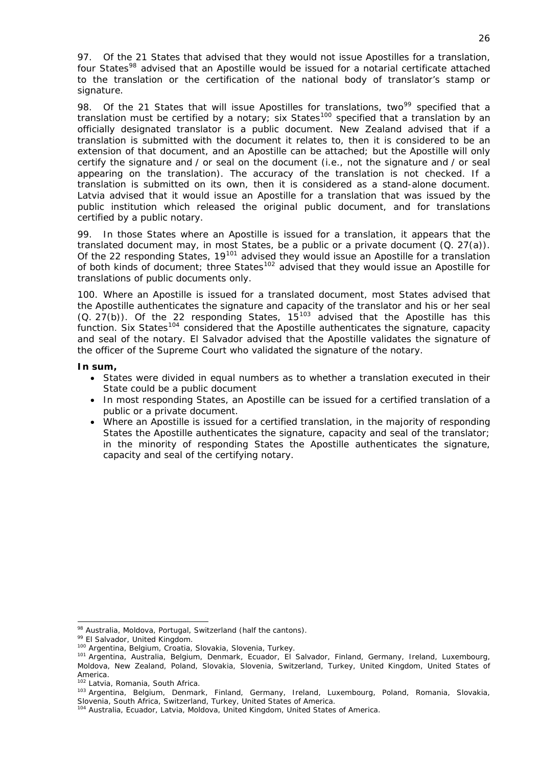97. Of the 21 States that advised that they would not issue Apostilles for a translation, four States<sup>[98](#page-26-0)</sup> advised that an Apostille would be issued for a notarial certificate attached to the translation or the certification of the national body of translator's stamp or signature.

98. Of the 21 States that will issue Apostilles for translations, two<sup>[99](#page-26-1)</sup> specified that a translation must be certified by a notary; six States<sup>[100](#page-26-2)</sup> specified that a translation by an officially designated translator is a public document. New Zealand advised that if a translation is submitted with the document it relates to, then it is considered to be an extension of that document, and an Apostille can be attached; but the Apostille will only certify the signature and / or seal on the document (*i.e.*, not the signature and / or seal appearing on the translation). The accuracy of the translation is not checked. If a translation is submitted on its own, then it is considered as a stand-alone document. Latvia advised that it would issue an Apostille for a translation that was issued by the public institution which released the original public document, and for translations certified by a public notary.

99. In those States where an Apostille is issued for a translation, it appears that the translated document may, in most States, be a public or a private document (Q. 27(a)). Of the 22 responding States, 19<sup>[101](#page-26-3)</sup> advised they would issue an Apostille for a translation of both kinds of document; three States<sup>[102](#page-26-4)</sup> advised that they would issue an Apostille for translations of public documents only.

100. Where an Apostille is issued for a translated document, most States advised that the Apostille authenticates the signature and capacity of the translator and his or her seal (Q. 27(b)). Of the 22 responding States, 15<sup>[103](#page-26-5)</sup> advised that the Apostille has this function. Six States<sup>[104](#page-26-6)</sup> considered that the Apostille authenticates the signature, capacity and seal of the notary. El Salvador advised that the Apostille validates the signature of the officer of the Supreme Court who validated the signature of the notary.

### **In sum,**

- States were divided in equal numbers as to whether a translation executed in their State could be a public document
- In most responding States, an Apostille can be issued for a certified translation of a public or a private document.
- Where an Apostille is issued for a certified translation, in the majority of responding States the Apostille authenticates the signature, capacity and seal of the translator; in the minority of responding States the Apostille authenticates the signature, capacity and seal of the certifying notary.

<sup>1</sup> 

<span id="page-26-3"></span><span id="page-26-2"></span>

<span id="page-26-1"></span><span id="page-26-0"></span><sup>&</sup>lt;sup>98</sup> Australia, Moldova, Portugal, Switzerland (half the cantons).<br><sup>99</sup> El Salvador, United Kingdom.<br><sup>100</sup> Argentina, Belgium, Croatia, Slovakia, Slovenia, Turkey.<br><sup>101</sup> Argentina, Australia, Belgium, Denmark, Ecuador, El Moldova, New Zealand, Poland, Slovakia, Slovenia, Switzerland, Turkey, United Kingdom, United States of America.<br><sup>102</sup> Latvia, Romania, South Africa.

<span id="page-26-5"></span><span id="page-26-4"></span><sup>103</sup> Argentina, Belgium, Denmark, Finland, Germany, Ireland, Luxembourg, Poland, Romania, Slovakia, Slovenia, South Africa, Switzerland, Turkey, United States of America.<br><sup>104</sup> Australia, Ecuador, Latvia, Moldova, United Kingdom, United States of America.

<span id="page-26-6"></span>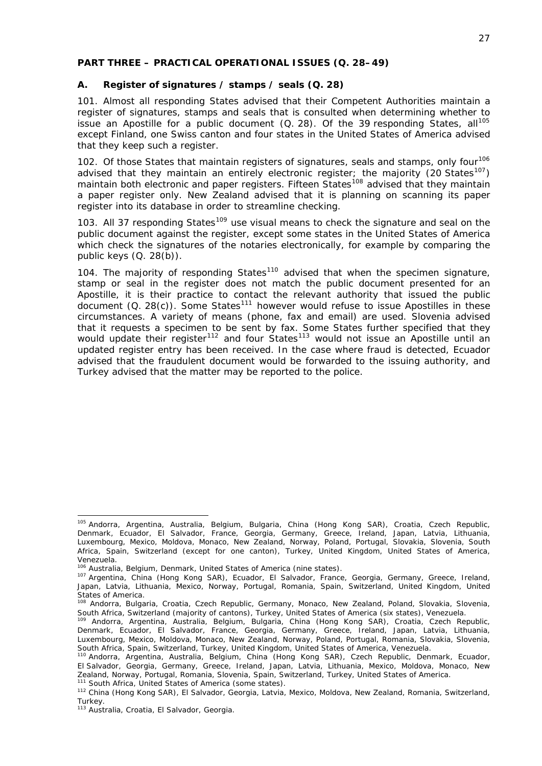### <span id="page-27-0"></span>**PART THREE – PRACTICAL OPERATIONAL ISSUES (Q. 28–49)**

## <span id="page-27-1"></span>**A. Register of signatures / stamps / seals (Q. 28)**

101. Almost all responding States advised that their Competent Authorities maintain a register of signatures, stamps and seals that is consulted when determining whether to issue an Apostille for a public document  $(Q. 28)$ . Of the 39 responding States, all<sup>[105](#page-27-2)</sup> except Finland, one Swiss canton and four states in the United States of America advised that they keep such a register.

102. Of those States that maintain registers of signatures, seals and stamps, only four<sup>[106](#page-27-3)</sup> advised that they maintain an entirely electronic register; the majority (20 States<sup>[107](#page-27-4)</sup>) maintain both electronic and paper registers. Fifteen States<sup>[108](#page-27-5)</sup> advised that they maintain a paper register only. New Zealand advised that it is planning on scanning its paper register into its database in order to streamline checking.

103. All 37 responding States<sup>[109](#page-27-6)</sup> use visual means to check the signature and seal on the public document against the register, except some states in the United States of America which check the signatures of the notaries electronically, for example by comparing the public keys (Q. 28(b)).

104. The majority of responding States<sup>[110](#page-27-7)</sup> advised that when the specimen signature, stamp or seal in the register does not match the public document presented for an Apostille, it is their practice to contact the relevant authority that issued the public document  $(Q. 28(c))$ . Some States<sup>[111](#page-27-8)</sup> however would refuse to issue Apostilles in these circumstances. A variety of means (phone, fax and email) are used. Slovenia advised that it requests a specimen to be sent by fax. Some States further specified that they would update their register<sup>[112](#page-27-9)</sup> and four States<sup>[113](#page-27-10)</sup> would not issue an Apostille until an updated register entry has been received. In the case where fraud is detected, Ecuador advised that the fraudulent document would be forwarded to the issuing authority, and Turkey advised that the matter may be reported to the police.

-

<span id="page-27-2"></span><sup>105</sup> Andorra, Argentina, Australia, Belgium, Bulgaria, China (Hong Kong SAR), Croatia, Czech Republic, Denmark, Ecuador, El Salvador, France, Georgia, Germany, Greece, Ireland, Japan, Latvia, Lithuania, Luxembourg, Mexico, Moldova, Monaco, New Zealand, Norway, Poland, Portugal, Slovakia, Slovenia, South Africa, Spain, Switzerland (except for one canton), Turkey, United Kingdom, United States of America, Venezuela.<br><sup>106</sup> Australia, Belgium, Denmark, United States of America (nine states).

<span id="page-27-4"></span><span id="page-27-3"></span><sup>&</sup>lt;sup>106</sup> Australia, Belgium, Denmark, United States of America (nine states).<br><sup>107</sup> Argentina, China (Hong Kong SAR), Ecuador, El Salvador, France, Georgia, Germany, Greece, Ireland, Japan, Latvia, Lithuania, Mexico, Norway, Portugal, Romania, Spain, Switzerland, United Kingdom, United States of America.

<span id="page-27-5"></span><sup>&</sup>lt;sup>108</sup> Andorra, Bulgaria, Croatia, Czech Republic, Germany, Monaco, New Zealand, Poland, Slovakia, Slovenia,<br>South Africa, Switzerland (majority of cantons), Turkey, United States of America (six states), Venezuela.

<span id="page-27-6"></span><sup>&</sup>lt;sup>109</sup> Andorra, Argentina, Australia, Belgium, Bulgaria, China (Hong Kong SAR), Croatia, Czech Republic, Denmark, Ecuador, El Salvador, France, Georgia, Germany, Greece, Ireland, Japan, Latvia, Lithuania, Luxembourg, Mexico, Moldova, Monaco, New Zealand, Norway, Poland, Portugal, Romania, Slovakia, Slovenia,

<span id="page-27-7"></span>South Africa, Spain, Switzerland, Turkey, United Kingdom, United States of America, Venezuela.<br><sup>110</sup> Andorra, Argentina, Australia, Belgium, China (Hong Kong SAR), Czech Republic, Denmark, Ecuador, El Salvador, Georgia, Germany, Greece, Ireland, Japan, Latvia, Lithuania, Mexico, Moldova, Monaco, New Zealand, Norway, Portugal, Romania, Slovenia, Spain, Switzerland, Turkey, United States of America.<br><sup>111</sup> South Africa, United States of America (some states).<br><sup>112</sup> China (Hong Kong SAR), El Salvador, Georgia, Latvia, Mex

<span id="page-27-9"></span><span id="page-27-8"></span>Turkey.

<span id="page-27-10"></span><sup>113</sup> Australia, Croatia, El Salvador, Georgia.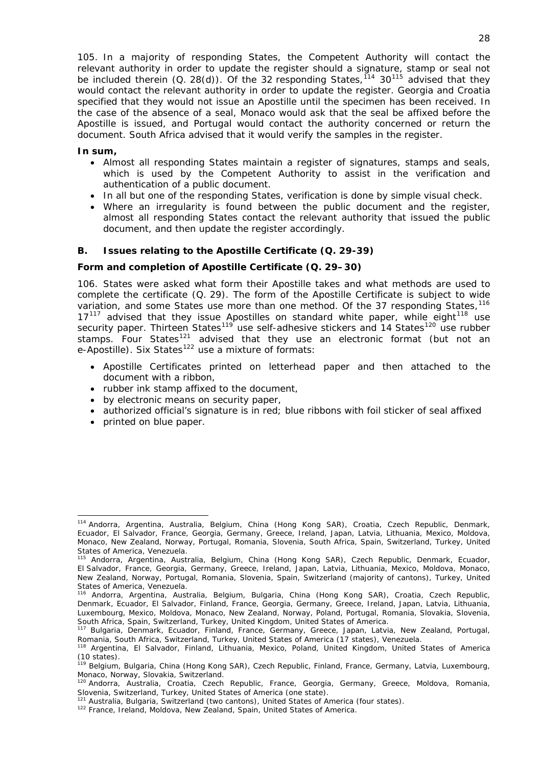105. In a majority of responding States, the Competent Authority will contact the relevant authority in order to update the register should a signature, stamp or seal not be included therein  $(Q. 28(d))$ . Of the 32 responding States,  $14$  30<sup>[115](#page-28-2)</sup> advised that they would contact the relevant authority in order to update the register. Georgia and Croatia specified that they would not issue an Apostille until the specimen has been received. In the case of the absence of a seal, Monaco would ask that the seal be affixed before the Apostille is issued, and Portugal would contact the authority concerned or return the document. South Africa advised that it would verify the samples in the register.

#### **In sum,**

- Almost all responding States maintain a register of signatures, stamps and seals, which is used by the Competent Authority to assist in the verification and authentication of a public document.
- In all but one of the responding States, verification is done by simple visual check.
- Where an irregularity is found between the public document and the register, almost all responding States contact the relevant authority that issued the public document, and then update the register accordingly.

### <span id="page-28-0"></span>**B. Issues relating to the Apostille Certificate (Q. 29-39)**

#### **Form and completion of Apostille Certificate (Q. 29–30)**

106. States were asked what form their Apostille takes and what methods are used to complete the certificate (Q. 29). The form of the Apostille Certificate is subject to wide variation, and some States use more than one method. Of the 37 responding States, <sup>[116](#page-28-3)</sup>  $17<sup>117</sup>$  $17<sup>117</sup>$  $17<sup>117</sup>$  advised that they issue Apostilles on standard white paper, while eight<sup>[118](#page-28-5)</sup> use security paper. Thirteen States<sup>[119](#page-28-6)</sup> use self-adhesive stickers and 14 States<sup>[120](#page-28-7)</sup> use rubber stamps. Four States<sup>[121](#page-28-8)</sup> advised that they use an electronic format (but not an e-Apostille). Six States<sup>[122](#page-28-9)</sup> use a mixture of formats:

- Apostille Certificates printed on letterhead paper and then attached to the document with a ribbon,
- rubber ink stamp affixed to the document,
- by electronic means on security paper,
- authorized official's signature is in red; blue ribbons with foil sticker of seal affixed
- printed on blue paper.

-

<span id="page-28-1"></span><sup>114</sup> Andorra, Argentina, Australia, Belgium, China (Hong Kong SAR), Croatia, Czech Republic, Denmark, Ecuador, El Salvador, France, Georgia, Germany, Greece, Ireland, Japan, Latvia, Lithuania, Mexico, Moldova, Monaco, New Zealand, Norway, Portugal, Romania, Slovenia, South Africa, Spain, Switzerland, Turkey, United States of America, Venezuela.

<span id="page-28-2"></span><sup>115</sup> Andorra, Argentina, Australia, Belgium, China (Hong Kong SAR), Czech Republic, Denmark, Ecuador, El Salvador, France, Georgia, Germany, Greece, Ireland, Japan, Latvia, Lithuania, Mexico, Moldova, Monaco, New Zealand, Norway, Portugal, Romania, Slovenia, Spain, Switzerland (majority of cantons), Turkey, United States of America, Venezuela.

<span id="page-28-3"></span><sup>116</sup> Andorra, Argentina, Australia, Belgium, Bulgaria, China (Hong Kong SAR), Croatia, Czech Republic, Denmark, Ecuador, El Salvador, Finland, France, Georgia, Germany, Greece, Ireland, Japan, Latvia, Lithuania, Luxembourg, Mexico, Moldova, Monaco, New Zealand, Norway, Poland, Portugal, Romania, Slovakia, Slovenia, South Africa, Spain, Switzerland, Turkey, United Kingdom, United States of America.

<span id="page-28-4"></span><sup>&</sup>lt;sup>117</sup> Bulgaria, Denmark, Ecuador, Finland, France, Germany, Greece, Japan, Latvia, New Zealand, Portugal,<br>Romania, South Africa, Switzerland, Turkey, United States of America (17 states), Venezuela.

<span id="page-28-5"></span><sup>&</sup>lt;sup>118</sup> Argentina, El Salvador, Finland, Lithuania, Mexico, Poland, United Kingdom, United States of America (10 states).

<span id="page-28-6"></span><sup>&</sup>lt;sup>119</sup> Belgium, Bulgaria, China (Hong Kong SAR), Czech Republic, Finland, France, Germany, Latvia, Luxembourg, Monaco, Norway, Slovakia, Switzerland.

<span id="page-28-7"></span><sup>120</sup> Andorra, Australia, Croatia, Czech Republic, France, Georgia, Germany, Greece, Moldova, Romania, Slovenia, Switzerland, Turkey, United States of America (one state).

<span id="page-28-8"></span><sup>&</sup>lt;sup>121</sup> Australia, Bulgaria, Switzerland (two cantons), United States of America (four states).<br><sup>122</sup> France, Ireland, Moldova, New Zealand, Spain, United States of America.

<span id="page-28-9"></span>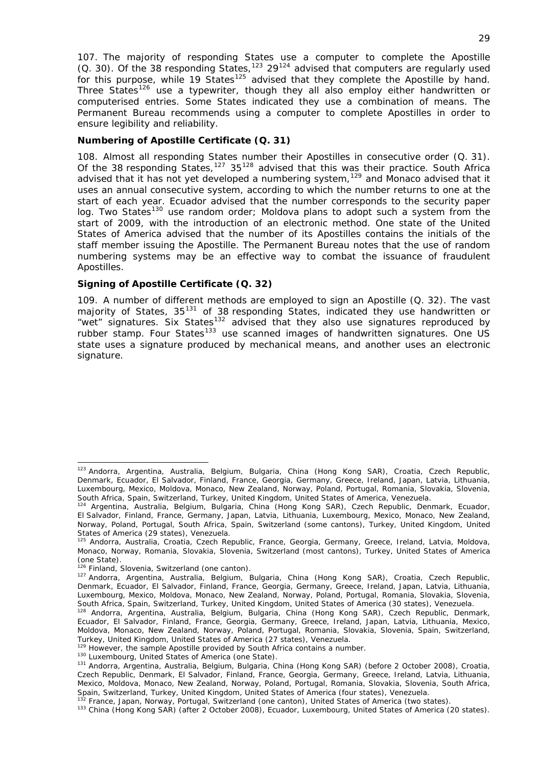107. The majority of responding States use a computer to complete the Apostille (Q. 30). Of the 38 responding States,<sup>[123](#page-29-0)</sup> 29<sup>[124](#page-29-1)</sup> advised that computers are regularly used for this purpose, while 19 States<sup>[125](#page-29-2)</sup> advised that they complete the Apostille by hand. Three States<sup>[126](#page-29-3)</sup> use a typewriter, though they all also employ either handwritten or computerised entries. Some States indicated they use a combination of means. The Permanent Bureau recommends using a computer to complete Apostilles in order to ensure legibility and reliability.

### **Numbering of Apostille Certificate (Q. 31)**

108. Almost all responding States number their Apostilles in consecutive order (Q. 31). Of the 38 responding States,<sup>[127](#page-29-4)</sup> 35<sup>[128](#page-29-5)</sup> advised that this was their practice. South Africa advised that it has not yet developed a numbering system,[129](#page-29-6) and Monaco advised that it uses an annual consecutive system, according to which the number returns to one at the start of each year. Ecuador advised that the number corresponds to the security paper log. Two States<sup>[130](#page-29-7)</sup> use random order; Moldova plans to adopt such a system from the start of 2009, with the introduction of an electronic method. One state of the United States of America advised that the number of its Apostilles contains the initials of the staff member issuing the Apostille. The Permanent Bureau notes that the use of random numbering systems may be an effective way to combat the issuance of fraudulent Apostilles.

### **Signing of Apostille Certificate (Q. 32)**

109. A number of different methods are employed to sign an Apostille (Q. 32). The vast majority of States, 35<sup>[131](#page-29-8)</sup> of 38 responding States, indicated they use handwritten or "wet" signatures. Six States<sup>[132](#page-29-9)</sup> advised that they also use signatures reproduced by rubber stamp. Four States<sup>[133](#page-29-10)</sup> use scanned images of handwritten signatures. One US state uses a signature produced by mechanical means, and another uses an electronic signature.

<span id="page-29-0"></span><sup>&</sup>lt;sup>123</sup> Andorra, Argentina, Australia, Belgium, Bulgaria, China (Hong Kong SAR), Croatia, Czech Republic, Denmark, Ecuador, El Salvador, Finland, France, Georgia, Germany, Greece, Ireland, Japan, Latvia, Lithuania, Luxembourg, Mexico, Moldova, Monaco, New Zealand, Norway, Poland, Portugal, Romania, Slovakia, Slovenia,

<span id="page-29-1"></span>South Africa, Spain, Switzerland, Turkey, United Kingdom, United States of America, Venezuela. 124 Argentina, Australia, Belgium, Bulgaria, China (Hong Kong SAR), Czech Republic, Denmark, Ecuador, El Salvador, Finland, France, Germany, Japan, Latvia, Lithuania, Luxembourg, Mexico, Monaco, New Zealand, Norway, Poland, Portugal, South Africa, Spain, Switzerland (some cantons), Turkey, United Kingdom, United States of America (29 states), Venezuela.

<span id="page-29-2"></span><sup>125</sup> Andorra, Australia, Croatia, Czech Republic, France, Georgia, Germany, Greece, Ireland, Latvia, Moldova, Monaco, Norway, Romania, Slovakia, Slovenia, Switzerland (most cantons), Turkey, United States of America (one State).

<span id="page-29-4"></span><span id="page-29-3"></span><sup>&</sup>lt;sup>126</sup> Finland, Slovenia, Switzerland (one canton).<br><sup>127</sup> Andorra, Argentina, Australia, Belgium, Bulgaria, China (Hong Kong SAR), Croatia, Czech Republic, Denmark, Ecuador, El Salvador, Finland, France, Georgia, Germany, Greece, Ireland, Japan, Latvia, Lithuania, Luxembourg, Mexico, Moldova, Monaco, New Zealand, Norway, Poland, Portugal, Romania, Slovakia, Slovenia,<br>South Africa, Spain, Switzerland, Turkey, United Kingdom, United States of America (30 states), Venezuela.

<span id="page-29-5"></span><sup>&</sup>lt;sup>128</sup> Andorra, Argentina, Australia, Belgium, Bulgaria, China (Hong Kong SAR), Czech Republic, Denmark, Ecuador, El Salvador, Finland, France, Georgia, Germany, Greece, Ireland, Japan, Latvia, Lithuania, Mexico, Moldova, Monaco, New Zealand, Norway, Poland, Portugal, Romania, Slovakia, Slovenia, Spain, Switzerland, Turkey, United Kingdom, United States of America (27 states), Venezuela.<br><sup>129</sup> However, the sample Apostille provided by South Africa contains a number.

<span id="page-29-6"></span>

<span id="page-29-8"></span><span id="page-29-7"></span><sup>&</sup>lt;sup>130</sup> Luxembourg, United States of America (one State).<br><sup>131</sup> Andorra, Argentina, Australia, Belgium, Bulgaria, China (Hong Kong SAR) (before 2 October 2008), Croatia, Czech Republic, Denmark, El Salvador, Finland, France, Georgia, Germany, Greece, Ireland, Latvia, Lithuania, Mexico, Moldova, Monaco, New Zealand, Norway, Poland, Portugal, Romania, Slovakia, Slovenia, South Africa,<br>Spain, Switzerland, Turkey, United Kingdom, United States of America (four states), Venezuela.

<span id="page-29-10"></span><span id="page-29-9"></span><sup>&</sup>lt;sup>132</sup> France, Japan, Norway, Portugal, Switzerland (one canton), United States of America (two states).<br><sup>133</sup> China (Hong Kong SAR) (after 2 October 2008), Ecuador, Luxembourg, United States of America (20 states).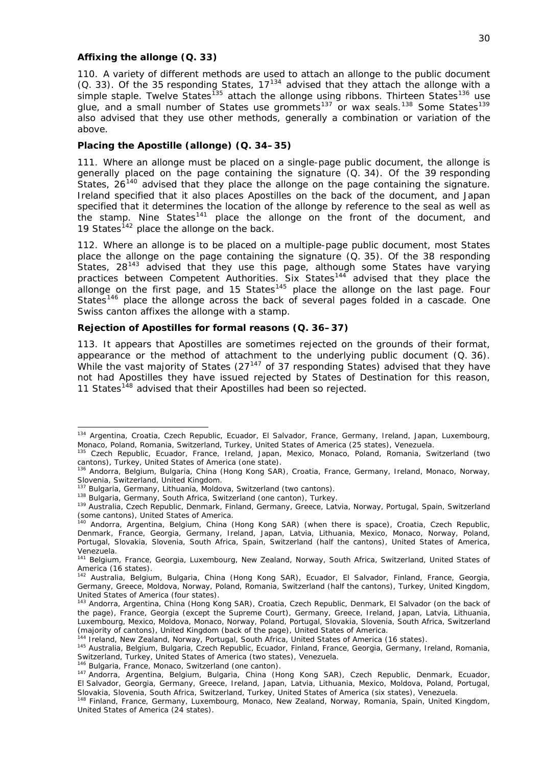#### **Affixing the** *allonge* **(Q. 33)**

110. A variety of different methods are used to attach an *allonge* to the public document (Q. 33). Of the 35 responding States, 17[134](#page-30-0) advised that they attach the *allonge* with a simple staple. Twelve States<sup>[135](#page-30-1)</sup> attach the *allonge* using ribbons. Thirteen States<sup>[136](#page-30-2)</sup> use glue, and a small number of States use grommets<sup>[137](#page-30-3)</sup> or wax seals.<sup>[138](#page-30-4)</sup> Some States<sup>[139](#page-30-5)</sup> also advised that they use other methods, generally a combination or variation of the above.

#### **Placing the Apostille (***allonge***) (Q. 34–35)**

the stamp. Nine States<sup>[141](#page-30-7)</sup> place the *allonge* on the front of the document, and 19 States<sup>142</sup> place the *allonge* on the back. 111. Where an *allonge* must be placed on a single-page public document, the *allonge* is generally placed on the page containing the signature (Q. 34). Of the 39 responding States, 26<sup>[140](#page-30-6)</sup> advised that they place the *allonge* on the page containing the signature. Ireland specified that it also places Apostilles on the back of the document, and Japan specified that it determines the location of the *allonge* by reference to the seal as well as

States<sup>[146](#page-30-10)</sup> place the *allonge* across the back of several pages folded in a cascade. One 112. Where an *allonge* is to be placed on a multiple-page public document, most States place the *allonge* on the page containing the signature (Q. 35). Of the 38 responding States, 28<sup>[143](#page-30-8)</sup> advised that they use this page, although some States have varying practices between Competent Authorities. Six States<sup>[144](#page-30-9)</sup> advised that they place the *allonge* on the first page, and 15 States[145](#page-30-10) place the *allonge* on the last page. Four Swiss canton affixes the *allonge* with a stamp.

#### **Rejection of Apostilles for formal reasons (Q. 36–37)**

not had Apostilles they have issued rejected by States of Destination for this reason, 11 States<sup>148</sup> advised that their Apostilles had been so rejected. 113. It appears that Apostilles are sometimes rejected on the grounds of their format, appearance or the method of attachment to the underlying public document (Q. 36). While the vast majority of States  $(27^{147}$  $(27^{147}$  $(27^{147}$  of 37 responding States) advised that they have

<span id="page-30-0"></span><sup>134</sup> Argentina, Croatia, Czech Republic, Ecuador, El Salvador, France, Germany, Ireland, Japan, Luxembourg, Monaco, Poland, Romania, Switzerland, Turkey, United States of America (25 states), Venezuela.

<span id="page-30-1"></span><sup>135</sup> Czech Republic, Ecuador, France, Ireland, Japan, Mexico, Monaco, Poland, Romania, Switzerland (two cantons), Turkey, United States of America (one state).

<span id="page-30-2"></span><sup>136</sup> Andorra, Belgium, Bulgaria, China (Hong Kong SAR), Croatia, France, Germany, Ireland, Monaco, Norway, Slovenia, Switzerland, United Kingdom.<br><sup>137</sup> Bulgaria, Germany, Lithuania, Moldova, Switzerland (two cantons).<br><sup>138</sup> Bulgaria, Germany, South Africa, Switzerland (one canton), Turkey.<br><sup>139</sup> Australia, Czech Republic, Denma

<span id="page-30-4"></span><span id="page-30-3"></span>

<span id="page-30-5"></span><sup>(</sup>some cantons), United States of America.

<span id="page-30-6"></span><sup>140</sup> Andorra, Argentina, Belgium, China (Hong Kong SAR) (when there is space), Croatia, Czech Republic, Denmark, France, Georgia, Germany, Ireland, Japan, Latvia, Lithuania, Mexico, Monaco, Norway, Poland, Portugal, Slovakia, Slovenia, South Africa, Spain, Switzerland (half the cantons), United States of America, Venezuela.

<span id="page-30-7"></span><sup>141</sup> Belgium, France, Georgia, Luxembourg, New Zealand, Norway, South Africa, Switzerland, United States of America (16 states).

<sup>&</sup>lt;sup>142</sup> Australia, Belgium, Bulgaria, China (Hong Kong SAR), Ecuador, El Salvador, Finland, France, Georgia, Germany, Greece, Moldova, Norway, Poland, Romania, Switzerland (half the cantons), Turkey, United Kingdom, United States of America (four states).

<sup>143</sup> Andorra, Argentina, China (Hong Kong SAR), Croatia, Czech Republic, Denmark, El Salvador (on the back of the page), France, Georgia (except the Supreme Court), Germany, Greece, Ireland, Japan, Latvia, Lithuania, Luxembourg, Mexico, Moldova, Monaco, Norway, Poland, Portugal, Slovakia, Slovenia, South Africa, Switzerland<br>(majority of cantons), United Kingdom (back of the page), United States of America.

<span id="page-30-9"></span><span id="page-30-8"></span>

<sup>&</sup>lt;sup>144</sup> Ireland, New Zealand, Norway, Portugal, South Africa, United States of America (16 states).<br><sup>145</sup> Australia, Belgium, Bulgaria, Czech Republic, Ecuador, Finland, France, Georgia, Germany, Ireland, Romania,<br>Switzerlan

<span id="page-30-11"></span>

<span id="page-30-10"></span>om Brittoniana, Famo, France, Switzerland (one canton).<br><sup>146</sup> Bulgaria, France, Monaco, Switzerland (one canton).<br><sup>147</sup> Andorra, Argentina, Belgium, Bulgaria, China (Hong Kong SAR), Czech Republic, Denmark, Ecuador, El Salvador, Georgia, Germany, Greece, Ireland, Japan, Latvia, Lithuania, Mexico, Moldova, Poland, Portugal,

Slovakia, Slovenia, South Africa, Switzerland, Turkey, United States of America (six states), Venezuela.<br><sup>148</sup> Finland, France, Germany, Luxembourg, Monaco, New Zealand, Norway, Romania, Spain, United Kingdom, United States of America (24 states).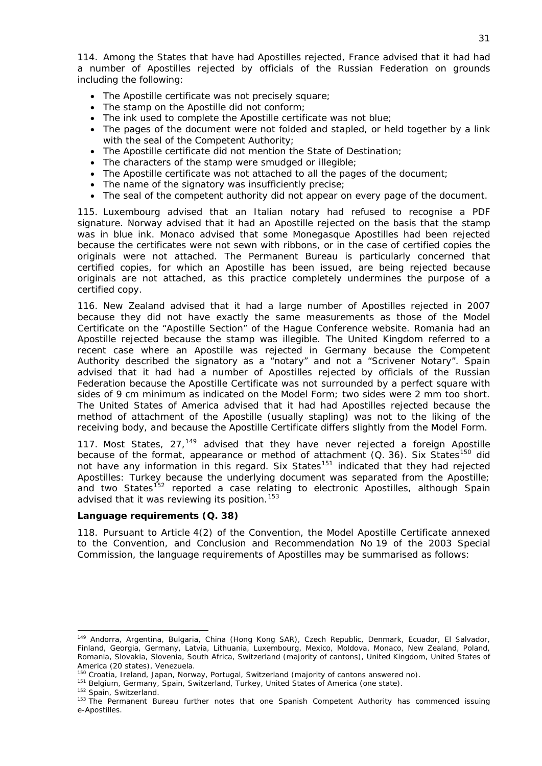114. Among the States that have had Apostilles rejected, France advised that it had had a number of Apostilles rejected by officials of the Russian Federation on grounds including the following:

- The Apostille certificate was not precisely square;
- The stamp on the Apostille did not conform:
- The ink used to complete the Apostille certificate was not blue;
- The pages of the document were not folded and stapled, or held together by a link with the seal of the Competent Authority;
- The Apostille certificate did not mention the State of Destination;
- The characters of the stamp were smudged or illegible;
- The Apostille certificate was not attached to all the pages of the document;
- The name of the signatory was insufficiently precise;
- The seal of the competent authority did not appear on every page of the document.

115. Luxembourg advised that an Italian notary had refused to recognise a PDF signature. Norway advised that it had an Apostille rejected on the basis that the stamp was in blue ink. Monaco advised that some Monegasque Apostilles had been rejected because the certificates were not sewn with ribbons, or in the case of certified copies the originals were not attached. The Permanent Bureau is particularly concerned that certified copies, for which an Apostille has been issued, are being rejected because originals are not attached, as this practice completely undermines the purpose of a certified copy.

116. New Zealand advised that it had a large number of Apostilles rejected in 2007 because they did not have exactly the same measurements as those of the *Model* Certificate on the "Apostille Section" of the Hague Conference website. Romania had an Apostille rejected because the stamp was illegible. The United Kingdom referred to a recent case where an Apostille was rejected in Germany because the Competent Authority described the signatory as a "notary" and not a "Scrivener Notary". Spain advised that it had had a number of Apostilles rejected by officials of the Russian Federation because the Apostille Certificate was not surrounded by a perfect square with sides of 9 cm minimum as indicated on the Model Form; two sides were 2 mm too short. The United States of America advised that it had had Apostilles rejected because the method of attachment of the Apostille (usually stapling) was not to the liking of the receiving body, and because the Apostille Certificate differs slightly from the Model Form.

117. Most States,  $27<sub>149</sub>$  $27<sub>149</sub>$  $27<sub>149</sub>$  advised that they have never rejected a foreign Apostille because of the format, appearance or method of attachment  $(Q. 36)$ . Six States<sup>[150](#page-31-1)</sup> did not have any information in this regard. Six States<sup>[151](#page-31-2)</sup> indicated that they had rejected Apostilles: Turkey because the underlying document was separated from the Apostille; and two States<sup>[152](#page-31-3)</sup> reported a case relating to electronic Apostilles, although Spain advised that it was reviewing its position.<sup>153</sup>

#### **Language requirements (Q. 38)**

118. Pursuant to Article 4(2) of the Convention, the Model Apostille Certificate annexed to the Convention, and Conclusion and Recommendation No 19 of the 2003 Special Commission, the language requirements of Apostilles may be summarised as follows:

<span id="page-31-0"></span><sup>149</sup> Andorra, Argentina, Bulgaria, China (Hong Kong SAR), Czech Republic, Denmark, Ecuador, El Salvador, Finland, Georgia, Germany, Latvia, Lithuania, Luxembourg, Mexico, Moldova, Monaco, New Zealand, Poland, Romania, Slovakia, Slovenia, South Africa, Switzerland (majority of cantons), United Kingdom, United States of America (20 states), Venezuela.<br>
<sup>150</sup> Croatia, Ireland, Japan, Norway, Portugal, Switzerland (majority of cantons answered no).<br>
<sup>151</sup> Belgium, Germany, Spain, Switzerland, Turkey, United States of America (one state).<br>
<sup></sup>

<span id="page-31-1"></span>

<span id="page-31-2"></span>

<span id="page-31-3"></span>e-Apostilles.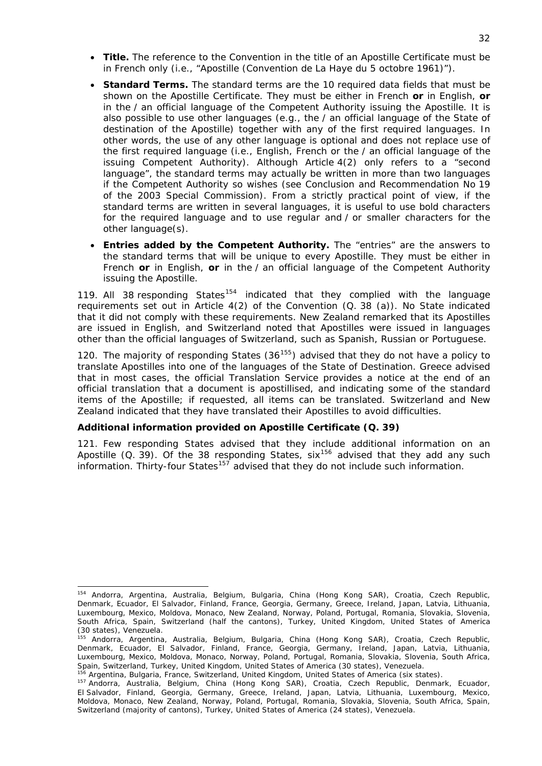- Title. The reference to the Convention in the title of an Apostille Certificate must be in French *only* (*i.e.*, "Apostille (*Convention de La Haye du 5 octobre 1961*)").
- *Standard Terms.* The standard terms are the 10 required data fields that must be shown on the Apostille Certificate. They must be *either in French or in English*, *or in the* / *an official language of the Competent Authority issuing the Apostille*. It is also possible to use *other* languages (*e.g.*, the / an official language of the State of destination of the Apostille) together with any of the first required languages. In other words, the use of any other language is optional and does not replace use of the first required language (*i.e.*, English, French or the / an official language of the issuing Competent Authority). Although Article 4(2) only refers to a "second language", the standard terms may actually be written in more than two languages if the Competent Authority so wishes (see Conclusion and Recommendation No 19 of the 2003 Special Commission). From a strictly practical point of view, if the standard terms are written in several languages, it is useful to use bold characters for the required language and to use regular and / or smaller characters for the other language(s).
- *Entries added by the Competent Authority.* The "entries" are the answers to the standard terms that will be unique to every Apostille. They must be *either in French or in English, or in the* / *an official language of the Competent Authority issuing the Apostille*.

119. All 38 responding  $\text{States}^{154}$  $\text{States}^{154}$  $\text{States}^{154}$  indicated that they complied with the language requirements set out in Article 4(2) of the Convention (Q. 38 (a)). No State indicated that it did not comply with these requirements. New Zealand remarked that its Apostilles are issued in English, and Switzerland noted that Apostilles were issued in languages other than the official languages of Switzerland, such as Spanish, Russian or Portuguese.

120. The majority of responding States  $(36^{155})$  $(36^{155})$  $(36^{155})$  advised that they do not have a policy to translate Apostilles into one of the languages of the State of Destination. Greece advised that in most cases, the official Translation Service provides a notice at the end of an official translation that a document is apostillised, and indicating some of the standard items of the Apostille; if requested, all items can be translated. Switzerland and New Zealand indicated that they have translated their Apostilles to avoid difficulties.

## **Additional information provided on Apostille Certificate (Q. 39)**

1

121. Few responding States advised that they include additional information on an Apostille (Q. 39). Of the 38 responding States,  $\sin^{156}$  $\sin^{156}$  $\sin^{156}$  advised that they add any such  $information$ . Thirty-four States<sup>[157](#page-32-3)</sup> advised that they do not include such information.

<span id="page-32-0"></span><sup>154</sup> Andorra, Argentina, Australia, Belgium, Bulgaria, China (Hong Kong SAR), Croatia, Czech Republic, Denmark, Ecuador, El Salvador, Finland, France, Georgia, Germany, Greece, Ireland, Japan, Latvia, Lithuania, Luxembourg, Mexico, Moldova, Monaco, New Zealand, Norway, Poland, Portugal, Romania, Slovakia, Slovenia, South Africa, Spain, Switzerland (half the cantons), Turkey, United Kingdom, United States of America (30 states), Venezuela.

<span id="page-32-1"></span><sup>&</sup>lt;sup>155</sup> Andorra, Argentina, Australia, Belgium, Bulgaria, China (Hong Kong SAR), Croatia, Czech Republic, Denmark, Ecuador, El Salvador, Finland, France, Georgia, Germany, Ireland, Japan, Latvia, Lithuania, Luxembourg, Mexico, Moldova, Monaco, Norway, Poland, Portugal, Romania, Slovakia, Slovenia, South Africa,

<span id="page-32-3"></span><span id="page-32-2"></span>

Spain, Switzerland, Turkey, United Kingdom, United States of America (30 states), Venezuela.<br><sup>156</sup> Argentina, Bulgaria, France, Switzerland, United Kingdom, United States of America (six states).<br><sup>157</sup> Andorra, Australia, El Salvador, Finland, Georgia, Germany, Greece, Ireland, Japan, Latvia, Lithuania, Luxembourg, Mexico, Moldova, Monaco, New Zealand, Norway, Poland, Portugal, Romania, Slovakia, Slovenia, South Africa, Spain, Switzerland (majority of cantons), Turkey, United States of America (24 states), Venezuela.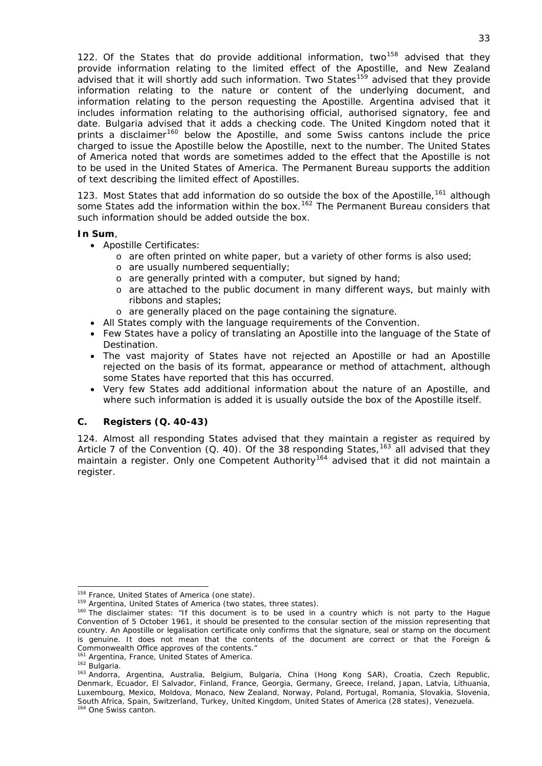122. Of the States that do provide additional information, two<sup>[158](#page-33-1)</sup> advised that they provide information relating to the limited effect of the Apostille, and New Zealand advised that it will shortly add such information. Two States<sup>[159](#page-33-2)</sup> advised that they provide information relating to the nature or content of the underlying document, and information relating to the person requesting the Apostille. Argentina advised that it includes information relating to the authorising official, authorised signatory, fee and date. Bulgaria advised that it adds a checking code. The United Kingdom noted that it prints a disclaimer<sup>[160](#page-33-3)</sup> below the Apostille, and some Swiss cantons include the price charged to issue the Apostille below the Apostille, next to the number. The United States of America noted that words are sometimes added to the effect that the Apostille is not to be used in the United States of America. The Permanent Bureau supports the addition of text describing the limited effect of Apostilles.

123. Most States that add information do so outside the box of the Apostille,<sup>[161](#page-33-4)</sup> although some States add the information within the box.<sup>[162](#page-33-5)</sup> The Permanent Bureau considers that such information should be added outside the box.

### **In Sum**,

- Apostille Certificates:
	- o are often printed on white paper, but a variety of other forms is also used;
	- o are usually numbered sequentially;
	- o are generally printed with a computer, but signed by hand;
	- o are attached to the public document in many different ways, but mainly with ribbons and staples;
	- o are generally placed on the page containing the signature.
- All States comply with the language requirements of the Convention.
- Few States have a policy of translating an Apostille into the language of the State of Destination.
- The vast majority of States have not rejected an Apostille or had an Apostille rejected on the basis of its format, appearance or method of attachment, although some States have reported that this has occurred.
- Very few States add additional information about the nature of an Apostille, and where such information is added it is usually outside the box of the Apostille itself.

# <span id="page-33-0"></span>**C. Registers (Q. 40-43)**

124. Almost all responding States advised that they maintain a register as required by Article 7 of the Convention (Q. 40). Of the 38 responding States,  $163$  all advised that they maintain a register. Only one Competent Authority<sup>[164](#page-33-7)</sup> advised that it did not maintain a register.

<span id="page-33-2"></span><span id="page-33-1"></span>

<span id="page-33-3"></span>

<sup>&</sup>lt;sup>158</sup> France, United States of America (one state).<br><sup>159</sup> Argentina, United States of America (two states, three states).<br><sup>160</sup> The disclaimer states: "If this document is to be used in a country which is not party to the Convention of 5 October 1961, it should be presented to the consular section of the mission representing that country. An Apostille or legalisation certificate only confirms that the signature, seal or stamp on the document is genuine. It does not mean that the contents of the document are correct or that the Foreign & Commonwealth Office approves of the contents.'<br><sup>161</sup> Argentina, France, United States of America.

<span id="page-33-7"></span><span id="page-33-6"></span><span id="page-33-5"></span><span id="page-33-4"></span><sup>162</sup> Bulgaria.<br><sup>162</sup> Bulgaria.<br><sup>163</sup> Andorra, Argentina, Australia, Belgium, Bulgaria, China (Hong Kong SAR), Croatia, Czech Republic, Denmark, Ecuador, El Salvador, Finland, France, Georgia, Germany, Greece, Ireland, Japan, Latvia, Lithuania, Luxembourg, Mexico, Moldova, Monaco, New Zealand, Norway, Poland, Portugal, Romania, Slovakia, Slovenia, South Africa, Spain, Switzerland, Turkey, United Kingdom, United States of America (28 states), Venezuela.<br><sup>164</sup> One Swiss canton.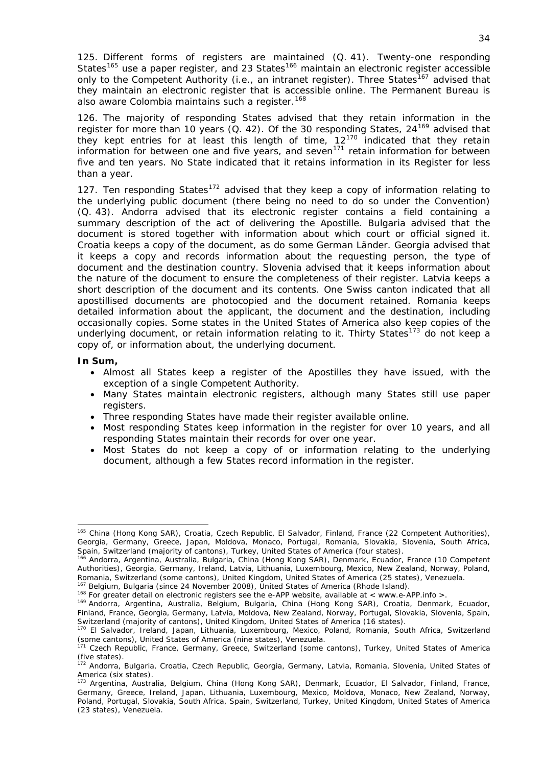125. Different forms of registers are maintained (Q. 41). Twenty-one responding States<sup>[165](#page-34-0)</sup> use a paper register, and 23 States<sup>[166](#page-34-1)</sup> maintain an electronic register accessible only to the Competent Authority (*i.e.*, an intranet register). Three States<sup>[167](#page-34-2)</sup> advised that they maintain an electronic register that is accessible online. The Permanent Bureau is also aware Colombia maintains such a register.<sup>[168](#page-34-3)</sup>

126. The majority of responding States advised that they retain information in the register for more than 10 years (Q. 42). Of the 30 responding States,  $24^{169}$  $24^{169}$  $24^{169}$  advised that they kept entries for at least this length of time,  $12^{170}$  $12^{170}$  $12^{170}$  indicated that they retain information for between one and five years, and seven<sup>[171](#page-34-6)</sup> retain information for between five and ten years. No State indicated that it retains information in its Register for less than a year.

127. Ten responding States<sup>[172](#page-34-7)</sup> advised that they keep a copy of information relating to the underlying public document (there being no need to do so under the Convention) (Q. 43). Andorra advised that its electronic register contains a field containing a summary description of the act of delivering the Apostille. Bulgaria advised that the document is stored together with information about which court or official signed it. Croatia keeps a copy of the document, as do some German *Länder*. Georgia advised that it keeps a copy and records information about the requesting person, the type of document and the destination country. Slovenia advised that it keeps information about the nature of the document to ensure the completeness of their register. Latvia keeps a short description of the document and its contents. One Swiss canton indicated that all apostillised documents are photocopied and the document retained. Romania keeps detailed information about the applicant, the document and the destination, including occasionally copies. Some states in the United States of America also keep copies of the underlying document, or retain information relating to it. Thirty States<sup>[173](#page-34-8)</sup> do not keep a copy of, or information about, the underlying document.

#### **In Sum,**

-

- Almost all States keep a register of the Apostilles they have issued, with the exception of a single Competent Authority.
- Many States maintain electronic registers, although many States still use paper registers.
- Three responding States have made their register available online.
- Most responding States keep information in the register for over 10 years, and all responding States maintain their records for over one year.
- Most States do not keep a copy of or information relating to the underlying document, although a few States record information in the register.

<span id="page-34-0"></span><sup>165</sup> China (Hong Kong SAR), Croatia, Czech Republic, El Salvador, Finland, France (22 Competent Authorities), Georgia, Germany, Greece, Japan, Moldova, Monaco, Portugal, Romania, Slovakia, Slovenia, South Africa,

<span id="page-34-1"></span>Spain, Switzerland (majority of cantons), Turkey, United States of America (four states).<br><sup>166</sup> Andorra, Argentina, Australia, Bulgaria, China (Hong Kong SAR), Denmark, Ecuador, France (10 Competent Authorities), Georgia, Germany, Ireland, Latvia, Lithuania, Luxembourg, Mexico, New Zealand, Norway, Poland,<br>Romania, Switzerland (some cantons), United Kingdom, United States of America (25 states), Venezuela.

<span id="page-34-4"></span>

<span id="page-34-3"></span><span id="page-34-2"></span><sup>&</sup>lt;sup>167</sup> Belgium, Bulgaria (since 24 November 2008), United States of America (Rhode Island).<br><sup>168</sup> For greater detail on electronic registers see the e-APP website, available at < www.e-APP.info >.<br><sup>169</sup> Andorra, Argentina, Finland, France, Georgia, Germany, Latvia, Moldova, New Zealand, Norway, Portugal, Slovakia, Slovenia, Spain,<br>Switzerland (majority of cantons), United Kingdom, United States of America (16 states).

<span id="page-34-5"></span><sup>170</sup> El Salvador, Ireland, Japan, Lithuania, Luxembourg, Mexico, Poland, Romania, South Africa, Switzerland (some cantons), United States of America (nine states), Venezuela.

<span id="page-34-6"></span><sup>&</sup>lt;sup>171</sup> Czech Republic, France, Germany, Greece, Switzerland (some cantons), Turkey, United States of America (five states).

<span id="page-34-7"></span><sup>&</sup>lt;sup>172</sup> Andorra, Bulgaria, Croatia, Czech Republic, Georgia, Germany, Latvia, Romania, Slovenia, United States of America (six states).

<span id="page-34-8"></span><sup>173</sup> Argentina, Australia, Belgium, China (Hong Kong SAR), Denmark, Ecuador, El Salvador, Finland, France, Germany, Greece, Ireland, Japan, Lithuania, Luxembourg, Mexico, Moldova, Monaco, New Zealand, Norway, Poland, Portugal, Slovakia, South Africa, Spain, Switzerland, Turkey, United Kingdom, United States of America (23 states), Venezuela.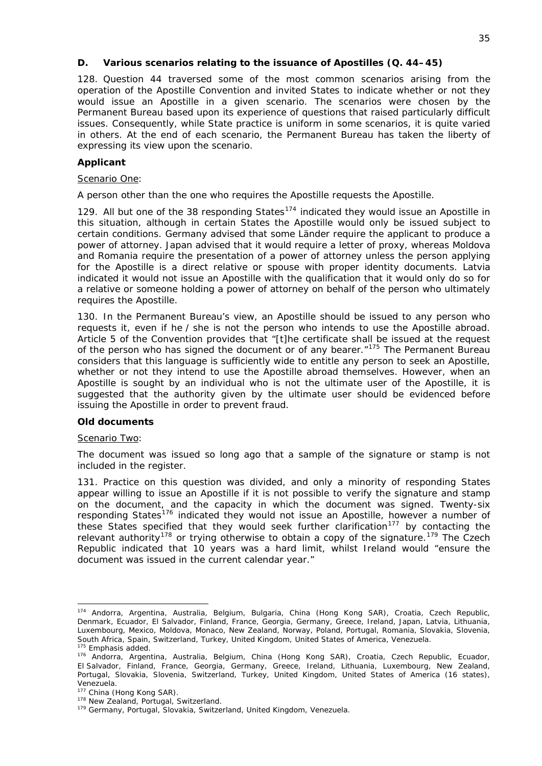### <span id="page-35-0"></span>**D. Various scenarios relating to the issuance of Apostilles (Q. 44–45)**

128. Question 44 traversed some of the most common scenarios arising from the operation of the Apostille Convention and invited States to indicate whether or not they would issue an Apostille in a given scenario. The scenarios were chosen by the Permanent Bureau based upon its experience of questions that raised particularly difficult issues. Consequently, while State practice is uniform in some scenarios, it is quite varied in others. At the end of each scenario, the Permanent Bureau has taken the liberty of expressing its view upon the scenario.

### *Applicant*

#### Scenario One:

### *A person other than the one who requires the Apostille requests the Apostille.*

129. All but one of the 38 responding States<sup>[174](#page-35-1)</sup> indicated they would issue an Apostille in this situation, although in certain States the Apostille would only be issued subject to certain conditions. Germany advised that some *Länder* require the applicant to produce a power of attorney. Japan advised that it would require a letter of proxy, whereas Moldova and Romania require the presentation of a power of attorney unless the person applying for the Apostille is a direct relative or spouse with proper identity documents. Latvia indicated it would not issue an Apostille with the qualification that it would only do so for a relative or someone holding a power of attorney on behalf of the person who ultimately requires the Apostille.

130. In the Permanent Bureau's view, an Apostille should be issued to any person who requests it, even if he / she is not the person who intends to use the Apostille abroad. Article 5 of the Convention provides that "[t]he certificate shall be issued at the request of the person who has signed the document *or of any bearer*."[175](#page-35-2) The Permanent Bureau considers that this language is sufficiently wide to entitle any person to seek an Apostille, whether or not they intend to use the Apostille abroad themselves. However, when an Apostille is sought by an individual who is not the ultimate user of the Apostille, it is suggested that the authority given by the ultimate user should be evidenced before issuing the Apostille in order to prevent fraud.

## *Old documents*

#### Scenario Two:

1

## *The document was issued so long ago that a sample of the signature or stamp is not included in the register.*

131. Practice on this question was divided, and only a minority of responding States appear willing to issue an Apostille if it is not possible to verify the signature and stamp on the document, and the capacity in which the document was signed. Twenty-six responding States<sup>[176](#page-35-3)</sup> indicated they would not issue an Apostille, however a number of these States specified that they would seek further clarification<sup>[177](#page-35-4)</sup> by contacting the relevant authority<sup>[178](#page-35-5)</sup> or trying otherwise to obtain a copy of the signature.<sup>[179](#page-35-6)</sup> The Czech Republic indicated that 10 years was a hard limit, whilst Ireland would "ensure the document was issued in the current calendar year."

<span id="page-35-1"></span><sup>174</sup> Andorra, Argentina, Australia, Belgium, Bulgaria, China (Hong Kong SAR), Croatia, Czech Republic, Denmark, Ecuador, El Salvador, Finland, France, Georgia, Germany, Greece, Ireland, Japan, Latvia, Lithuania, Luxembourg, Mexico, Moldova, Monaco, New Zealand, Norway, Poland, Portugal, Romania, Slovakia, Slovenia, South Africa, Spain, Switzerland, Turkey, United Kingdom, United States of America, Venezuela.<br><sup>175</sup> Emphasis added.<br><sup>176</sup> Andorra, Argentina, Australia, Belgium, China (Hong Kong SAR), Croatia, Czech Republic, Ecuador,

<span id="page-35-3"></span><span id="page-35-2"></span>El Salvador, Finland, France, Georgia, Germany, Greece, Ireland, Lithuania, Luxembourg, New Zealand, Portugal, Slovakia, Slovenia, Switzerland, Turkey, United Kingdom, United States of America (16 states), Venezuela.<br><sup>177</sup> China (Hong Kong SAR).

<span id="page-35-4"></span>

<span id="page-35-6"></span><span id="page-35-5"></span><sup>&</sup>lt;sup>178</sup> New Zealand, Portugal, Switzerland.<br><sup>179</sup> Germany, Portugal, Slovakia, Switzerland, United Kingdom, Venezuela.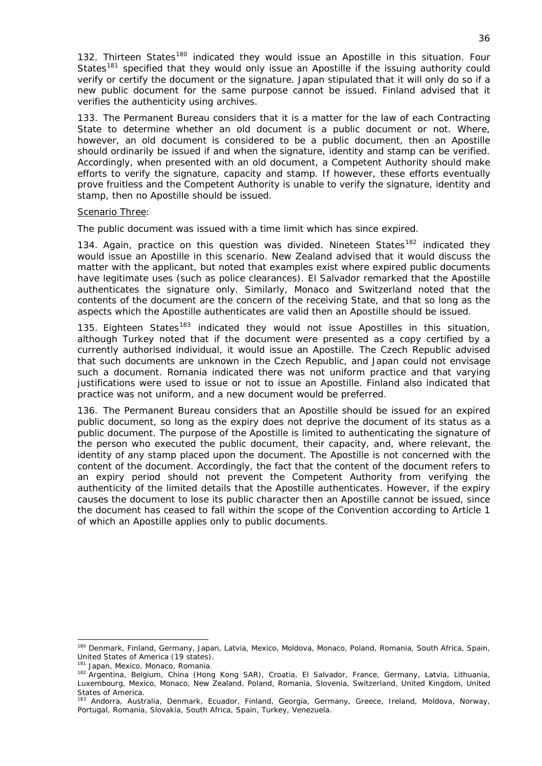132. Thirteen States<sup>[180](#page-36-0)</sup> indicated they would issue an Apostille in this situation. Four States<sup>[181](#page-36-1)</sup> specified that they would only issue an Apostille if the issuing authority could verify or certify the document or the signature. Japan stipulated that it will only do so if a new public document for the same purpose cannot be issued. Finland advised that it verifies the authenticity using archives.

133. The Permanent Bureau considers that it is a matter for the law of each Contracting State to determine whether an old document is a public document or not. Where, however, an old document is considered to be a public document, then an Apostille should ordinarily be issued if and when the signature, identity and stamp can be verified. Accordingly, when presented with an old document, a Competent Authority should make efforts to verify the signature, capacity and stamp. If however, these efforts eventually prove fruitless and the Competent Authority is unable to verify the signature, identity and stamp, then no Apostille should be issued.

#### Scenario Three:

### *The public document was issued with a time limit which has since expired.*

134. Again, practice on this question was divided. Nineteen States<sup>[182](#page-36-2)</sup> indicated thev would issue an Apostille in this scenario. New Zealand advised that it would discuss the matter with the applicant, but noted that examples exist where expired public documents have legitimate uses (such as police clearances). El Salvador remarked that the Apostille authenticates the signature only. Similarly, Monaco and Switzerland noted that the contents of the document are the concern of the receiving State, and that so long as the aspects which the Apostille authenticates are valid then an Apostille should be issued.

135. Eighteen States<sup>[183](#page-36-3)</sup> indicated they would not issue Apostilles in this situation, although Turkey noted that if the document were presented as a copy certified by a currently authorised individual, it would issue an Apostille. The Czech Republic advised that such documents are unknown in the Czech Republic, and Japan could not envisage such a document. Romania indicated there was not uniform practice and that varying justifications were used to issue or not to issue an Apostille. Finland also indicated that practice was not uniform, and a new document would be preferred.

136. The Permanent Bureau considers that an Apostille should be issued for an expired public document, so long as the expiry does not deprive the document of its status as a public document. The purpose of the Apostille is limited to authenticating the signature of the person who executed the public document, their capacity, and, where relevant, the identity of any stamp placed upon the document. The Apostille is not concerned with the content of the document. Accordingly, the fact that the content of the document refers to an expiry period should not prevent the Competent Authority from verifying the authenticity of the limited details that the Apostille authenticates. However, if the expiry causes the document to lose its public character then an Apostille cannot be issued, since the document has ceased to fall within the scope of the Convention according to Article 1 of which an Apostille applies only to public documents.

<span id="page-36-0"></span><sup>180</sup> Denmark, Finland, Germany, Japan, Latvia, Mexico, Moldova, Monaco, Poland, Romania, South Africa, Spain, United States of America (19 states).

<span id="page-36-2"></span><span id="page-36-1"></span>

<sup>&</sup>lt;sup>181</sup> Japan, Mexico, Monaco, Romania.<br><sup>182</sup> Argentina, Belgium, China (Hong Kong SAR), Croatia, El Salvador, France, Germany, Latvia, Lithuania, Luxembourg, Mexico, Monaco, New Zealand, Poland, Romania, Slovenia, Switzerland, United Kingdom, United States of America.

<span id="page-36-3"></span><sup>183</sup> Andorra, Australia, Denmark, Ecuador, Finland, Georgia, Germany, Greece, Ireland, Moldova, Norway, Portugal, Romania, Slovakia, South Africa, Spain, Turkey, Venezuela.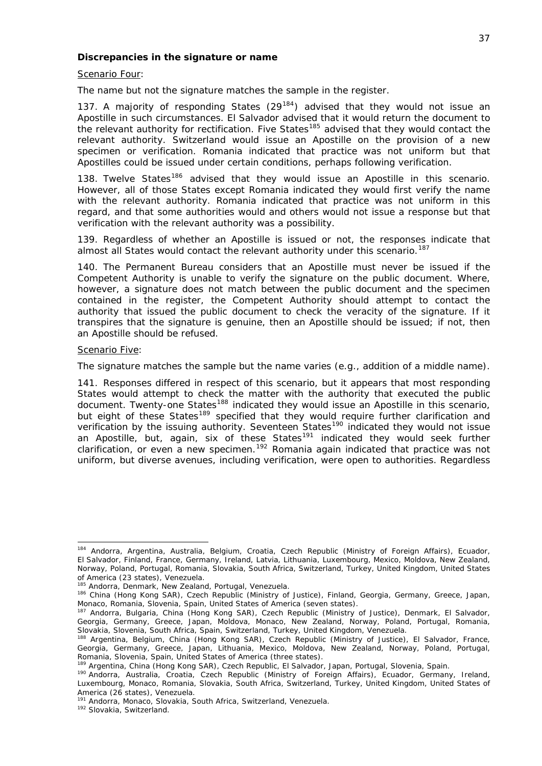#### *Discrepancies in the signature or name*

Scenario Four:

*The name but not the signature matches the sample in the register.* 

137. A majority of responding States  $(29^{184})$  $(29^{184})$  $(29^{184})$  advised that they would not issue an Apostille in such circumstances. El Salvador advised that it would return the document to the relevant authority for rectification. Five States<sup>[185](#page-37-1)</sup> advised that they would contact the relevant authority. Switzerland would issue an Apostille on the provision of a new specimen or verification. Romania indicated that practice was not uniform but that Apostilles could be issued under certain conditions, perhaps following verification.

138. Twelve States<sup>[186](#page-37-2)</sup> advised that they would issue an Apostille in this scenario. However, all of those States except Romania indicated they would first verify the name with the relevant authority. Romania indicated that practice was not uniform in this regard, and that some authorities would and others would not issue a response but that verification with the relevant authority was a possibility.

139. Regardless of whether an Apostille is issued or not, the responses indicate that almost all States would contact the relevant authority under this scenario.<sup>[187](#page-37-3)</sup>

140. The Permanent Bureau considers that an Apostille must never be issued if the Competent Authority is unable to verify the signature on the public document. Where, however, a signature does not match between the public document and the specimen contained in the register, the Competent Authority should attempt to contact the authority that issued the public document to check the veracity of the signature. If it transpires that the signature is genuine, then an Apostille should be issued; if not, then an Apostille should be refused.

#### Scenario Five:

-

#### *The signature matches the sample but the name varies (*e.g.*, addition of a middle name).*

141. Responses differed in respect of this scenario, but it appears that most responding States would attempt to check the matter with the authority that executed the public document. Twenty-one States<sup>[188](#page-37-4)</sup> indicated they would issue an Apostille in this scenario, but eight of these States<sup>[189](#page-37-5)</sup> specified that they would require further clarification and verification by the issuing authority. Seventeen States<sup>[190](#page-37-6)</sup> indicated they would not issue an Apostille, but, again, six of these States<sup>[191](#page-37-7)</sup> indicated they would seek further clarification, or even a new specimen.<sup>[192](#page-37-8)</sup> Romania again indicated that practice was not uniform, but diverse avenues, including verification, were open to authorities. Regardless

<span id="page-37-0"></span><sup>184</sup> Andorra, Argentina, Australia, Belgium, Croatia, Czech Republic (Ministry of Foreign Affairs), Ecuador, El Salvador, Finland, France, Germany, Ireland, Latvia, Lithuania, Luxembourg, Mexico, Moldova, New Zealand, Norway, Poland, Portugal, Romania, Slovakia, South Africa, Switzerland, Turkey, United Kingdom, United States of America (23 states), Venezuela.<br><sup>185</sup> Andorra, Denmark, New Zealand, Portugal, Venezuela.

<span id="page-37-1"></span>

<span id="page-37-2"></span><sup>&</sup>lt;sup>186</sup> China (Hong Kong SAR), Czech Republic (Ministry of Justice), Finland, Georgia, Germany, Greece, Japan, Monaco, Romania, Slovenia, Spain, United States of America (seven states).

<span id="page-37-3"></span><sup>&</sup>lt;sup>187</sup> Andorra, Bulgaria, China (Hong Kong SAR), Czech Republic (Ministry of Justice), Denmark, El Salvador, Georgia, Germany, Greece, Japan, Moldova, Monaco, New Zealand, Norway, Poland, Portugal, Romania,<br>Slovakia, Slovenia, South Africa, Spain, Switzerland, Turkey, United Kingdom, Venezuela.

<span id="page-37-4"></span><sup>&</sup>lt;sup>188</sup> Argentina, Belgium, China (Hong Kong SAR), Czech Republic (Ministry of Justice), El Salvador, France, Georgia, Germany, Greece, Japan, Lithuania, Mexico, Moldova, New Zealand, Norway, Poland, Portugal, Romania, Slovenia, Spain, United States of America (three states).<br><sup>189</sup> Argentina, China (Hong Kong SAR), Czech Republic, El Salvador, Japan, Portugal, Slovenia, Spain.

<span id="page-37-6"></span><span id="page-37-5"></span><sup>190</sup> Andorra, Australia, Croatia, Czech Republic (Ministry of Foreign Affairs), Ecuador, Germany, Ireland, Luxembourg, Monaco, Romania, Slovakia, South Africa, Switzerland, Turkey, United Kingdom, United States of America (26 states), Venezuela.<br>
<sup>191</sup> Andorra, Monaco, Slovakia, South Africa, Switzerland, Venezuela.<br>
<sup>192</sup> Slovakia, Switzerland.

<span id="page-37-8"></span><span id="page-37-7"></span>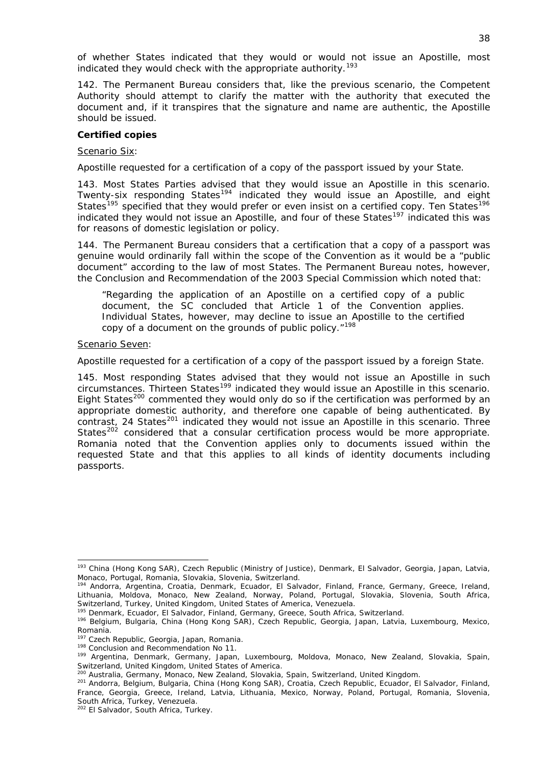of whether States indicated that they would or would not issue an Apostille, most indicated they would check with the appropriate authority.<sup>[193](#page-38-0)</sup>

142. The Permanent Bureau considers that, like the previous scenario, the Competent Authority should attempt to clarify the matter with the authority that executed the document and, if it transpires that the signature and name are authentic, the Apostille should be issued.

#### *Certified copies*

#### Scenario Six:

### *Apostille requested for a certification of a copy of the passport issued by your State.*

143. Most States Parties advised that they would issue an Apostille in this scenario. Twenty-six responding States<sup>[194](#page-38-1)</sup> indicated they would issue an Apostille, and eight States<sup>[195](#page-38-2)</sup> specified that they would prefer or even insist on a certified copy. Ten States<sup>[196](#page-38-3)</sup> indicated they would not issue an Apostille, and four of these States<sup>[197](#page-38-4)</sup> indicated this was for reasons of domestic legislation or policy.

144. The Permanent Bureau considers that a certification that a copy of a passport was genuine would ordinarily fall within the scope of the Convention as it would be a "public document" according to the law of most States. The Permanent Bureau notes, however, the Conclusion and Recommendation of the 2003 Special Commission which noted that:

"Regarding the application of an Apostille on a *certified copy* of a public document, the SC concluded that Article 1 of the Convention applies. Individual States, however, may decline to issue an Apostille to the certified copy of a document on the grounds of public policy."<sup>[198](#page-38-5)</sup>

#### Scenario Seven:

1

#### *Apostille requested for a certification of a copy of the passport issued by a foreign State.*

145. Most responding States advised that they would not issue an Apostille in such circumstances. Thirteen States[199](#page-38-6) indicated they would issue an Apostille in this scenario. Eight States<sup>[200](#page-38-7)</sup> commented they would only do so if the certification was performed by an appropriate domestic authority, and therefore one capable of being authenticated. By contrast, 24 States<sup>[201](#page-38-8)</sup> indicated they would not issue an Apostille in this scenario. Three States<sup>[202](#page-38-9)</sup> considered that a consular certification process would be more appropriate. Romania noted that the Convention applies only to documents issued within the requested State and that this applies to all kinds of identity documents including passports.

<span id="page-38-0"></span><sup>193</sup> China (Hong Kong SAR), Czech Republic (Ministry of Justice), Denmark, El Salvador, Georgia, Japan, Latvia, Monaco, Portugal, Romania, Slovakia, Slovenia, Switzerland.

<span id="page-38-1"></span><sup>194</sup> Andorra, Argentina, Croatia, Denmark, Ecuador, El Salvador, Finland, France, Germany, Greece, Ireland, Lithuania, Moldova, Monaco, New Zealand, Norway, Poland, Portugal, Slovakia, Slovenia, South Africa, Switzerland, Turkey, United Kingdom, United States of America, Venezuela.<br><sup>195</sup> Denmark, Ecuador, El Salvador, Finland, Germany, Greece, South Africa, Switzerland.

<span id="page-38-3"></span><span id="page-38-2"></span><sup>196</sup> Belgium, Bulgaria, China (Hong Kong SAR), Czech Republic, Georgia, Japan, Latvia, Luxembourg, Mexico, Romania.<br><sup>197</sup> Czech Republic, Georgia, Japan, Romania.

<span id="page-38-6"></span><span id="page-38-5"></span><span id="page-38-4"></span><sup>&</sup>lt;sup>198</sup> Conclusion and Recommendation No 11.<br><sup>199</sup> Argentina, Denmark, Germany, Japan, Luxembourg, Moldova, Monaco, New Zealand, Slovakia, Spain, Switzerland, United Kingdom, United States of America.<br><sup>200</sup> Australia, Germany, Monaco, New Zealand, Slovakia, Spain, Switzerland, United Kingdom.<br><sup>201</sup> Andorra, Belgium, Bulgaria, China (Hong Kong SAR), Croatia, Czech Re

<span id="page-38-8"></span><span id="page-38-7"></span>France, Georgia, Greece, Ireland, Latvia, Lithuania, Mexico, Norway, Poland, Portugal, Romania, Slovenia, South Africa, Turkey, Venezuela.

<span id="page-38-9"></span><sup>&</sup>lt;sup>202</sup> El Salvador, South Africa, Turkey.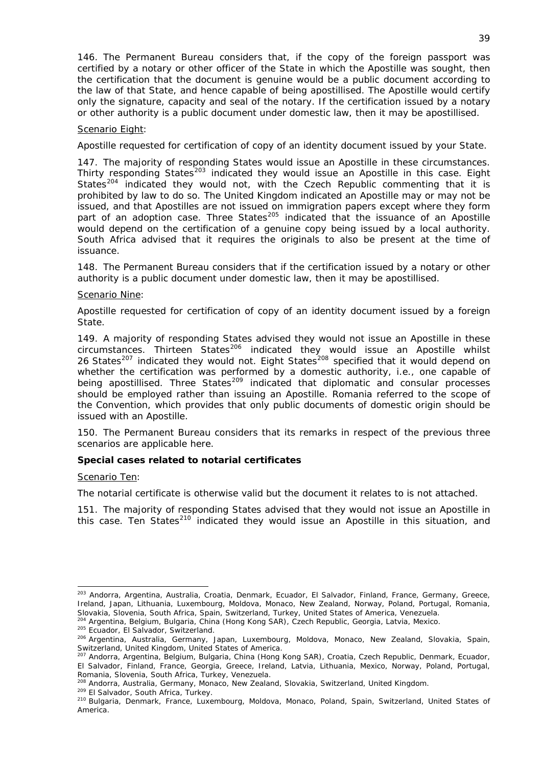146. The Permanent Bureau considers that, if the copy of the foreign passport was certified by a notary or other officer of the State in which the Apostille was sought, then the certification that the document is genuine would be a public document according to the law of that State, and hence capable of being apostillised. The Apostille would certify only the signature, capacity and seal of the notary. If the certification issued by a notary or other authority is a public document under domestic law, then it may be apostillised.

### Scenario Eight:

### *Apostille requested for certification of copy of an identity document issued by your State.*

147. The majority of responding States would issue an Apostille in these circumstances. Thirty responding States<sup>[203](#page-39-0)</sup> indicated they would issue an Apostille in this case. Eight States<sup>[204](#page-39-1)</sup> indicated they would not, with the Czech Republic commenting that it is prohibited by law to do so. The United Kingdom indicated an Apostille may or may not be issued, and that Apostilles are not issued on immigration papers except where they form part of an adoption case. Three States<sup>[205](#page-39-2)</sup> indicated that the issuance of an Apostille would depend on the certification of a genuine copy being issued by a local authority. South Africa advised that it requires the originals to also be present at the time of issuance.

148. The Permanent Bureau considers that if the certification issued by a notary or other authority is a public document under domestic law, then it may be apostillised.

#### Scenario Nine:

### *Apostille requested for certification of copy of an identity document issued by a foreign State.*

the Convention, which provides that only public documents of domestic origin should be 149. A majority of responding States advised they would not issue an Apostille in these circumstances. Thirteen States<sup>[206](#page-39-3)</sup> indicated they would issue an Apostille whilst 26 States<sup>[207](#page-39-4)</sup> indicated they would not. Eight States<sup>[208](#page-39-5)</sup> specified that it would depend on whether the certification was performed by a domestic authority, *i.e.*, one capable of being apostillised. Three States<sup>[209](#page-39-6)</sup> indicated that diplomatic and consular processes should be employed rather than issuing an Apostille. Romania referred to the scope of issued with an Apostille.

150. The Permanent Bureau considers that its remarks in respect of the previous three scenarios are applicable here.

#### **Special cases related to notarial certificates**

#### Scenario Ten:

1

# *The notarial certificate is otherwise valid but the document it relates to is not attached.*

151. The majority of responding States advised that they would not issue an Apostille in this case. Ten States<sup>210</sup> indicated they would issue an Apostille in this situation, and

<span id="page-39-0"></span><sup>203</sup> Andorra, Argentina, Australia, Croatia, Denmark, Ecuador, El Salvador, Finland, France, Germany, Greece, Ireland, Japan, Lithuania, Luxembourg, Moldova, Monaco, New Zealand, Norway, Poland, Portugal, Romania,<br>Slovakia, Slovenia, South Africa, Spain, Switzerland, Turkey, United States of America, Venezuela.

<span id="page-39-3"></span>

<span id="page-39-2"></span><span id="page-39-1"></span><sup>&</sup>lt;sup>204</sup> Argentina, Belgium, Bulgaria, China (Hong Kong SAR), Czech Republic, Georgia, Latvia, Mexico.<br><sup>205</sup> Ecuador, El Salvador, Switzerland.<br><sup>206</sup> Argentina, Australia, Germany, Japan, Luxembourg, Moldova, Monaco, New Zeal Switzerland, United Kingdom, United States of America.<br><sup>207</sup> Andorra, Argentina, Belgium, Bulgaria, China (Hong Kong SAR), Croatia, Czech Republic, Denmark, Ecuador,

<span id="page-39-4"></span>El Salvador, Finland, France, Georgia, Greece, Ireland, Latvia, Lithuania, Mexico, Norway, Poland, Portugal, Romania, Slovenia, South Africa, Turkey, Venezuela.<br><sup>208</sup> Andorra, Australia, Germany, Monaco, New Zealand, Slovakia, Switzerland, United Kingdom.

<span id="page-39-5"></span>

<span id="page-39-6"></span><sup>&</sup>lt;sup>209</sup> El Salvador, South Africa, Turkey.<br><sup>210</sup> Bulgaria, Denmark, France, Luxembourg, Moldova, Monaco, Poland, Spain, Switzerland, United States of America.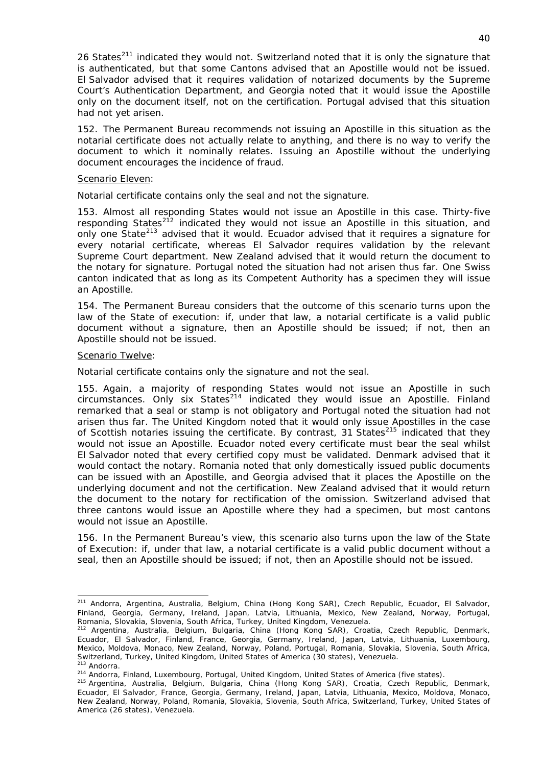26 States<sup>[211](#page-40-0)</sup> indicated they would not. Switzerland noted that it is only the signature that is authenticated, but that some Cantons advised that an Apostille would not be issued. El Salvador advised that it requires validation of notarized documents by the Supreme Court's Authentication Department, and Georgia noted that it would issue the Apostille only on the document itself, not on the certification. Portugal advised that this situation had not yet arisen.

152. The Permanent Bureau recommends not issuing an Apostille in this situation as the notarial certificate does not actually relate to anything, and there is no way to verify the document to which it nominally relates. Issuing an Apostille without the underlying document encourages the incidence of fraud.

#### Scenario Eleven:

### *Notarial certificate contains only the seal and not the signature.*

153. Almost all responding States would not issue an Apostille in this case. Thirty-five responding States<sup>[212](#page-40-1)</sup> indicated they would not issue an Apostille in this situation, and only one State<sup>[213](#page-40-2)</sup> advised that it would. Ecuador advised that it requires a signature for every notarial certificate, whereas El Salvador requires validation by the relevant Supreme Court department. New Zealand advised that it would return the document to the notary for signature. Portugal noted the situation had not arisen thus far. One Swiss canton indicated that as long as its Competent Authority has a specimen they will issue an Apostille.

154. The Permanent Bureau considers that the outcome of this scenario turns upon the law of the State of execution: if, under that law, a notarial certificate is a valid public document without a signature, then an Apostille should be issued; if not, then an Apostille should not be issued.

### Scenario Twelve:

1

### *Notarial certificate contains only the signature and not the seal.*

155. Again, a majority of responding States would not issue an Apostille in such  $circumstances$ . Only six States<sup>[214](#page-40-3)</sup> indicated they would issue an Apostille. Finland remarked that a seal or stamp is not obligatory and Portugal noted the situation had not arisen thus far. The United Kingdom noted that it would only issue Apostilles in the case of Scottish notaries issuing the certificate. By contrast, 31 States $^{215}$  $^{215}$  $^{215}$  indicated that they would not issue an Apostille. Ecuador noted every certificate must bear the seal whilst El Salvador noted that every certified copy must be validated. Denmark advised that it would contact the notary. Romania noted that only domestically issued public documents can be issued with an Apostille, and Georgia advised that it places the Apostille on the underlying document and not the certification. New Zealand advised that it would return the document to the notary for rectification of the omission. Switzerland advised that three cantons would issue an Apostille where they had a specimen, but most cantons would not issue an Apostille.

156. In the Permanent Bureau's view, this scenario also turns upon the law of the State of Execution: if, under that law, a notarial certificate is a valid public document without a seal, then an Apostille should be issued; if not, then an Apostille should not be issued.

<span id="page-40-0"></span><sup>211</sup> Andorra, Argentina, Australia, Belgium, China (Hong Kong SAR), Czech Republic, Ecuador, El Salvador, Finland, Georgia, Germany, Ireland, Japan, Latvia, Lithuania, Mexico, New Zealand, Norway, Portugal,

<span id="page-40-1"></span>Romania, Slovakia, Slovenia, South Africa, Turkey, United Kingdom, Venezuela.<br><sup>212</sup> Argentina, Australia, Belgium, Bulgaria, China (Hong Kong SAR), Croatia, Czech Republic, Denmark, Ecuador, El Salvador, Finland, France, Georgia, Germany, Ireland, Japan, Latvia, Lithuania, Luxembourg, Mexico, Moldova, Monaco, New Zealand, Norway, Poland, Portugal, Romania, Slovakia, Slovenia, South Africa, Switzerland, Turkey, United Kingdom, United States of America (30 states), Venezuela.<br><sup>213</sup> Andorra.<br><sup>214</sup> Andorra, Finland, Luxembourg, Portugal, United Kingdom, United States of America (five states).<br><sup>215</sup> Argentina, Au

<span id="page-40-4"></span><span id="page-40-3"></span><span id="page-40-2"></span>

Ecuador, El Salvador, France, Georgia, Germany, Ireland, Japan, Latvia, Lithuania, Mexico, Moldova, Monaco, New Zealand, Norway, Poland, Romania, Slovakia, Slovenia, South Africa, Switzerland, Turkey, United States of America (26 states), Venezuela.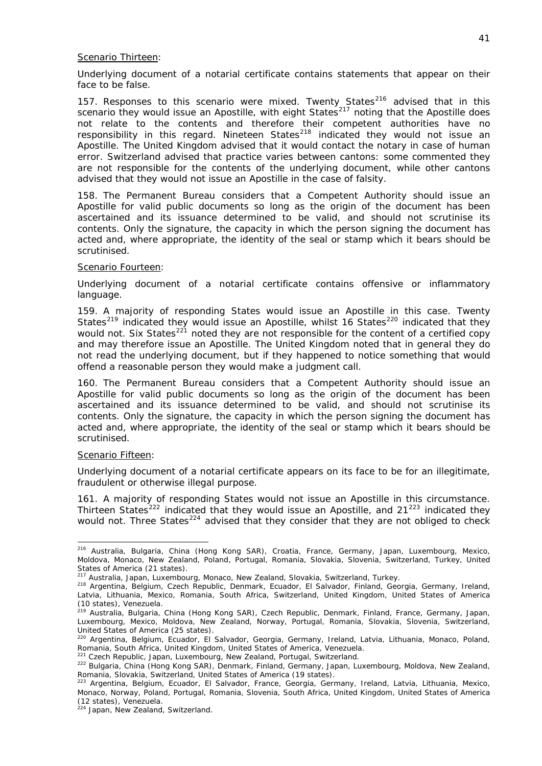#### Scenario Thirteen:

*Underlying document of a notarial certificate contains statements that appear on their face to be false.* 

157. Responses to this scenario were mixed. Twenty States<sup>[216](#page-41-0)</sup> advised that in this scenario they would issue an Apostille, with eight States $^{217}$  $^{217}$  $^{217}$  noting that the Apostille does not relate to the contents and therefore their competent authorities have no responsibility in this regard. Nineteen States $^{218}$  $^{218}$  $^{218}$  indicated they would not issue an Apostille. The United Kingdom advised that it would contact the notary in case of human error. Switzerland advised that practice varies between cantons: some commented they are not responsible for the contents of the underlying document, while other cantons advised that they would not issue an Apostille in the case of falsity.

158. The Permanent Bureau considers that a Competent Authority should issue an Apostille for valid public documents so long as the origin of the document has been ascertained and its issuance determined to be valid, and should not scrutinise its contents. Only the signature, the capacity in which the person signing the document has acted and, where appropriate, the identity of the seal or stamp which it bears should be scrutinised.

#### Scenario Fourteen:

### *Underlying document of a notarial certificate contains offensive or inflammatory language.*

159. A majority of responding States would issue an Apostille in this case. Twenty States<sup>[219](#page-41-3)</sup> indicated they would issue an Apostille, whilst 16 States<sup>[220](#page-41-4)</sup> indicated that they would not. Six States<sup>[221](#page-41-5)</sup> noted they are not responsible for the content of a certified copy and may therefore issue an Apostille. The United Kingdom noted that in general they do not read the underlying document, but if they happened to notice something that would offend a reasonable person they would make a judgment call.

160. The Permanent Bureau considers that a Competent Authority should issue an Apostille for valid public documents so long as the origin of the document has been ascertained and its issuance determined to be valid, and should not scrutinise its contents. Only the signature, the capacity in which the person signing the document has acted and, where appropriate, the identity of the seal or stamp which it bears should be scrutinised.

#### Scenario Fifteen:

-

### *Underlying document of a notarial certificate appears on its face to be for an illegitimate, fraudulent or otherwise illegal purpose.*

161. A majority of responding States would not issue an Apostille in this circumstance. Thirteen States<sup>[222](#page-41-6)</sup> indicated that they would issue an Apostille, and  $21^{223}$  $21^{223}$  $21^{223}$  indicated they would not. Three States<sup>[224](#page-41-8)</sup> advised that they consider that they are not obliged to check

<span id="page-41-0"></span><sup>&</sup>lt;sup>216</sup> Australia, Bulgaria, China (Hong Kong SAR), Croatia, France, Germany, Japan, Luxembourg, Mexico, Moldova, Monaco, New Zealand, Poland, Portugal, Romania, Slovakia, Slovenia, Switzerland, Turkey, United States of America (21 states).<br><sup>217</sup> Australia, Japan, Luxembourg, Monaco, New Zealand, Slovakia, Switzerland, Turkey.

<span id="page-41-2"></span><span id="page-41-1"></span><sup>218</sup> Argentina, Belgium, Czech Republic, Denmark, Ecuador, El Salvador, Finland, Georgia, Germany, Ireland, Latvia, Lithuania, Mexico, Romania, South Africa, Switzerland, United Kingdom, United States of America (10 states), Venezuela.

<span id="page-41-3"></span><sup>&</sup>lt;sup>219</sup> Australia, Bulgaria, China (Hong Kong SAR), Czech Republic, Denmark, Finland, France, Germany, Japan, Luxembourg, Mexico, Moldova, New Zealand, Norway, Portugal, Romania, Slovakia, Slovenia, Switzerland, United States of America (25 states).

<span id="page-41-4"></span><sup>220</sup> Argentina, Belgium, Ecuador, El Salvador, Georgia, Germany, Ireland, Latvia, Lithuania, Monaco, Poland,

<span id="page-41-6"></span>

<span id="page-41-5"></span>Romania, South Africa, United Kingdom, United States of America, Venezuela.<br><sup>221</sup> Czech Republic, Japan, Luxembourg, New Zealand, Portugal, Switzerland.<br><sup>222</sup> Bulgaria, China (Hong Kong SAR), Denmark, Finland, Germany, Jap Romania, Slovakia, Switzerland, United States of America (19 states).

<span id="page-41-7"></span><sup>223</sup> Argentina, Belgium, Ecuador, El Salvador, France, Georgia, Germany, Ireland, Latvia, Lithuania, Mexico, Monaco, Norway, Poland, Portugal, Romania, Slovenia, South Africa, United Kingdom, United States of America (12 states), Venezuela.

<span id="page-41-8"></span><sup>&</sup>lt;sup>224</sup> Japan, New Zealand, Switzerland.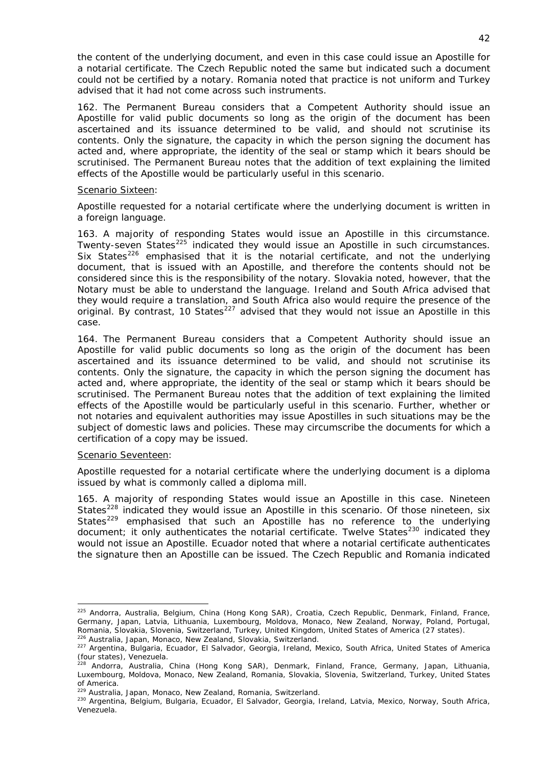the content of the underlying document, and even in this case could issue an Apostille for a notarial certificate. The Czech Republic noted the same but indicated such a document could not be certified by a notary. Romania noted that practice is not uniform and Turkey advised that it had not come across such instruments.

162. The Permanent Bureau considers that a Competent Authority should issue an Apostille for valid public documents so long as the origin of the document has been ascertained and its issuance determined to be valid, and should not scrutinise its contents. Only the signature, the capacity in which the person signing the document has acted and, where appropriate, the identity of the seal or stamp which it bears should be scrutinised. The Permanent Bureau notes that the addition of text explaining the limited effects of the Apostille would be particularly useful in this scenario.

### Scenario Sixteen:

### *Apostille requested for a notarial certificate where the underlying document is written in a foreign language.*

163. A majority of responding States would issue an Apostille in this circumstance. Twenty-seven States<sup>[225](#page-42-0)</sup> indicated they would issue an Apostille in such circumstances. Six States<sup>[226](#page-42-1)</sup> emphasised that it is the notarial certificate, and not the underlying document, that is issued with an Apostille, and therefore the contents should not be considered since this is the responsibility of the notary. Slovakia noted, however, that the Notary must be able to understand the language. Ireland and South Africa advised that they would require a translation, and South Africa also would require the presence of the original. By contrast, 10 States<sup>[227](#page-42-2)</sup> advised that they would not issue an Apostille in this case.

164. The Permanent Bureau considers that a Competent Authority should issue an Apostille for valid public documents so long as the origin of the document has been ascertained and its issuance determined to be valid, and should not scrutinise its contents. Only the signature, the capacity in which the person signing the document has acted and, where appropriate, the identity of the seal or stamp which it bears should be scrutinised. The Permanent Bureau notes that the addition of text explaining the limited effects of the Apostille would be particularly useful in this scenario. Further, whether or not notaries and equivalent authorities may issue Apostilles in such situations may be the subject of domestic laws and policies. These may circumscribe the documents for which a certification of a copy may be issued.

#### Scenario Seventeen:

1

### *Apostille requested for a notarial certificate where the underlying document is a diploma issued by what is commonly called a diploma mill.*

165. A majority of responding States would issue an Apostille in this case. Nineteen States<sup>[228](#page-42-3)</sup> indicated they would issue an Apostille in this scenario. Of those nineteen, six States<sup>[229](#page-42-4)</sup> emphasised that such an Apostille has no reference to the underlying document; it only authenticates the notarial certificate. Twelve States<sup>[230](#page-42-5)</sup> indicated they would not issue an Apostille. Ecuador noted that where a notarial certificate authenticates the signature then an Apostille can be issued. The Czech Republic and Romania indicated

<span id="page-42-0"></span><sup>&</sup>lt;sup>225</sup> Andorra, Australia, Belgium, China (Hong Kong SAR), Croatia, Czech Republic, Denmark, Finland, France, Germany, Japan, Latvia, Lithuania, Luxembourg, Moldova, Monaco, New Zealand, Norway, Poland, Portugal,<br>Romania, Slovakia, Slovenia, Switzerland, Turkey, United Kingdom, United States of America (27 states).

<span id="page-42-1"></span><sup>&</sup>lt;sup>226</sup> Australia, Japan, Monaco, New Zealand, Slovakia, Switzerland.<br><sup>227</sup> Argentina, Bulgaria, Ecuador, El Salvador, Georgia, Ireland, Mexico, South Africa, United States of America

<span id="page-42-2"></span>Somma, Duigarid, E.<br>(four states), Venezuela.<br>228 Act i

<span id="page-42-3"></span><sup>&</sup>lt;sup>28</sup> Andorra, Australia, China (Hong Kong SAR), Denmark, Finland, France, Germany, Japan, Lithuania, Luxembourg, Moldova, Monaco, New Zealand, Romania, Slovakia, Slovenia, Switzerland, Turkey, United States of America.<br><sup>229</sup> Australia. Japan, Monaco, New Zealand, Romania, Switzerland.

<span id="page-42-5"></span><span id="page-42-4"></span><sup>&</sup>lt;sup>230</sup> Argentina, Belgium, Bulgaria, Ecuador, El Salvador, Georgia, Ireland, Latvia, Mexico, Norway, South Africa, Venezuela.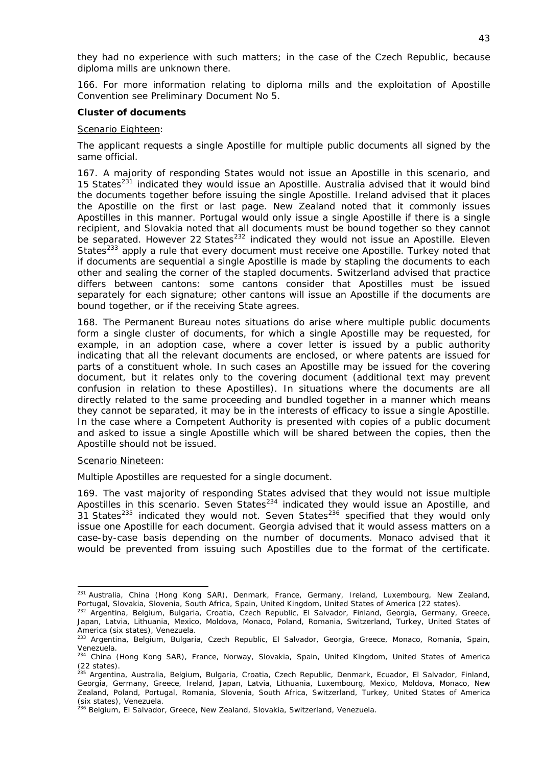they had no experience with such matters; in the case of the Czech Republic, because diploma mills are unknown there.

166. For more information relating to diploma mills and the exploitation of Apostille Convention see Preliminary Document No 5.

#### *Cluster of documents*

#### Scenario Eighteen:

#### *The applicant requests a single Apostille for multiple public documents all signed by the same official.*

167. A majority of responding States would not issue an Apostille in this scenario, and 15 States $^{231}$  $^{231}$  $^{231}$  indicated they would issue an Apostille. Australia advised that it would bind the documents together before issuing the single Apostille. Ireland advised that it places the Apostille on the first or last page. New Zealand noted that it commonly issues Apostilles in this manner. Portugal would only issue a single Apostille if there is a single recipient, and Slovakia noted that all documents must be bound together so they cannot be separated. However 22 States<sup>[232](#page-43-1)</sup> indicated they would not issue an Apostille. Eleven States<sup>[233](#page-43-2)</sup> apply a rule that every document must receive one Apostille. Turkey noted that if documents are sequential a single Apostille is made by stapling the documents to each other and sealing the corner of the stapled documents. Switzerland advised that practice differs between cantons: some cantons consider that Apostilles must be issued separately for each signature; other cantons will issue an Apostille if the documents are bound together, or if the receiving State agrees.

168. The Permanent Bureau notes situations do arise where multiple public documents form a single cluster of documents, for which a single Apostille may be requested, for example, in an adoption case, where a cover letter is issued by a public authority indicating that all the relevant documents are enclosed, or where patents are issued for parts of a constituent whole. In such cases an Apostille may be issued for the covering document, but it relates only to the covering document (additional text may prevent confusion in relation to these Apostilles). In situations where the documents are all directly related to the same proceeding and bundled together in a manner which means they cannot be separated, it may be in the interests of efficacy to issue a single Apostille. In the case where a Competent Authority is presented with copies of a public document and asked to issue a single Apostille which will be shared between the copies, then the Apostille should not be issued.

#### Scenario Nineteen:

1

#### *Multiple Apostilles are requested for a single document.*

169. The vast majority of responding States advised that they would not issue multiple Apostilles in this scenario. Seven States $234$  indicated they would issue an Apostille, and 21 States<sup>[235](#page-43-4)</sup> indicated they would not. Seven States<sup>[236](#page-43-5)</sup> specified that they would only issue one Apostille for each document. Georgia advised that it would assess matters on a case-by-case basis depending on the number of documents. Monaco advised that it would be prevented from issuing such Apostilles due to the format of the certificate.

<span id="page-43-0"></span><sup>&</sup>lt;sup>231</sup> Australia, China (Hong Kong SAR), Denmark, France, Germany, Ireland, Luxembourg, New Zealand,<br>Portugal, Slovakia, Slovenia, South Africa, Spain, United Kingdom, United States of America (22 states).

<span id="page-43-1"></span><sup>&</sup>lt;sup>232</sup> Argentina, Belgium, Bulgaria, Croatia, Czech Republic, El Salvador, Finland, Georgia, Germany, Greece, Japan, Latvia, Lithuania, Mexico, Moldova, Monaco, Poland, Romania, Switzerland, Turkey, United States of

<span id="page-43-2"></span>America (six states), Venezuela.<br><sup>233</sup> Argentina, Belgium, Bulgaria, Czech Republic, El Salvador, Georgia, Greece, Monaco, Romania, Spain, Venezuela.

<span id="page-43-3"></span><sup>&</sup>lt;sup>234</sup> China (Hong Kong SAR), France, Norway, Slovakia, Spain, United Kingdom, United States of America  $(22 \times 1)$ .

<span id="page-43-4"></span><sup>&</sup>lt;sup>15</sup> Argentina, Australia, Belgium, Bulgaria, Croatia, Czech Republic, Denmark, Ecuador, El Salvador, Finland, Georgia, Germany, Greece, Ireland, Japan, Latvia, Lithuania, Luxembourg, Mexico, Moldova, Monaco, New Zealand, Poland, Portugal, Romania, Slovenia, South Africa, Switzerland, Turkey, United States of America (six states), Venezuela.

<span id="page-43-5"></span><sup>&</sup>lt;sup>236</sup> Belgium, El Salvador, Greece, New Zealand, Slovakia, Switzerland, Venezuela.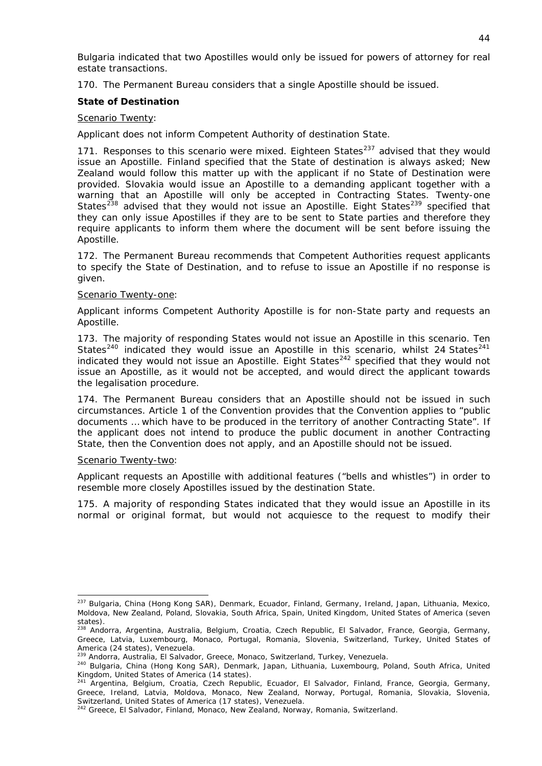Bulgaria indicated that two Apostilles would only be issued for powers of attorney for real estate transactions.

170. The Permanent Bureau considers that a single Apostille should be issued.

### *State of Destination*

### Scenario Twenty:

### *Applicant does not inform Competent Authority of destination State.*

171. Responses to this scenario were mixed. Eighteen States $^{237}$  $^{237}$  $^{237}$  advised that they would issue an Apostille. Finland specified that the State of destination is always asked; New Zealand would follow this matter up with the applicant if no State of Destination were provided. Slovakia would issue an Apostille to a demanding applicant together with a warning that an Apostille will only be accepted in Contracting States. Twenty-one States<sup>[238](#page-44-1)</sup> advised that they would not issue an Apostille. Eight States<sup>[239](#page-44-2)</sup> specified that they can only issue Apostilles if they are to be sent to State parties and therefore they require applicants to inform them where the document will be sent before issuing the Apostille.

172. The Permanent Bureau recommends that Competent Authorities request applicants to specify the State of Destination, and to refuse to issue an Apostille if no response is given.

### Scenario Twenty-one:

### *Applicant informs Competent Authority Apostille is for non-State party and requests an Apostille.*

173. The majority of responding States would not issue an Apostille in this scenario. Ten States<sup>[240](#page-44-3)</sup> indicated they would issue an Apostille in this scenario, whilst 24 States<sup>[241](#page-44-4)</sup> indicated they would not issue an Apostille. Eight States $^{242}$  $^{242}$  $^{242}$  specified that they would not issue an Apostille, as it would not be accepted, and would direct the applicant towards the legalisation procedure.

174. The Permanent Bureau considers that an Apostille should not be issued in such circumstances. Article 1 of the Convention provides that the Convention applies to "public documents … which have to be produced in the territory of another Contracting State". If the applicant does not intend to produce the public document in another Contracting State, then the Convention does not apply, and an Apostille should not be issued.

#### Scenario Twenty-two:

*Applicant requests an Apostille with additional features ("bells and whistles") in order to resemble more closely Apostilles issued by the destination State.* 

175. A majority of responding States indicated that they would issue an Apostille in its normal or original format, but would not acquiesce to the request to modify their

<span id="page-44-0"></span><sup>1</sup> <sup>237</sup> Bulgaria, China (Hong Kong SAR), Denmark, Ecuador, Finland, Germany, Ireland, Japan, Lithuania, Mexico, Moldova, New Zealand, Poland, Slovakia, South Africa, Spain, United Kingdom, United States of America (seven states).

<span id="page-44-1"></span><sup>&</sup>lt;sup>238</sup> Andorra, Argentina, Australia, Belgium, Croatia, Czech Republic, El Salvador, France, Georgia, Germany, Greece, Latvia, Luxembourg, Monaco, Portugal, Romania, Slovenia, Switzerland, Turkey, United States of

<span id="page-44-3"></span><span id="page-44-2"></span>

America (24 states), Venezuela.<br><sup>239</sup> Andorra, Australia, El Salvador, Greece, Monaco, Switzerland, Turkey, Venezuela.<br><sup>240</sup> Bulgaria, China (Hong Kong SAR), Denmark, Japan, Lithuania, Luxembourg, Poland, South Africa, Uni Kingdom, United States of America (14 states).

<span id="page-44-4"></span><sup>241</sup> Argentina, Belgium, Croatia, Czech Republic, Ecuador, El Salvador, Finland, France, Georgia, Germany, Greece, Ireland, Latvia, Moldova, Monaco, New Zealand, Norway, Portugal, Romania, Slovakia, Slovenia, Switzerland, United States of America (17 states), Venezuela. 242 Greece, El Salvador, Finland, Monaco, New Zealand, Norway, Romania, Switzerland.

<span id="page-44-5"></span>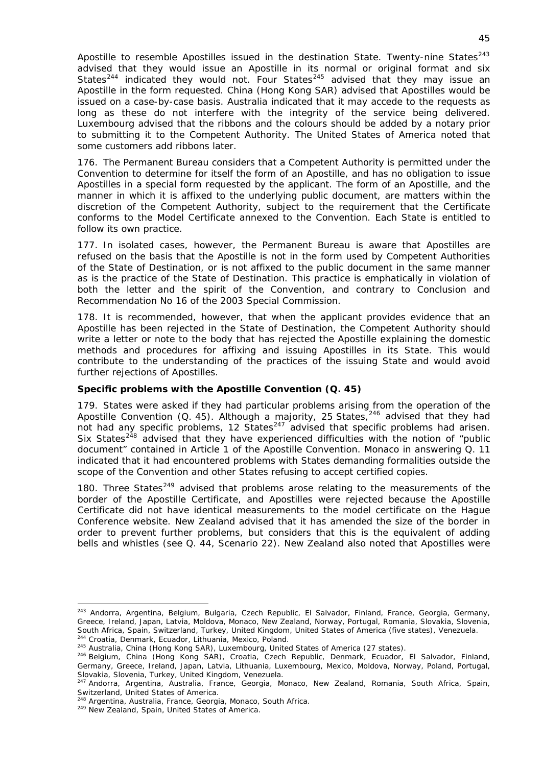Apostille to resemble Apostilles issued in the destination State. Twenty-nine States $^{243}$  $^{243}$  $^{243}$ advised that they would issue an Apostille in its normal or original format and six States<sup>[244](#page-45-1)</sup> indicated they would not. Four States<sup>[245](#page-45-2)</sup> advised that they may issue an Apostille in the form requested. China (Hong Kong SAR) advised that Apostilles would be issued on a case-by-case basis. Australia indicated that it may accede to the requests as long as these do not interfere with the integrity of the service being delivered. Luxembourg advised that the ribbons and the colours should be added by a notary prior to submitting it to the Competent Authority. The United States of America noted that some customers add ribbons later.

176. The Permanent Bureau considers that a Competent Authority is permitted under the Convention to determine for itself the form of an Apostille, and has no obligation to issue Apostilles in a special form requested by the applicant. The form of an Apostille, and the manner in which it is affixed to the underlying public document, are matters within the discretion of the Competent Authority, subject to the requirement that the Certificate conforms to the Model Certificate annexed to the Convention. Each State is entitled to follow its own practice.

177. In isolated cases, however, the Permanent Bureau is aware that Apostilles are refused on the basis that the Apostille is not in the form used by Competent Authorities of the State of Destination, or is not affixed to the public document in the same manner as is the practice of the State of Destination. This practice is emphatically in violation of both the letter and the spirit of the Convention, and contrary to Conclusion and Recommendation No 16 of the 2003 Special Commission.

178. It is recommended, however, that when the applicant provides evidence that an Apostille has been rejected in the State of Destination, the Competent Authority should write a letter or note to the body that has rejected the Apostille explaining the domestic methods and procedures for affixing and issuing Apostilles in its State. This would contribute to the understanding of the practices of the issuing State and would avoid further rejections of Apostilles.

# *Specific problems with the Apostille Convention* **(Q. 45)**

179. States were asked if they had particular problems arising from the operation of the Apostille Convention (Q. 45). Although a majority, 25 States,  $246$  advised that they had not had any specific problems, 12 States $^{247}$  $^{247}$  $^{247}$  advised that specific problems had arisen. Six States<sup>[248](#page-45-5)</sup> advised that they have experienced difficulties with the notion of "public document" contained in Article 1 of the Apostille Convention. Monaco in answering Q. 11 indicated that it had encountered problems with States demanding formalities outside the scope of the Convention and other States refusing to accept certified copies.

180. Three States<sup>[249](#page-45-6)</sup> advised that problems arose relating to the measurements of the border of the Apostille Certificate, and Apostilles were rejected because the Apostille Certificate did not have identical measurements to the model certificate on the Hague Conference website. New Zealand advised that it has amended the size of the border in order to prevent further problems, but considers that this is the equivalent of adding bells and whistles (see Q. 44, Scenario 22). New Zealand also noted that Apostilles were

<span id="page-45-0"></span><sup>243</sup> Andorra, Argentina, Belgium, Bulgaria, Czech Republic, El Salvador, Finland, France, Georgia, Germany, Greece, Ireland, Japan, Latvia, Moldova, Monaco, New Zealand, Norway, Portugal, Romania, Slovakia, Slovenia,<br>South Africa, Spain, Switzerland, Turkey, United Kingdom, United States of America (five states), Venezuela.

<span id="page-45-3"></span><span id="page-45-2"></span>

<span id="page-45-1"></span><sup>&</sup>lt;sup>244</sup> Croatia, Denmark, Ecuador, Lithuania, Mexico, Poland.<br><sup>245</sup> Australia, China (Hong Kong SAR), Luxembourg, United States of America (27 states).<br><sup>246</sup> Belgium, China (Hong Kong SAR), Croatia, Czech Republic, Denmark, Germany, Greece, Ireland, Japan, Latvia, Lithuania, Luxembourg, Mexico, Moldova, Norway, Poland, Portugal, Slovakia, Slovenia, Turkey, United Kingdom, Venezuela.

<span id="page-45-4"></span><sup>247</sup> Andorra, Argentina, Australia, France, Georgia, Monaco, New Zealand, Romania, South Africa, Spain, Switzerland, United States of America.

<span id="page-45-6"></span><span id="page-45-5"></span><sup>&</sup>lt;sup>248</sup> Argentina, Australia, France, Georgia, Monaco, South Africa.<br><sup>249</sup> New Zealand, Spain, United States of America.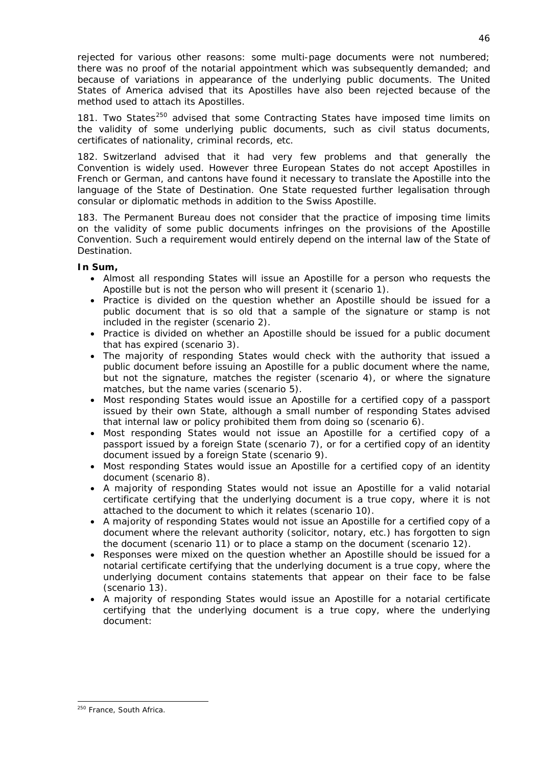rejected for various other reasons: some multi-page documents were not numbered; there was no proof of the notarial appointment which was subsequently demanded; and because of variations in appearance of the underlying public documents. The United States of America advised that its Apostilles have also been rejected because of the method used to attach its Apostilles.

181. Two States<sup>[250](#page-46-0)</sup> advised that some Contracting States have imposed time limits on the validity of some underlying public documents, such as civil status documents, certificates of nationality, criminal records, etc.

182. Switzerland advised that it had very few problems and that generally the Convention is widely used. However three European States do not accept Apostilles in French or German, and cantons have found it necessary to translate the Apostille into the language of the State of Destination. One State requested further legalisation through consular or diplomatic methods in addition to the Swiss Apostille.

183. The Permanent Bureau does not consider that the practice of imposing time limits on the validity of some public documents infringes on the provisions of the Apostille Convention. Such a requirement would entirely depend on the internal law of the State of Destination.

## **In Sum,**

- Almost all responding States will issue an Apostille for a person who requests the Apostille but is not the person who will present it (scenario 1).
- Practice is divided on the question whether an Apostille should be issued for a public document that is so old that a sample of the signature or stamp is not included in the register (scenario 2).
- Practice is divided on whether an Apostille should be issued for a public document that has expired (scenario 3).
- The majority of responding States would check with the authority that issued a public document before issuing an Apostille for a public document where the name, but not the signature, matches the register (scenario 4), or where the signature matches, but the name varies (scenario 5).
- Most responding States would issue an Apostille for a certified copy of a passport issued by their own State, although a small number of responding States advised that internal law or policy prohibited them from doing so (scenario 6).
- Most responding States would not issue an Apostille for a certified copy of a passport issued by a foreign State (scenario 7), or for a certified copy of an identity document issued by a foreign State (scenario 9).
- Most responding States would issue an Apostille for a certified copy of an identity document (scenario 8).
- A majority of responding States would not issue an Apostille for a valid notarial certificate certifying that the underlying document is a true copy, where it is not attached to the document to which it relates (scenario 10).
- A majority of responding States would not issue an Apostille for a certified copy of a document where the relevant authority (solicitor, notary, etc.) has forgotten to sign the document (scenario 11) or to place a stamp on the document (scenario 12).
- Responses were mixed on the question whether an Apostille should be issued for a notarial certificate certifying that the underlying document is a true copy, where the underlying document contains statements that appear on their face to be false (scenario 13).
- A majority of responding States would issue an Apostille for a notarial certificate certifying that the underlying document is a true copy, where the underlying document:

<span id="page-46-0"></span><sup>1</sup> <sup>250</sup> France, South Africa.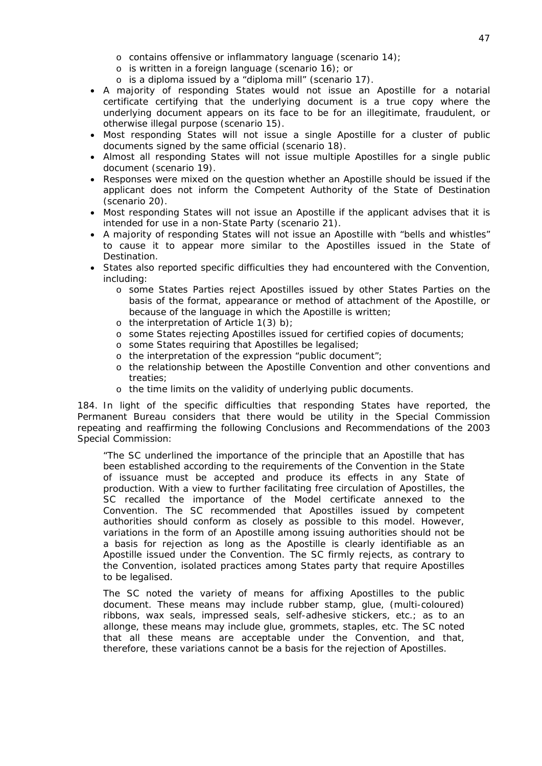- o contains offensive or inflammatory language (scenario 14);
- o is written in a foreign language (scenario 16); or
- o is a diploma issued by a "diploma mill" (scenario 17).
- A majority of responding States would not issue an Apostille for a notarial certificate certifying that the underlying document is a true copy where the underlying document appears on its face to be for an illegitimate, fraudulent, or otherwise illegal purpose (scenario 15).
- Most responding States will not issue a single Apostille for a cluster of public documents signed by the same official (scenario 18).
- Almost all responding States will not issue multiple Apostilles for a single public document (scenario 19).
- Responses were mixed on the question whether an Apostille should be issued if the applicant does not inform the Competent Authority of the State of Destination (scenario 20).
- Most responding States will not issue an Apostille if the applicant advises that it is intended for use in a non-State Party (scenario 21).
- A majority of responding States will not issue an Apostille with "bells and whistles" to cause it to appear more similar to the Apostilles issued in the State of Destination.
- States also reported specific difficulties they had encountered with the Convention, including:
	- o some States Parties reject Apostilles issued by other States Parties on the basis of the format, appearance or method of attachment of the Apostille, or because of the language in which the Apostille is written;
	- o the interpretation of Article 1(3) *b)*;
	- o some States rejecting Apostilles issued for certified copies of documents;
	- o some States requiring that Apostilles be legalised;
	- o the interpretation of the expression "public document";
	- o the relationship between the Apostille Convention and other conventions and treaties;
	- o the time limits on the validity of underlying public documents.

184. In light of the specific difficulties that responding States have reported, the Permanent Bureau considers that there would be utility in the Special Commission repeating and reaffirming the following Conclusions and Recommendations of the 2003 Special Commission:

"The SC underlined the importance of the *principle that an Apostille that has been established according to the requirements of the Convention in the State of issuance must be accepted and produce its effects in any State of production*. With a view to further facilitating free circulation of Apostilles, the SC recalled the importance of the *Model certificate* annexed to the Convention. The SC recommended that Apostilles issued by competent authorities should conform as closely as possible to this model. However, variations in the form of an Apostille among issuing authorities should not be a basis for rejection as long as the Apostille is clearly identifiable as an Apostille issued under the Convention. *The SC firmly rejects, as contrary to the Convention, isolated practices among States party that require Apostilles to be legalised.* 

The SC noted the *variety of means for affixing Apostilles* to the public document. These means may include rubber stamp, glue, (multi-coloured) ribbons, wax seals, impressed seals, self-adhesive stickers, etc.; as to an allonge, these means may include glue, grommets, staples, etc. The SC noted that all these means are acceptable under the Convention, and that, therefore, these variations cannot be a basis for the rejection of Apostilles.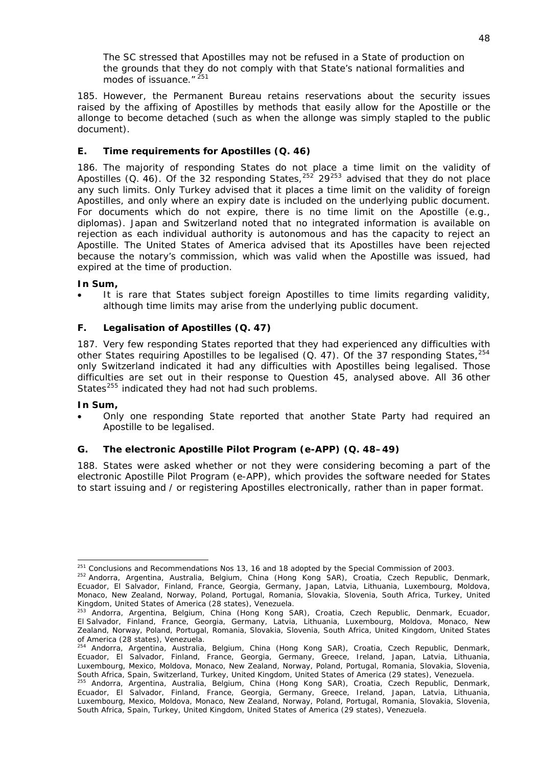The SC stressed that Apostilles may *not be refused in a State of production on the grounds that they do not comply with that State's national formalities and modes of issuance*." [251](#page-48-3)

185. However, the Permanent Bureau retains reservations about the security issues raised by the affixing of Apostilles by methods that easily allow for the Apostille or the *allonge* to become detached (such as when the *allonge* was simply stapled to the public document).

# **E. Time requirements for Apostilles (Q. 46)**

<span id="page-48-0"></span>186. The majority of responding States do not place a time limit on the validity of Apostilles (Q. 46). Of the 32 responding States,<sup>[252](#page-48-4)</sup> 29<sup>[253](#page-48-5)</sup> advised that they do not place any such limits. Only Turkey advised that it places a time limit on the validity of foreign Apostilles, and only where an expiry date is included on the underlying public document. For documents which do not expire, there is no time limit on the Apostille (*e.g.*, diplomas). Japan and Switzerland noted that no integrated information is available on rejection as each individual authority is autonomous and has the capacity to reject an Apostille. The United States of America advised that its Apostilles have been rejected because the notary's commission, which was valid when the Apostille was issued, had expired at the time of production.

## **In Sum,**

 It is rare that States subject foreign Apostilles to time limits regarding validity, although time limits may arise from the underlying public document.

# <span id="page-48-1"></span>**F. Legalisation of Apostilles (Q. 47)**

187. Very few responding States reported that they had experienced any difficulties with other States requiring Apostilles to be legalised (Q. 47). Of the 37 responding States,  $254$ only Switzerland indicated it had any difficulties with Apostilles being legalised. Those difficulties are set out in their response to Question 45, analysed above. All 36 other States<sup>[255](#page-48-7)</sup> indicated they had not had such problems.

## **In Sum,**

 Only one responding State reported that another State Party had required an Apostille to be legalised.

# <span id="page-48-2"></span>**G. The electronic Apostille Pilot Program (e-APP) (Q. 48–49)**

188. States were asked whether or not they were considering becoming a part of the electronic Apostille Pilot Program (e-APP), which provides the software needed for States to start issuing and / or registering Apostilles electronically, rather than in paper format.

<sup>1</sup> <sup>251</sup> Conclusions and Recommendations Nos 13, 16 and 18 adopted by the Special Commission of 2003.<br><sup>252</sup> Andorra, Argentina, Australia, Belgium, China (Hong Kong SAR), Croatia, Czech Republic, Denmark,

<span id="page-48-4"></span><span id="page-48-3"></span>Ecuador, El Salvador, Finland, France, Georgia, Germany, Japan, Latvia, Lithuania, Luxembourg, Moldova, Monaco, New Zealand, Norway, Poland, Portugal, Romania, Slovakia, Slovenia, South Africa, Turkey, United Kingdom, United States of America (28 states), Venezuela.

<span id="page-48-5"></span><sup>&</sup>lt;sup>253</sup> Andorra, Argentina, Belgium, China (Hong Kong SAR), Croatia, Czech Republic, Denmark, Ecuador, El Salvador, Finland, France, Georgia, Germany, Latvia, Lithuania, Luxembourg, Moldova, Monaco, New Zealand, Norway, Poland, Portugal, Romania, Slovakia, Slovenia, South Africa, United Kingdom, United States of America (28 states), Venezuela.

<span id="page-48-6"></span><sup>254</sup> Andorra, Argentina, Australia, Belgium, China (Hong Kong SAR), Croatia, Czech Republic, Denmark, Ecuador, El Salvador, Finland, France, Georgia, Germany, Greece, Ireland, Japan, Latvia, Lithuania, Luxembourg, Mexico, Moldova, Monaco, New Zealand, Norway, Poland, Portugal, Romania, Slovakia, Slovenia, South Africa, Spain, Switzerland, Turkey, United Kingdom, United States of America (29 states), Venezuela.<br><sup>255</sup> Andorra, Argentina, Australia, Belgium, China (Hong Kong SAR), Croatia, Czech Republic, Denmark,

<span id="page-48-7"></span>Ecuador, El Salvador, Finland, France, Georgia, Germany, Greece, Ireland, Japan, Latvia, Lithuania, Luxembourg, Mexico, Moldova, Monaco, New Zealand, Norway, Poland, Portugal, Romania, Slovakia, Slovenia, South Africa, Spain, Turkey, United Kingdom, United States of America (29 states), Venezuela.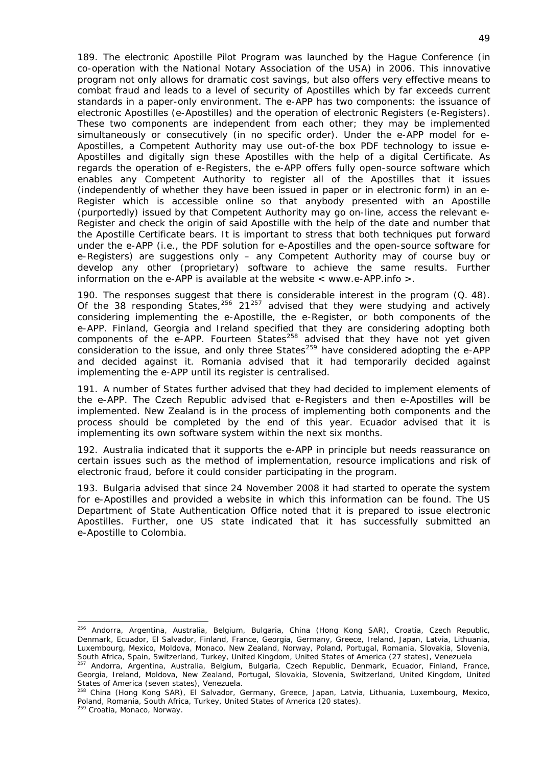189. The electronic Apostille Pilot Program was launched by the Hague Conference (in co-operation with the National Notary Association of the USA) in 2006. This innovative program not only allows for dramatic cost savings, but also offers very effective means to combat fraud and leads to a *level of security of Apostilles which by far exceeds current standards in a paper-only environment*. The e-APP has two components: the issuance of electronic Apostilles (e-Apostilles) and the operation of electronic Registers (e-Registers). These two components are independent from each other; they may be implemented simultaneously or consecutively (in no specific order). Under the e-APP model for e-Apostilles, a Competent Authority may use out-of-the box PDF technology to issue e-Apostilles and digitally sign these Apostilles with the help of a digital Certificate. As regards the operation of e-Registers, the e-APP offers fully open-source software which enables any Competent Authority to register all of the Apostilles that it issues (independently of whether they have been issued in paper or in electronic form) in an e-Register which is accessible online so that anybody presented with an Apostille (purportedly) issued by that Competent Authority may go on-line, access the relevant e-Register and check the origin of said Apostille with the help of the date and number that the Apostille Certificate bears. It is important to stress that both techniques put forward under the e-APP (*i.e.*, the PDF solution for e-Apostilles and the open-source software for e-Registers) are *suggestions only* – any Competent Authority may of course buy or develop any other (proprietary) software to achieve the same results. Further information on the e-APP is available at the website  $\lt$  www.e-APP.info  $\gt$ .

190. The responses suggest that there is considerable interest in the program (Q. 48). Of the 38 responding States,  $256 \times 21^{257}$  $256 \times 21^{257}$  $256 \times 21^{257}$  $256 \times 21^{257}$  advised that they were studying and actively considering implementing the e-Apostille, the e-Register, or both components of the e-APP. Finland, Georgia and Ireland specified that they are considering adopting both components of the e-APP. Fourteen States $258$  advised that they have not yet given consideration to the issue, and only three States<sup>[259](#page-49-3)</sup> have considered adopting the e-APP and decided against it. Romania advised that it had temporarily decided against implementing the e-APP until its register is centralised.

191. A number of States further advised that they had decided to implement elements of the e-APP. The Czech Republic advised that e-Registers and then e-Apostilles will be implemented. New Zealand is in the process of implementing both components and the process should be completed by the end of this year. Ecuador advised that it is implementing its own software system within the next six months.

192. Australia indicated that it supports the e-APP in principle but needs reassurance on certain issues such as the method of implementation, resource implications and risk of electronic fraud, before it could consider participating in the program.

193. Bulgaria advised that since 24 November 2008 it had started to operate the system for e-Apostilles and provided a website in which this information can be found. The US Department of State Authentication Office noted that it is prepared to issue electronic Apostilles. Further, one US state indicated that it has successfully submitted an e-Apostille to Colombia.

<span id="page-49-0"></span><sup>256</sup> Andorra, Argentina, Australia, Belgium, Bulgaria, China (Hong Kong SAR), Croatia, Czech Republic, Denmark, Ecuador, El Salvador, Finland, France, Georgia, Germany, Greece, Ireland, Japan, Latvia, Lithuania, Luxembourg, Mexico, Moldova, Monaco, New Zealand, Norway, Poland, Portugal, Romania, Slovakia, Slovenia, South Africa, Spain, Switzerland, Turkey, United Kingdom, United States of America (27 states), Venezuela

<span id="page-49-1"></span>South Africa, Spain, Sungentem, Ingdom, United Kingdom, United Kingdom, United States of America, Venezuela 25<br><sup>257</sup> Andorra, Argentina, Australia, Belgium, Bulgaria, Czech Republic, Denmark, Ecuador, Finland, France, Georgia, Ireland, Moldova, New Zealand, Portugal, Slovakia, Slovenia, Switzerland, United Kingdom, United States of America (seven states), Venezuela.

<span id="page-49-3"></span><span id="page-49-2"></span><sup>&</sup>lt;sup>258</sup> China (Hong Kong SAR), El Salvador, Germany, Greece, Japan, Latvia, Lithuania, Luxembourg, Mexico, Poland, Romania, South Africa, Turkey, United States of America (20 states).<br><sup>259</sup> Croatia, Monaco, Norway.